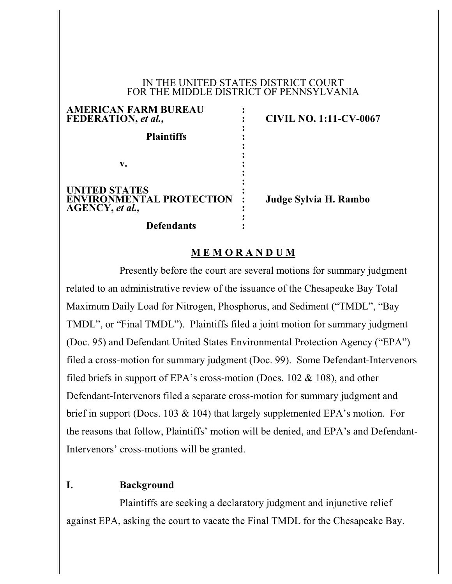#### IN THE UNITED STATES DISTRICT COURT FOR THE MIDDLE DISTRICT OF PENNSYLVANIA

**:**

**: :**

**: :**

**AMERICAN FARM BUREAU : FEDERATION,** *et al.,* **: CIVIL NO. 1:11-CV-0067 Plaintiffs : v. : UNITED STATES : ENVIRONMENTAL PROTECTION : Judge Sylvia H. Rambo AGENCY,** *et al.,* **:**

**Defendants :**

## **M E M O R A N D U M**

**:**

Presently before the court are several motions for summary judgment related to an administrative review of the issuance of the Chesapeake Bay Total Maximum Daily Load for Nitrogen, Phosphorus, and Sediment ("TMDL", "Bay TMDL", or "Final TMDL"). Plaintiffs filed a joint motion for summary judgment (Doc. 95) and Defendant United States Environmental Protection Agency ("EPA") filed a cross-motion for summary judgment (Doc. 99). Some Defendant-Intervenors filed briefs in support of EPA's cross-motion (Docs.  $102 \& 108$ ), and other Defendant-Intervenors filed a separate cross-motion for summary judgment and brief in support (Docs. 103 & 104) that largely supplemented EPA's motion. For the reasons that follow, Plaintiffs' motion will be denied, and EPA's and Defendant-Intervenors' cross-motions will be granted.

## **I. Background**

Plaintiffs are seeking a declaratory judgment and injunctive relief against EPA, asking the court to vacate the Final TMDL for the Chesapeake Bay.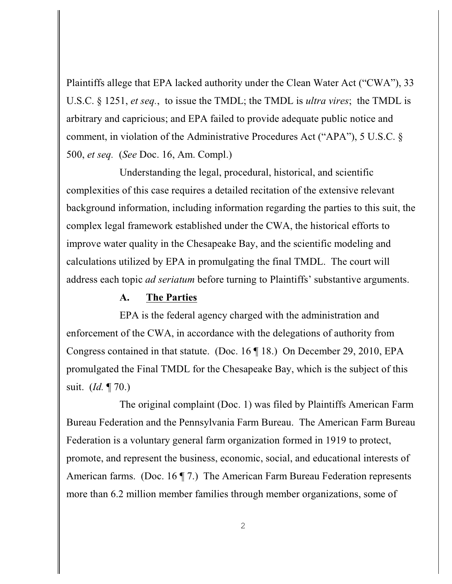Plaintiffs allege that EPA lacked authority under the Clean Water Act ("CWA"), 33 U.S.C. § 1251, *et seq.*, to issue the TMDL; the TMDL is *ultra vires*; the TMDL is arbitrary and capricious; and EPA failed to provide adequate public notice and comment, in violation of the Administrative Procedures Act ("APA"), 5 U.S.C. § 500, *et seq.* (*See* Doc. 16, Am. Compl.)

Understanding the legal, procedural, historical, and scientific complexities of this case requires a detailed recitation of the extensive relevant background information, including information regarding the parties to this suit, the complex legal framework established under the CWA, the historical efforts to improve water quality in the Chesapeake Bay, and the scientific modeling and calculations utilized by EPA in promulgating the final TMDL. The court will address each topic *ad seriatum* before turning to Plaintiffs' substantive arguments.

## **A. The Parties**

EPA is the federal agency charged with the administration and enforcement of the CWA, in accordance with the delegations of authority from Congress contained in that statute. (Doc. 16 ¶ 18.) On December 29, 2010, EPA promulgated the Final TMDL for the Chesapeake Bay, which is the subject of this suit. (*Id.* ¶ 70.)

The original complaint (Doc. 1) was filed by Plaintiffs American Farm Bureau Federation and the Pennsylvania Farm Bureau. The American Farm Bureau Federation is a voluntary general farm organization formed in 1919 to protect, promote, and represent the business, economic, social, and educational interests of American farms. (Doc. 16 ¶ 7.) The American Farm Bureau Federation represents more than 6.2 million member families through member organizations, some of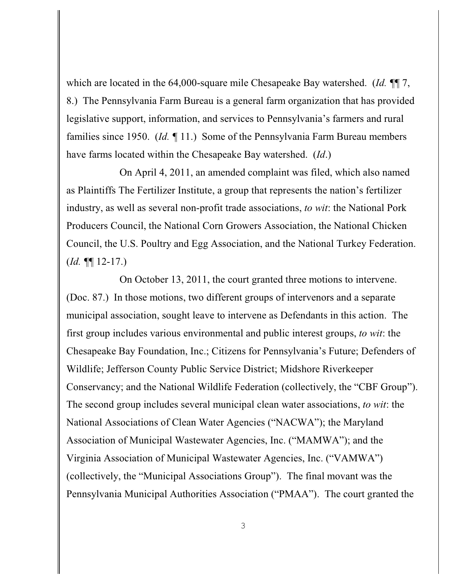which are located in the 64,000-square mile Chesapeake Bay watershed. (*Id. ¶*¶ 7, 8.) The Pennsylvania Farm Bureau is a general farm organization that has provided legislative support, information, and services to Pennsylvania's farmers and rural families since 1950. (*Id. ¶* 11.) Some of the Pennsylvania Farm Bureau members have farms located within the Chesapeake Bay watershed. (*Id*.)

On April 4, 2011, an amended complaint was filed, which also named as Plaintiffs The Fertilizer Institute, a group that represents the nation's fertilizer industry, as well as several non-profit trade associations, *to wit*: the National Pork Producers Council, the National Corn Growers Association, the National Chicken Council, the U.S. Poultry and Egg Association, and the National Turkey Federation. (*Id. ¶*¶ 12-17.)

On October 13, 2011, the court granted three motions to intervene. (Doc. 87.) In those motions, two different groups of intervenors and a separate municipal association, sought leave to intervene as Defendants in this action. The first group includes various environmental and public interest groups, *to wit*: the Chesapeake Bay Foundation, Inc.; Citizens for Pennsylvania's Future; Defenders of Wildlife; Jefferson County Public Service District; Midshore Riverkeeper Conservancy; and the National Wildlife Federation (collectively, the "CBF Group"). The second group includes several municipal clean water associations, *to wit*: the National Associations of Clean Water Agencies ("NACWA"); the Maryland Association of Municipal Wastewater Agencies, Inc. ("MAMWA"); and the Virginia Association of Municipal Wastewater Agencies, Inc. ("VAMWA") (collectively, the "Municipal Associations Group"). The final movant was the Pennsylvania Municipal Authorities Association ("PMAA"). The court granted the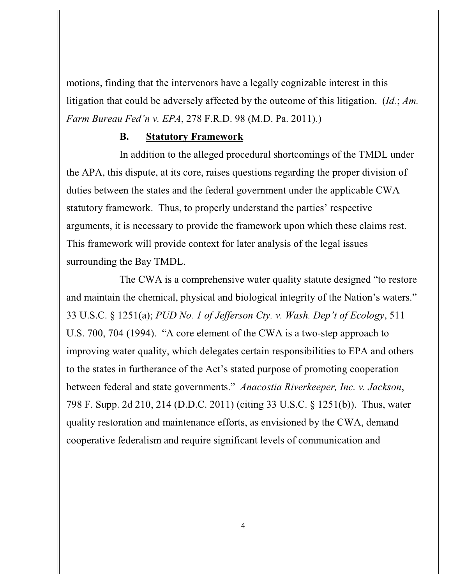motions, finding that the intervenors have a legally cognizable interest in this litigation that could be adversely affected by the outcome of this litigation. (*Id.*; *Am. Farm Bureau Fed'n v. EPA*, 278 F.R.D. 98 (M.D. Pa. 2011).)

### **B. Statutory Framework**

In addition to the alleged procedural shortcomings of the TMDL under the APA, this dispute, at its core, raises questions regarding the proper division of duties between the states and the federal government under the applicable CWA statutory framework. Thus, to properly understand the parties' respective arguments, it is necessary to provide the framework upon which these claims rest. This framework will provide context for later analysis of the legal issues surrounding the Bay TMDL.

The CWA is a comprehensive water quality statute designed "to restore and maintain the chemical, physical and biological integrity of the Nation's waters." 33 U.S.C. § 1251(a); *PUD No. 1 of Jefferson Cty. v. Wash. Dep't of Ecology*, 511 U.S. 700, 704 (1994). "A core element of the CWA is a two-step approach to improving water quality, which delegates certain responsibilities to EPA and others to the states in furtherance of the Act's stated purpose of promoting cooperation between federal and state governments." *Anacostia Riverkeeper, Inc. v. Jackson*, 798 F. Supp. 2d 210, 214 (D.D.C. 2011) (citing 33 U.S.C. § 1251(b)). Thus, water quality restoration and maintenance efforts, as envisioned by the CWA, demand cooperative federalism and require significant levels of communication and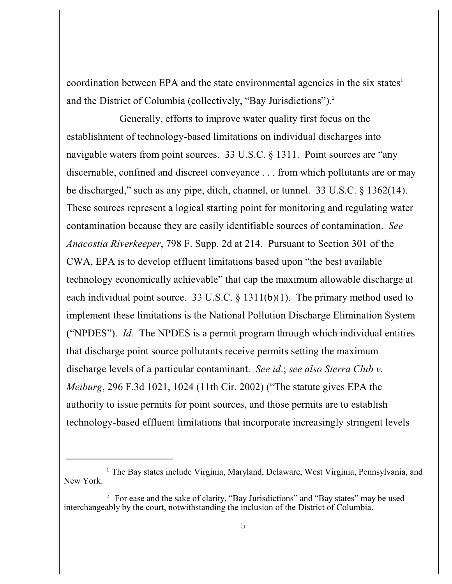coordination between EPA and the state environmental agencies in the six states<sup>1</sup> and the District of Columbia (collectively, "Bay Jurisdictions").<sup>2</sup>

Generally, efforts to improve water quality first focus on the establishment of technology-based limitations on individual discharges into navigable waters from point sources. 33 U.S.C. § 1311. Point sources are "any discernable, confined and discreet conveyance . . . from which pollutants are or may be discharged," such as any pipe, ditch, channel, or tunnel. 33 U.S.C. § 1362(14). These sources represent a logical starting point for monitoring and regulating water contamination because they are easily identifiable sources of contamination. *See Anacostia Riverkeeper*, 798 F. Supp. 2d at 214. Pursuant to Section 301 of the CWA, EPA is to develop effluent limitations based upon "the best available technology economically achievable" that cap the maximum allowable discharge at each individual point source. 33 U.S.C. § 1311(b)(1). The primary method used to implement these limitations is the National Pollution Discharge Elimination System ("NPDES"). *Id.* The NPDES is a permit program through which individual entities that discharge point source pollutants receive permits setting the maximum discharge levels of a particular contaminant. *See id*.; *see also Sierra Club v. Meiburg*, 296 F.3d 1021, 1024 (11th Cir. 2002) ("The statute gives EPA the authority to issue permits for point sources, and those permits are to establish technology-based effluent limitations that incorporate increasingly stringent levels

 $\frac{1}{2}$  The Bay states include Virginia, Maryland, Delaware, West Virginia, Pennsylvania, and New York.

<sup>&</sup>lt;sup>2</sup> For ease and the sake of clarity, "Bay Jurisdictions" and "Bay states" may be used interchangeably by the court, notwithstanding the inclusion of the District of Columbia.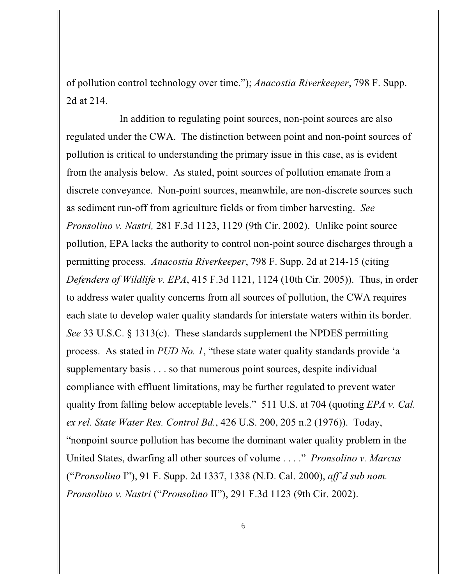of pollution control technology over time."); *Anacostia Riverkeeper*, 798 F. Supp. 2d at 214.

In addition to regulating point sources, non-point sources are also regulated under the CWA. The distinction between point and non-point sources of pollution is critical to understanding the primary issue in this case, as is evident from the analysis below. As stated, point sources of pollution emanate from a discrete conveyance. Non-point sources, meanwhile, are non-discrete sources such as sediment run-off from agriculture fields or from timber harvesting. *See Pronsolino v. Nastri,* 281 F.3d 1123, 1129 (9th Cir. 2002). Unlike point source pollution, EPA lacks the authority to control non-point source discharges through a permitting process. *Anacostia Riverkeeper*, 798 F. Supp. 2d at 214-15 (citing *Defenders of Wildlife v. EPA*, 415 F.3d 1121, 1124 (10th Cir. 2005)). Thus, in order to address water quality concerns from all sources of pollution, the CWA requires each state to develop water quality standards for interstate waters within its border. *See* 33 U.S.C. § 1313(c). These standards supplement the NPDES permitting process. As stated in *PUD No. 1*, "these state water quality standards provide 'a supplementary basis . . . so that numerous point sources, despite individual compliance with effluent limitations, may be further regulated to prevent water quality from falling below acceptable levels." 511 U.S. at 704 (quoting *EPA v. Cal. ex rel. State Water Res. Control Bd.*, 426 U.S. 200, 205 n.2 (1976)). Today, "nonpoint source pollution has become the dominant water quality problem in the United States, dwarfing all other sources of volume . . . ." *Pronsolino v. Marcus* ("*Pronsolino* I"), 91 F. Supp. 2d 1337, 1338 (N.D. Cal. 2000), *aff'd sub nom. Pronsolino v. Nastri* ("*Pronsolino* II"), 291 F.3d 1123 (9th Cir. 2002).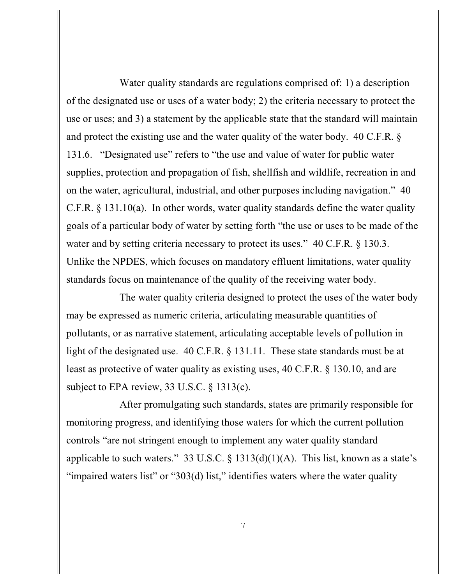Water quality standards are regulations comprised of: 1) a description of the designated use or uses of a water body; 2) the criteria necessary to protect the use or uses; and 3) a statement by the applicable state that the standard will maintain and protect the existing use and the water quality of the water body. 40 C.F.R. § 131.6. "Designated use" refers to "the use and value of water for public water supplies, protection and propagation of fish, shellfish and wildlife, recreation in and on the water, agricultural, industrial, and other purposes including navigation." 40 C.F.R. § 131.10(a). In other words, water quality standards define the water quality goals of a particular body of water by setting forth "the use or uses to be made of the water and by setting criteria necessary to protect its uses." 40 C.F.R. § 130.3. Unlike the NPDES, which focuses on mandatory effluent limitations, water quality standards focus on maintenance of the quality of the receiving water body.

The water quality criteria designed to protect the uses of the water body may be expressed as numeric criteria, articulating measurable quantities of pollutants, or as narrative statement, articulating acceptable levels of pollution in light of the designated use. 40 C.F.R. § 131.11. These state standards must be at least as protective of water quality as existing uses, 40 C.F.R. § 130.10, and are subject to EPA review, 33 U.S.C. § 1313(c).

After promulgating such standards, states are primarily responsible for monitoring progress, and identifying those waters for which the current pollution controls "are not stringent enough to implement any water quality standard applicable to such waters." 33 U.S.C.  $\S$  1313(d)(1)(A). This list, known as a state's "impaired waters list" or "303(d) list," identifies waters where the water quality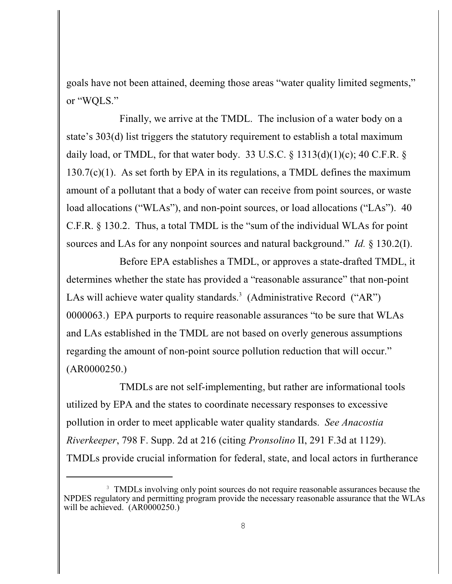goals have not been attained, deeming those areas "water quality limited segments," or "WQLS."

Finally, we arrive at the TMDL. The inclusion of a water body on a state's 303(d) list triggers the statutory requirement to establish a total maximum daily load, or TMDL, for that water body. 33 U.S.C.  $\S$  1313(d)(1)(c); 40 C.F.R.  $\S$ 130.7(c)(1). As set forth by EPA in its regulations, a TMDL defines the maximum amount of a pollutant that a body of water can receive from point sources, or waste load allocations ("WLAs"), and non-point sources, or load allocations ("LAs"). 40 C.F.R. § 130.2. Thus, a total TMDL is the "sum of the individual WLAs for point sources and LAs for any nonpoint sources and natural background." *Id.* § 130.2(I).

Before EPA establishes a TMDL, or approves a state-drafted TMDL, it determines whether the state has provided a "reasonable assurance" that non-point LAs will achieve water quality standards.<sup>3</sup> (Administrative Record ("AR") 0000063.) EPA purports to require reasonable assurances "to be sure that WLAs and LAs established in the TMDL are not based on overly generous assumptions regarding the amount of non-point source pollution reduction that will occur." (AR0000250.)

TMDLs are not self-implementing, but rather are informational tools utilized by EPA and the states to coordinate necessary responses to excessive pollution in order to meet applicable water quality standards. *See Anacostia Riverkeeper*, 798 F. Supp. 2d at 216 (citing *Pronsolino* II, 291 F.3d at 1129). TMDLs provide crucial information for federal, state, and local actors in furtherance

<sup>&</sup>lt;sup>3</sup> TMDLs involving only point sources do not require reasonable assurances because the NPDES regulatory and permitting program provide the necessary reasonable assurance that the WLAs will be achieved. (AR0000250.)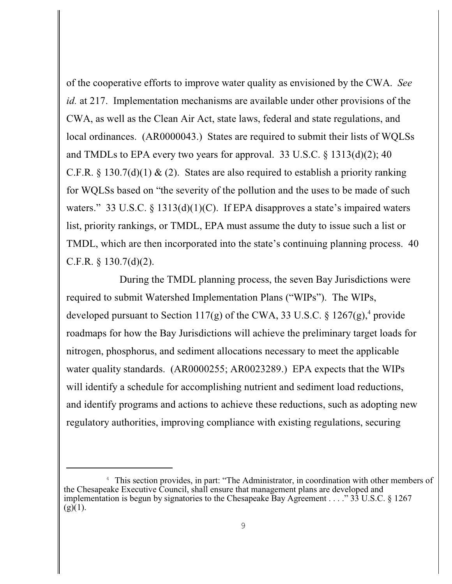of the cooperative efforts to improve water quality as envisioned by the CWA. *See id.* at 217. Implementation mechanisms are available under other provisions of the CWA, as well as the Clean Air Act, state laws, federal and state regulations, and local ordinances. (AR0000043.) States are required to submit their lists of WQLSs and TMDLs to EPA every two years for approval. 33 U.S.C. § 1313(d)(2); 40 C.F.R. § 130.7(d)(1) & (2). States are also required to establish a priority ranking for WQLSs based on "the severity of the pollution and the uses to be made of such waters." 33 U.S.C. § 1313(d)(1)(C). If EPA disapproves a state's impaired waters list, priority rankings, or TMDL, EPA must assume the duty to issue such a list or TMDL, which are then incorporated into the state's continuing planning process. 40 C.F.R. § 130.7(d)(2).

During the TMDL planning process, the seven Bay Jurisdictions were required to submit Watershed Implementation Plans ("WIPs"). The WIPs, developed pursuant to Section 117(g) of the CWA, 33 U.S.C. § 1267(g),<sup>4</sup> provide roadmaps for how the Bay Jurisdictions will achieve the preliminary target loads for nitrogen, phosphorus, and sediment allocations necessary to meet the applicable water quality standards. (AR0000255; AR0023289.) EPA expects that the WIPs will identify a schedule for accomplishing nutrient and sediment load reductions, and identify programs and actions to achieve these reductions, such as adopting new regulatory authorities, improving compliance with existing regulations, securing

 $4\;\;$  This section provides, in part: "The Administrator, in coordination with other members of the Chesapeake Executive Council, shall ensure that management plans are developed and implementation is begun by signatories to the Chesapeake Bay Agreement . . . ." 33 U.S.C. § 1267  $(g)(1)$ .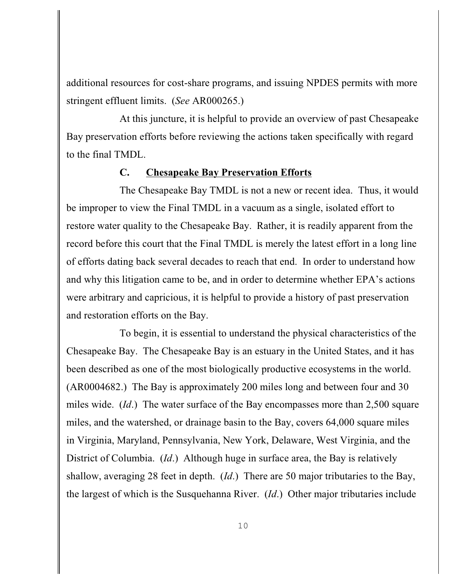additional resources for cost-share programs, and issuing NPDES permits with more stringent effluent limits. (*See* AR000265.)

At this juncture, it is helpful to provide an overview of past Chesapeake Bay preservation efforts before reviewing the actions taken specifically with regard to the final TMDL.

### **C. Chesapeake Bay Preservation Efforts**

The Chesapeake Bay TMDL is not a new or recent idea. Thus, it would be improper to view the Final TMDL in a vacuum as a single, isolated effort to restore water quality to the Chesapeake Bay. Rather, it is readily apparent from the record before this court that the Final TMDL is merely the latest effort in a long line of efforts dating back several decades to reach that end. In order to understand how and why this litigation came to be, and in order to determine whether EPA's actions were arbitrary and capricious, it is helpful to provide a history of past preservation and restoration efforts on the Bay.

To begin, it is essential to understand the physical characteristics of the Chesapeake Bay. The Chesapeake Bay is an estuary in the United States, and it has been described as one of the most biologically productive ecosystems in the world. (AR0004682.) The Bay is approximately 200 miles long and between four and 30 miles wide. (*Id*.) The water surface of the Bay encompasses more than 2,500 square miles, and the watershed, or drainage basin to the Bay, covers 64,000 square miles in Virginia, Maryland, Pennsylvania, New York, Delaware, West Virginia, and the District of Columbia. (*Id*.) Although huge in surface area, the Bay is relatively shallow, averaging 28 feet in depth. (*Id*.) There are 50 major tributaries to the Bay, the largest of which is the Susquehanna River. (*Id*.) Other major tributaries include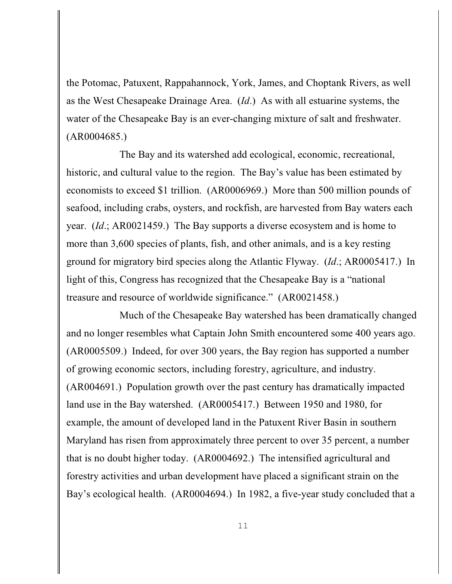the Potomac, Patuxent, Rappahannock, York, James, and Choptank Rivers, as well as the West Chesapeake Drainage Area. (*Id*.) As with all estuarine systems, the water of the Chesapeake Bay is an ever-changing mixture of salt and freshwater. (AR0004685.)

The Bay and its watershed add ecological, economic, recreational, historic, and cultural value to the region. The Bay's value has been estimated by economists to exceed \$1 trillion. (AR0006969.) More than 500 million pounds of seafood, including crabs, oysters, and rockfish, are harvested from Bay waters each year. (*Id*.; AR0021459.) The Bay supports a diverse ecosystem and is home to more than 3,600 species of plants, fish, and other animals, and is a key resting ground for migratory bird species along the Atlantic Flyway. (*Id*.; AR0005417.) In light of this, Congress has recognized that the Chesapeake Bay is a "national treasure and resource of worldwide significance." (AR0021458.)

Much of the Chesapeake Bay watershed has been dramatically changed and no longer resembles what Captain John Smith encountered some 400 years ago. (AR0005509.) Indeed, for over 300 years, the Bay region has supported a number of growing economic sectors, including forestry, agriculture, and industry. (AR004691.) Population growth over the past century has dramatically impacted land use in the Bay watershed. (AR0005417.) Between 1950 and 1980, for example, the amount of developed land in the Patuxent River Basin in southern Maryland has risen from approximately three percent to over 35 percent, a number that is no doubt higher today. (AR0004692.) The intensified agricultural and forestry activities and urban development have placed a significant strain on the Bay's ecological health. (AR0004694.) In 1982, a five-year study concluded that a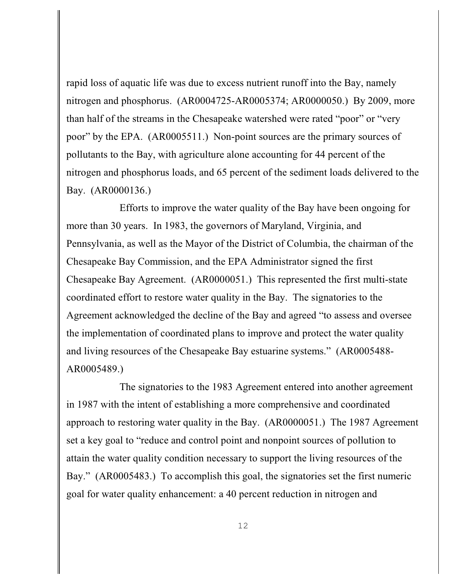rapid loss of aquatic life was due to excess nutrient runoff into the Bay, namely nitrogen and phosphorus. (AR0004725-AR0005374; AR0000050.) By 2009, more than half of the streams in the Chesapeake watershed were rated "poor" or "very poor" by the EPA. (AR0005511.) Non-point sources are the primary sources of pollutants to the Bay, with agriculture alone accounting for 44 percent of the nitrogen and phosphorus loads, and 65 percent of the sediment loads delivered to the Bay. (AR0000136.)

Efforts to improve the water quality of the Bay have been ongoing for more than 30 years. In 1983, the governors of Maryland, Virginia, and Pennsylvania, as well as the Mayor of the District of Columbia, the chairman of the Chesapeake Bay Commission, and the EPA Administrator signed the first Chesapeake Bay Agreement. (AR0000051.) This represented the first multi-state coordinated effort to restore water quality in the Bay. The signatories to the Agreement acknowledged the decline of the Bay and agreed "to assess and oversee the implementation of coordinated plans to improve and protect the water quality and living resources of the Chesapeake Bay estuarine systems." (AR0005488- AR0005489.)

The signatories to the 1983 Agreement entered into another agreement in 1987 with the intent of establishing a more comprehensive and coordinated approach to restoring water quality in the Bay. (AR0000051.) The 1987 Agreement set a key goal to "reduce and control point and nonpoint sources of pollution to attain the water quality condition necessary to support the living resources of the Bay." (AR0005483.) To accomplish this goal, the signatories set the first numeric goal for water quality enhancement: a 40 percent reduction in nitrogen and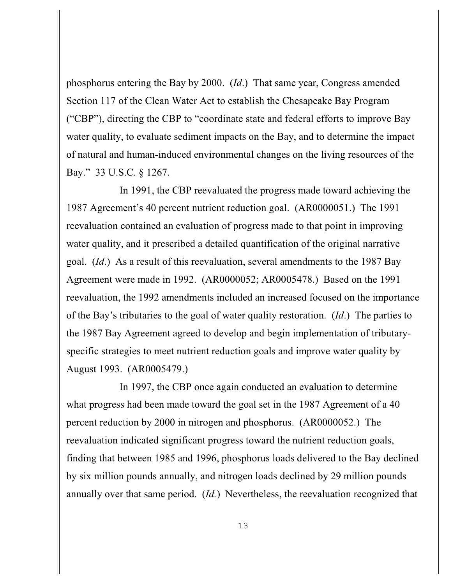phosphorus entering the Bay by 2000. (*Id*.) That same year, Congress amended Section 117 of the Clean Water Act to establish the Chesapeake Bay Program ("CBP"), directing the CBP to "coordinate state and federal efforts to improve Bay water quality, to evaluate sediment impacts on the Bay, and to determine the impact of natural and human-induced environmental changes on the living resources of the Bay." 33 U.S.C. § 1267.

In 1991, the CBP reevaluated the progress made toward achieving the 1987 Agreement's 40 percent nutrient reduction goal. (AR0000051.) The 1991 reevaluation contained an evaluation of progress made to that point in improving water quality, and it prescribed a detailed quantification of the original narrative goal. (*Id*.) As a result of this reevaluation, several amendments to the 1987 Bay Agreement were made in 1992. (AR0000052; AR0005478.) Based on the 1991 reevaluation, the 1992 amendments included an increased focused on the importance of the Bay's tributaries to the goal of water quality restoration. (*Id*.) The parties to the 1987 Bay Agreement agreed to develop and begin implementation of tributaryspecific strategies to meet nutrient reduction goals and improve water quality by August 1993. (AR0005479.)

In 1997, the CBP once again conducted an evaluation to determine what progress had been made toward the goal set in the 1987 Agreement of a 40 percent reduction by 2000 in nitrogen and phosphorus. (AR0000052.) The reevaluation indicated significant progress toward the nutrient reduction goals, finding that between 1985 and 1996, phosphorus loads delivered to the Bay declined by six million pounds annually, and nitrogen loads declined by 29 million pounds annually over that same period. (*Id.*) Nevertheless, the reevaluation recognized that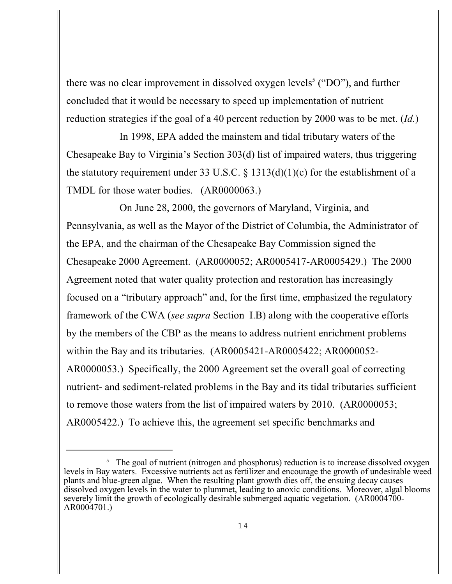there was no clear improvement in dissolved oxygen levels<sup>5</sup> ("DO"), and further concluded that it would be necessary to speed up implementation of nutrient reduction strategies if the goal of a 40 percent reduction by 2000 was to be met. (*Id.*)

In 1998, EPA added the mainstem and tidal tributary waters of the Chesapeake Bay to Virginia's Section 303(d) list of impaired waters, thus triggering the statutory requirement under 33 U.S.C. § 1313(d)(1)(c) for the establishment of a TMDL for those water bodies. (AR0000063.)

On June 28, 2000, the governors of Maryland, Virginia, and Pennsylvania, as well as the Mayor of the District of Columbia, the Administrator of the EPA, and the chairman of the Chesapeake Bay Commission signed the Chesapeake 2000 Agreement. (AR0000052; AR0005417-AR0005429.) The 2000 Agreement noted that water quality protection and restoration has increasingly focused on a "tributary approach" and, for the first time, emphasized the regulatory framework of the CWA (*see supra* Section I.B) along with the cooperative efforts by the members of the CBP as the means to address nutrient enrichment problems within the Bay and its tributaries. (AR0005421-AR0005422; AR0000052- AR0000053.) Specifically, the 2000 Agreement set the overall goal of correcting nutrient- and sediment-related problems in the Bay and its tidal tributaries sufficient to remove those waters from the list of impaired waters by 2010. (AR0000053; AR0005422.) To achieve this, the agreement set specific benchmarks and

<sup>&</sup>lt;sup>5</sup> The goal of nutrient (nitrogen and phosphorus) reduction is to increase dissolved oxygen levels in Bay waters. Excessive nutrients act as fertilizer and encourage the growth of undesirable weed plants and blue-green algae. When the resulting plant growth dies off, the ensuing decay causes dissolved oxygen levels in the water to plummet, leading to anoxic conditions. Moreover, algal blooms severely limit the growth of ecologically desirable submerged aquatic vegetation. (AR0004700- AR0004701.)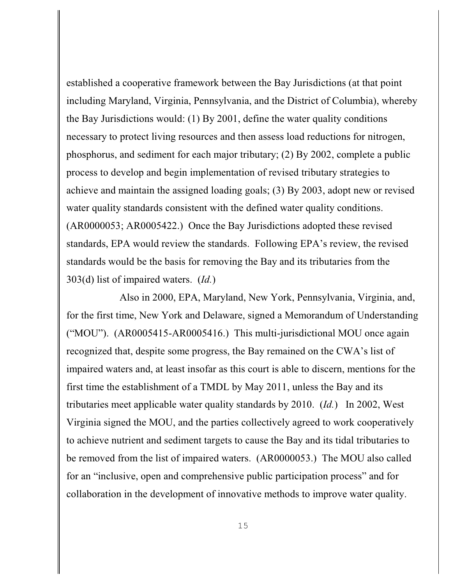established a cooperative framework between the Bay Jurisdictions (at that point including Maryland, Virginia, Pennsylvania, and the District of Columbia), whereby the Bay Jurisdictions would: (1) By 2001, define the water quality conditions necessary to protect living resources and then assess load reductions for nitrogen, phosphorus, and sediment for each major tributary; (2) By 2002, complete a public process to develop and begin implementation of revised tributary strategies to achieve and maintain the assigned loading goals; (3) By 2003, adopt new or revised water quality standards consistent with the defined water quality conditions. (AR0000053; AR0005422.) Once the Bay Jurisdictions adopted these revised standards, EPA would review the standards. Following EPA's review, the revised standards would be the basis for removing the Bay and its tributaries from the 303(d) list of impaired waters. (*Id.*)

Also in 2000, EPA, Maryland, New York, Pennsylvania, Virginia, and, for the first time, New York and Delaware, signed a Memorandum of Understanding ("MOU"). (AR0005415-AR0005416.) This multi-jurisdictional MOU once again recognized that, despite some progress, the Bay remained on the CWA's list of impaired waters and, at least insofar as this court is able to discern, mentions for the first time the establishment of a TMDL by May 2011, unless the Bay and its tributaries meet applicable water quality standards by 2010. (*Id.*) In 2002, West Virginia signed the MOU, and the parties collectively agreed to work cooperatively to achieve nutrient and sediment targets to cause the Bay and its tidal tributaries to be removed from the list of impaired waters. (AR0000053.) The MOU also called for an "inclusive, open and comprehensive public participation process" and for collaboration in the development of innovative methods to improve water quality.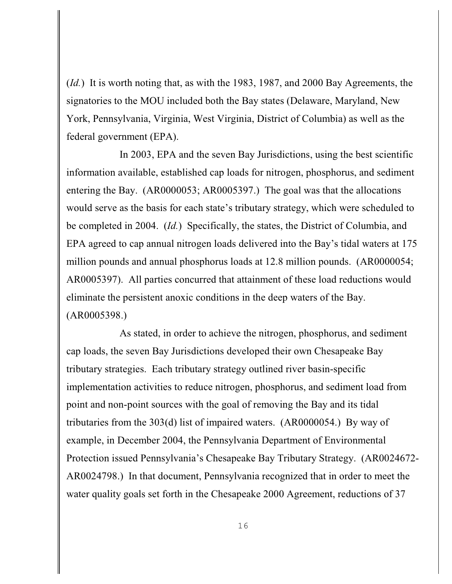(*Id.*) It is worth noting that, as with the 1983, 1987, and 2000 Bay Agreements, the signatories to the MOU included both the Bay states (Delaware, Maryland, New York, Pennsylvania, Virginia, West Virginia, District of Columbia) as well as the federal government (EPA).

In 2003, EPA and the seven Bay Jurisdictions, using the best scientific information available, established cap loads for nitrogen, phosphorus, and sediment entering the Bay. (AR0000053; AR0005397.) The goal was that the allocations would serve as the basis for each state's tributary strategy, which were scheduled to be completed in 2004. (*Id.*) Specifically, the states, the District of Columbia, and EPA agreed to cap annual nitrogen loads delivered into the Bay's tidal waters at 175 million pounds and annual phosphorus loads at 12.8 million pounds. (AR0000054; AR0005397). All parties concurred that attainment of these load reductions would eliminate the persistent anoxic conditions in the deep waters of the Bay. (AR0005398.)

As stated, in order to achieve the nitrogen, phosphorus, and sediment cap loads, the seven Bay Jurisdictions developed their own Chesapeake Bay tributary strategies. Each tributary strategy outlined river basin-specific implementation activities to reduce nitrogen, phosphorus, and sediment load from point and non-point sources with the goal of removing the Bay and its tidal tributaries from the 303(d) list of impaired waters. (AR0000054.) By way of example, in December 2004, the Pennsylvania Department of Environmental Protection issued Pennsylvania's Chesapeake Bay Tributary Strategy. (AR0024672- AR0024798.) In that document, Pennsylvania recognized that in order to meet the water quality goals set forth in the Chesapeake 2000 Agreement, reductions of 37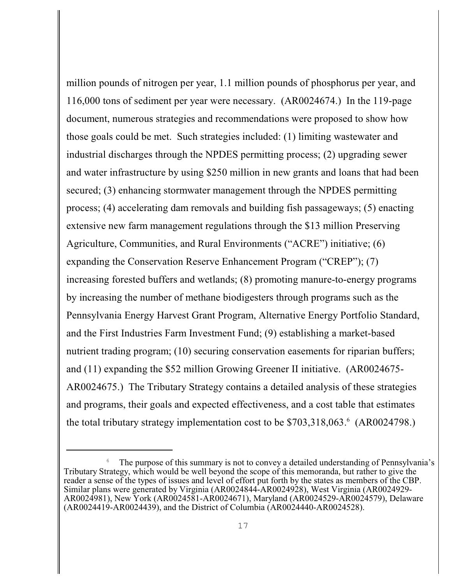million pounds of nitrogen per year, 1.1 million pounds of phosphorus per year, and 116,000 tons of sediment per year were necessary. (AR0024674.) In the 119-page document, numerous strategies and recommendations were proposed to show how those goals could be met. Such strategies included: (1) limiting wastewater and industrial discharges through the NPDES permitting process; (2) upgrading sewer and water infrastructure by using \$250 million in new grants and loans that had been secured; (3) enhancing stormwater management through the NPDES permitting process; (4) accelerating dam removals and building fish passageways; (5) enacting extensive new farm management regulations through the \$13 million Preserving Agriculture, Communities, and Rural Environments ("ACRE") initiative; (6) expanding the Conservation Reserve Enhancement Program ("CREP"); (7) increasing forested buffers and wetlands; (8) promoting manure-to-energy programs by increasing the number of methane biodigesters through programs such as the Pennsylvania Energy Harvest Grant Program, Alternative Energy Portfolio Standard, and the First Industries Farm Investment Fund; (9) establishing a market-based nutrient trading program; (10) securing conservation easements for riparian buffers; and (11) expanding the \$52 million Growing Greener II initiative. (AR0024675- AR0024675.) The Tributary Strategy contains a detailed analysis of these strategies and programs, their goals and expected effectiveness, and a cost table that estimates the total tributary strategy implementation cost to be  $$703,318,063<sup>6</sup>$  (AR0024798.)

The purpose of this summary is not to convey a detailed understanding of Pennsylvania's Tributary Strategy, which would be well beyond the scope of this memoranda, but rather to give the reader a sense of the types of issues and level of effort put forth by the states as members of the CBP. Similar plans were generated by Virginia (AR0024844-AR0024928), West Virginia (AR0024929- AR0024981), New York (AR0024581-AR0024671), Maryland (AR0024529-AR0024579), Delaware (AR0024419-AR0024439), and the District of Columbia (AR0024440-AR0024528).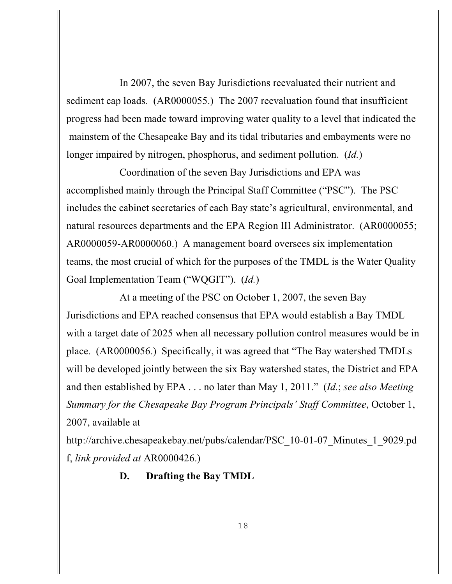In 2007, the seven Bay Jurisdictions reevaluated their nutrient and sediment cap loads. (AR0000055.) The 2007 reevaluation found that insufficient progress had been made toward improving water quality to a level that indicated the mainstem of the Chesapeake Bay and its tidal tributaries and embayments were no longer impaired by nitrogen, phosphorus, and sediment pollution. (*Id.*)

Coordination of the seven Bay Jurisdictions and EPA was accomplished mainly through the Principal Staff Committee ("PSC"). The PSC includes the cabinet secretaries of each Bay state's agricultural, environmental, and natural resources departments and the EPA Region III Administrator. (AR0000055; AR0000059-AR0000060.) A management board oversees six implementation teams, the most crucial of which for the purposes of the TMDL is the Water Quality Goal Implementation Team ("WQGIT"). (*Id.*)

At a meeting of the PSC on October 1, 2007, the seven Bay Jurisdictions and EPA reached consensus that EPA would establish a Bay TMDL with a target date of 2025 when all necessary pollution control measures would be in place. (AR0000056.) Specifically, it was agreed that "The Bay watershed TMDLs will be developed jointly between the six Bay watershed states, the District and EPA and then established by EPA . . . no later than May 1, 2011." (*Id.*; *see also Meeting Summary for the Chesapeake Bay Program Principals' Staff Committee*, October 1, 2007, available at

http://archive.chesapeakebay.net/pubs/calendar/PSC\_10-01-07\_Minutes\_1\_9029.pd f, *link provided at* AR0000426.)

# **D. Drafting the Bay TMDL**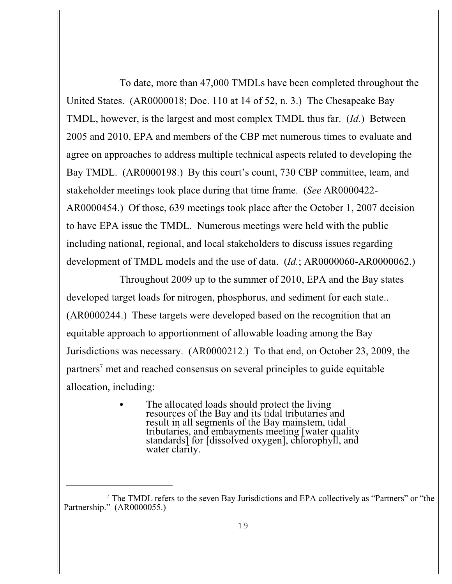To date, more than 47,000 TMDLs have been completed throughout the United States. (AR0000018; Doc. 110 at 14 of 52, n. 3.) The Chesapeake Bay TMDL, however, is the largest and most complex TMDL thus far. (*Id.*) Between 2005 and 2010, EPA and members of the CBP met numerous times to evaluate and agree on approaches to address multiple technical aspects related to developing the Bay TMDL. (AR0000198.) By this court's count, 730 CBP committee, team, and stakeholder meetings took place during that time frame. (*See* AR0000422- AR0000454.) Of those, 639 meetings took place after the October 1, 2007 decision to have EPA issue the TMDL. Numerous meetings were held with the public including national, regional, and local stakeholders to discuss issues regarding development of TMDL models and the use of data. (*Id.*; AR0000060-AR0000062.)

Throughout 2009 up to the summer of 2010, EPA and the Bay states developed target loads for nitrogen, phosphorus, and sediment for each state.. (AR0000244.) These targets were developed based on the recognition that an equitable approach to apportionment of allowable loading among the Bay Jurisdictions was necessary. (AR0000212.) To that end, on October 23, 2009, the partners<sup>7</sup> met and reached consensus on several principles to guide equitable allocation, including:

> • The allocated loads should protect the living resources of the Bay and its tidal tributaries and result in all segments of the Bay mainstem, tidal tributaries, and embayments meeting [water quality standards] for [dissolved oxygen], chlorophyll, and water clarity.

<sup>&</sup>lt;sup>7</sup> The TMDL refers to the seven Bay Jurisdictions and EPA collectively as "Partners" or "the Partnership." (AR0000055.)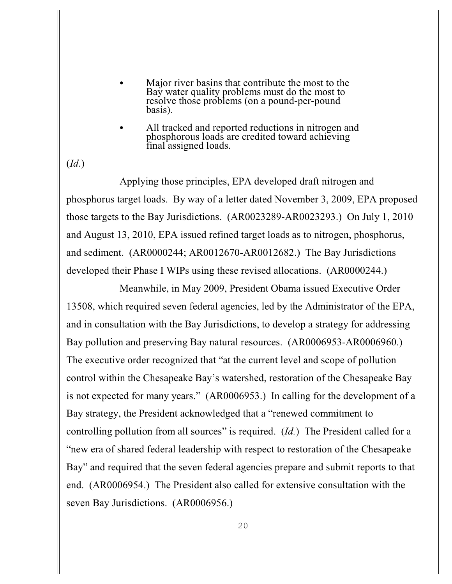- Major river basins that contribute the most to the Bay water quality problems must do the most to resolve those problems (on a pound-per-pound basis).
- All tracked and reported reductions in nitrogen and phosphorous loads are credited toward achieving final assigned loads.

(*Id*.)

Applying those principles, EPA developed draft nitrogen and phosphorus target loads. By way of a letter dated November 3, 2009, EPA proposed those targets to the Bay Jurisdictions. (AR0023289-AR0023293.) On July 1, 2010 and August 13, 2010, EPA issued refined target loads as to nitrogen, phosphorus, and sediment. (AR0000244; AR0012670-AR0012682.) The Bay Jurisdictions developed their Phase I WIPs using these revised allocations. (AR0000244.)

Meanwhile, in May 2009, President Obama issued Executive Order 13508, which required seven federal agencies, led by the Administrator of the EPA, and in consultation with the Bay Jurisdictions, to develop a strategy for addressing Bay pollution and preserving Bay natural resources. (AR0006953-AR0006960.) The executive order recognized that "at the current level and scope of pollution control within the Chesapeake Bay's watershed, restoration of the Chesapeake Bay is not expected for many years." (AR0006953.) In calling for the development of a Bay strategy, the President acknowledged that a "renewed commitment to controlling pollution from all sources" is required. (*Id.*) The President called for a "new era of shared federal leadership with respect to restoration of the Chesapeake Bay" and required that the seven federal agencies prepare and submit reports to that end. (AR0006954.) The President also called for extensive consultation with the seven Bay Jurisdictions. (AR0006956.)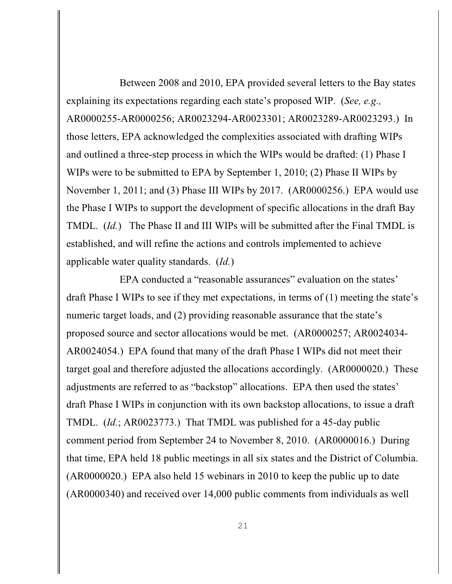Between 2008 and 2010, EPA provided several letters to the Bay states explaining its expectations regarding each state's proposed WIP. (*See, e.g.,* AR0000255-AR0000256; AR0023294-AR0023301; AR0023289-AR0023293.) In those letters, EPA acknowledged the complexities associated with drafting WIPs and outlined a three-step process in which the WIPs would be drafted: (1) Phase I WIPs were to be submitted to EPA by September 1, 2010; (2) Phase II WIPs by November 1, 2011; and (3) Phase III WIPs by 2017. (AR0000256.) EPA would use the Phase I WIPs to support the development of specific allocations in the draft Bay TMDL. (*Id.*) The Phase II and III WIPs will be submitted after the Final TMDL is established, and will refine the actions and controls implemented to achieve applicable water quality standards. (*Id.*)

EPA conducted a "reasonable assurances" evaluation on the states' draft Phase I WIPs to see if they met expectations, in terms of (1) meeting the state's numeric target loads, and (2) providing reasonable assurance that the state's proposed source and sector allocations would be met. (AR0000257; AR0024034- AR0024054.) EPA found that many of the draft Phase I WIPs did not meet their target goal and therefore adjusted the allocations accordingly. (AR0000020.) These adjustments are referred to as "backstop" allocations. EPA then used the states' draft Phase I WIPs in conjunction with its own backstop allocations, to issue a draft TMDL. (*Id.*; AR0023773.) That TMDL was published for a 45-day public comment period from September 24 to November 8, 2010. (AR0000016.) During that time, EPA held 18 public meetings in all six states and the District of Columbia. (AR0000020.) EPA also held 15 webinars in 2010 to keep the public up to date (AR0000340) and received over 14,000 public comments from individuals as well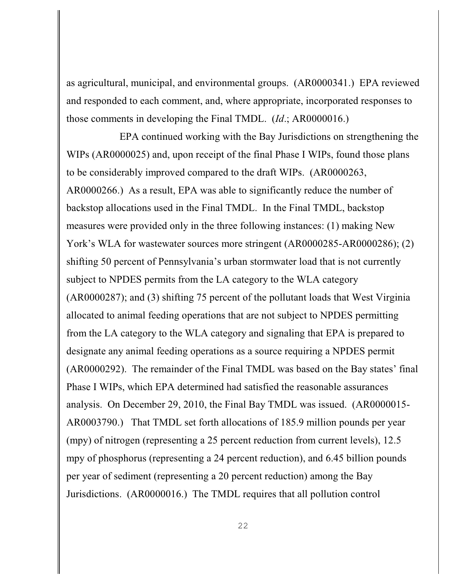as agricultural, municipal, and environmental groups. (AR0000341.) EPA reviewed and responded to each comment, and, where appropriate, incorporated responses to those comments in developing the Final TMDL. (*Id*.; AR0000016.)

EPA continued working with the Bay Jurisdictions on strengthening the WIPs (AR0000025) and, upon receipt of the final Phase I WIPs, found those plans to be considerably improved compared to the draft WIPs. (AR0000263, AR0000266.) As a result, EPA was able to significantly reduce the number of backstop allocations used in the Final TMDL. In the Final TMDL, backstop measures were provided only in the three following instances: (1) making New York's WLA for wastewater sources more stringent (AR0000285-AR0000286); (2) shifting 50 percent of Pennsylvania's urban stormwater load that is not currently subject to NPDES permits from the LA category to the WLA category (AR0000287); and (3) shifting 75 percent of the pollutant loads that West Virginia allocated to animal feeding operations that are not subject to NPDES permitting from the LA category to the WLA category and signaling that EPA is prepared to designate any animal feeding operations as a source requiring a NPDES permit (AR0000292). The remainder of the Final TMDL was based on the Bay states' final Phase I WIPs, which EPA determined had satisfied the reasonable assurances analysis. On December 29, 2010, the Final Bay TMDL was issued. (AR0000015- AR0003790.) That TMDL set forth allocations of 185.9 million pounds per year (mpy) of nitrogen (representing a 25 percent reduction from current levels), 12.5 mpy of phosphorus (representing a 24 percent reduction), and 6.45 billion pounds per year of sediment (representing a 20 percent reduction) among the Bay Jurisdictions. (AR0000016.) The TMDL requires that all pollution control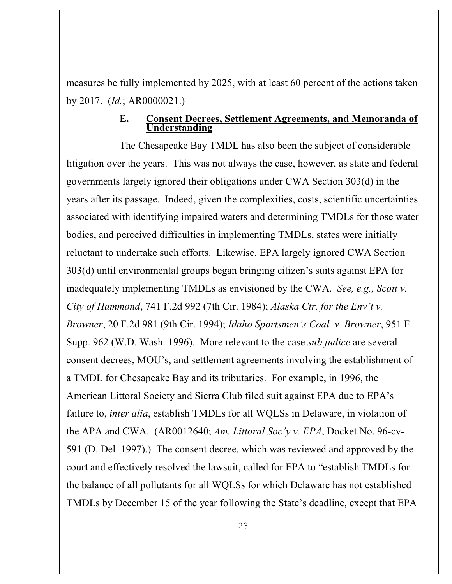measures be fully implemented by 2025, with at least 60 percent of the actions taken by 2017. (*Id.*; AR0000021.)

### **E. Consent Decrees, Settlement Agreements, and Memoranda of Understanding**

The Chesapeake Bay TMDL has also been the subject of considerable litigation over the years. This was not always the case, however, as state and federal governments largely ignored their obligations under CWA Section 303(d) in the years after its passage. Indeed, given the complexities, costs, scientific uncertainties associated with identifying impaired waters and determining TMDLs for those water bodies, and perceived difficulties in implementing TMDLs, states were initially reluctant to undertake such efforts. Likewise, EPA largely ignored CWA Section 303(d) until environmental groups began bringing citizen's suits against EPA for inadequately implementing TMDLs as envisioned by the CWA. *See, e.g., Scott v. City of Hammond*, 741 F.2d 992 (7th Cir. 1984); *Alaska Ctr. for the Env't v. Browner*, 20 F.2d 981 (9th Cir. 1994); *Idaho Sportsmen's Coal. v. Browner*, 951 F. Supp. 962 (W.D. Wash. 1996). More relevant to the case *sub judice* are several consent decrees, MOU's, and settlement agreements involving the establishment of a TMDL for Chesapeake Bay and its tributaries. For example, in 1996, the American Littoral Society and Sierra Club filed suit against EPA due to EPA's failure to, *inter alia*, establish TMDLs for all WQLSs in Delaware, in violation of the APA and CWA. (AR0012640; *Am. Littoral Soc'y v. EPA*, Docket No. 96-cv-591 (D. Del. 1997).) The consent decree, which was reviewed and approved by the court and effectively resolved the lawsuit, called for EPA to "establish TMDLs for the balance of all pollutants for all WQLSs for which Delaware has not established TMDLs by December 15 of the year following the State's deadline, except that EPA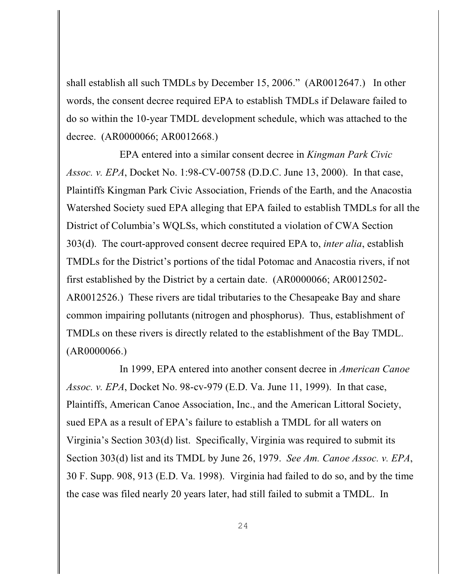shall establish all such TMDLs by December 15, 2006." (AR0012647.) In other words, the consent decree required EPA to establish TMDLs if Delaware failed to do so within the 10-year TMDL development schedule, which was attached to the decree. (AR0000066; AR0012668.)

EPA entered into a similar consent decree in *Kingman Park Civic Assoc. v. EPA*, Docket No. 1:98-CV-00758 (D.D.C. June 13, 2000). In that case, Plaintiffs Kingman Park Civic Association, Friends of the Earth, and the Anacostia Watershed Society sued EPA alleging that EPA failed to establish TMDLs for all the District of Columbia's WQLSs, which constituted a violation of CWA Section 303(d). The court-approved consent decree required EPA to, *inter alia*, establish TMDLs for the District's portions of the tidal Potomac and Anacostia rivers, if not first established by the District by a certain date. (AR0000066; AR0012502- AR0012526.) These rivers are tidal tributaries to the Chesapeake Bay and share common impairing pollutants (nitrogen and phosphorus). Thus, establishment of TMDLs on these rivers is directly related to the establishment of the Bay TMDL. (AR0000066.)

In 1999, EPA entered into another consent decree in *American Canoe Assoc. v. EPA*, Docket No. 98-cv-979 (E.D. Va. June 11, 1999). In that case, Plaintiffs, American Canoe Association, Inc., and the American Littoral Society, sued EPA as a result of EPA's failure to establish a TMDL for all waters on Virginia's Section 303(d) list. Specifically, Virginia was required to submit its Section 303(d) list and its TMDL by June 26, 1979. *See Am. Canoe Assoc. v. EPA*, 30 F. Supp. 908, 913 (E.D. Va. 1998). Virginia had failed to do so, and by the time the case was filed nearly 20 years later, had still failed to submit a TMDL. In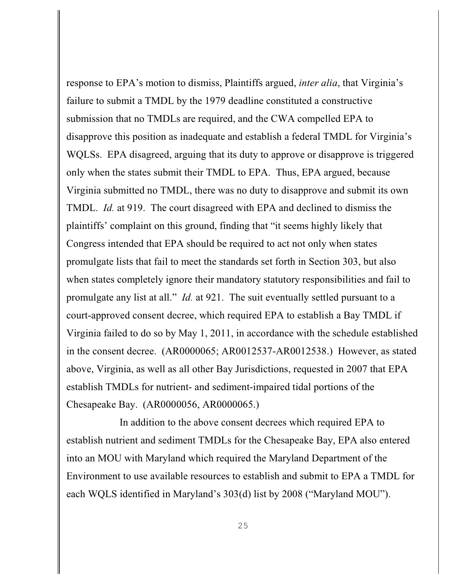response to EPA's motion to dismiss, Plaintiffs argued, *inter alia*, that Virginia's failure to submit a TMDL by the 1979 deadline constituted a constructive submission that no TMDLs are required, and the CWA compelled EPA to disapprove this position as inadequate and establish a federal TMDL for Virginia's WQLSs. EPA disagreed, arguing that its duty to approve or disapprove is triggered only when the states submit their TMDL to EPA. Thus, EPA argued, because Virginia submitted no TMDL, there was no duty to disapprove and submit its own TMDL. *Id.* at 919. The court disagreed with EPA and declined to dismiss the plaintiffs' complaint on this ground, finding that "it seems highly likely that Congress intended that EPA should be required to act not only when states promulgate lists that fail to meet the standards set forth in Section 303, but also when states completely ignore their mandatory statutory responsibilities and fail to promulgate any list at all." *Id.* at 921. The suit eventually settled pursuant to a court-approved consent decree, which required EPA to establish a Bay TMDL if Virginia failed to do so by May 1, 2011, in accordance with the schedule established in the consent decree. (AR0000065; AR0012537-AR0012538.) However, as stated above, Virginia, as well as all other Bay Jurisdictions, requested in 2007 that EPA establish TMDLs for nutrient- and sediment-impaired tidal portions of the Chesapeake Bay. (AR0000056, AR0000065.)

In addition to the above consent decrees which required EPA to establish nutrient and sediment TMDLs for the Chesapeake Bay, EPA also entered into an MOU with Maryland which required the Maryland Department of the Environment to use available resources to establish and submit to EPA a TMDL for each WQLS identified in Maryland's 303(d) list by 2008 ("Maryland MOU").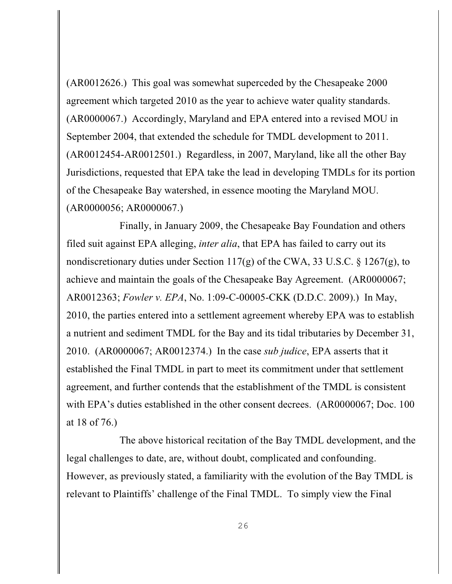(AR0012626.) This goal was somewhat superceded by the Chesapeake 2000 agreement which targeted 2010 as the year to achieve water quality standards. (AR0000067.) Accordingly, Maryland and EPA entered into a revised MOU in September 2004, that extended the schedule for TMDL development to 2011. (AR0012454-AR0012501.) Regardless, in 2007, Maryland, like all the other Bay Jurisdictions, requested that EPA take the lead in developing TMDLs for its portion of the Chesapeake Bay watershed, in essence mooting the Maryland MOU. (AR0000056; AR0000067.)

Finally, in January 2009, the Chesapeake Bay Foundation and others filed suit against EPA alleging, *inter alia*, that EPA has failed to carry out its nondiscretionary duties under Section 117(g) of the CWA, 33 U.S.C.  $\S$  1267(g), to achieve and maintain the goals of the Chesapeake Bay Agreement. (AR0000067; AR0012363; *Fowler v. EPA*, No. 1:09-C-00005-CKK (D.D.C. 2009).) In May, 2010, the parties entered into a settlement agreement whereby EPA was to establish a nutrient and sediment TMDL for the Bay and its tidal tributaries by December 31, 2010. (AR0000067; AR0012374.) In the case *sub judice*, EPA asserts that it established the Final TMDL in part to meet its commitment under that settlement agreement, and further contends that the establishment of the TMDL is consistent with EPA's duties established in the other consent decrees. (AR0000067; Doc. 100 at 18 of 76.)

The above historical recitation of the Bay TMDL development, and the legal challenges to date, are, without doubt, complicated and confounding. However, as previously stated, a familiarity with the evolution of the Bay TMDL is relevant to Plaintiffs' challenge of the Final TMDL. To simply view the Final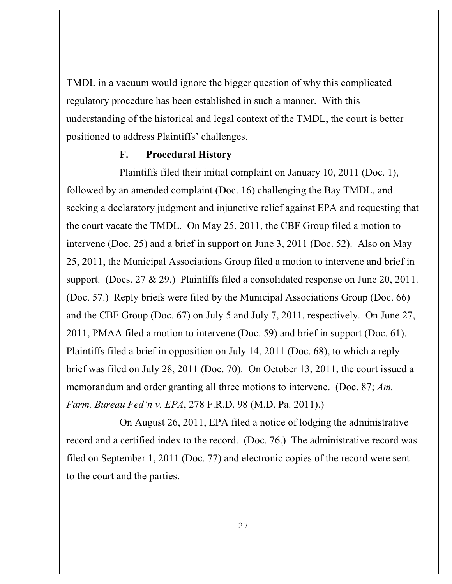TMDL in a vacuum would ignore the bigger question of why this complicated regulatory procedure has been established in such a manner. With this understanding of the historical and legal context of the TMDL, the court is better positioned to address Plaintiffs' challenges.

## **F. Procedural History**

Plaintiffs filed their initial complaint on January 10, 2011 (Doc. 1), followed by an amended complaint (Doc. 16) challenging the Bay TMDL, and seeking a declaratory judgment and injunctive relief against EPA and requesting that the court vacate the TMDL. On May 25, 2011, the CBF Group filed a motion to intervene (Doc. 25) and a brief in support on June 3, 2011 (Doc. 52). Also on May 25, 2011, the Municipal Associations Group filed a motion to intervene and brief in support. (Docs. 27 & 29.) Plaintiffs filed a consolidated response on June 20, 2011. (Doc. 57.) Reply briefs were filed by the Municipal Associations Group (Doc. 66) and the CBF Group (Doc. 67) on July 5 and July 7, 2011, respectively. On June 27, 2011, PMAA filed a motion to intervene (Doc. 59) and brief in support (Doc. 61). Plaintiffs filed a brief in opposition on July 14, 2011 (Doc. 68), to which a reply brief was filed on July 28, 2011 (Doc. 70). On October 13, 2011, the court issued a memorandum and order granting all three motions to intervene. (Doc. 87; *Am. Farm. Bureau Fed'n v. EPA*, 278 F.R.D. 98 (M.D. Pa. 2011).)

On August 26, 2011, EPA filed a notice of lodging the administrative record and a certified index to the record. (Doc. 76.) The administrative record was filed on September 1, 2011 (Doc. 77) and electronic copies of the record were sent to the court and the parties.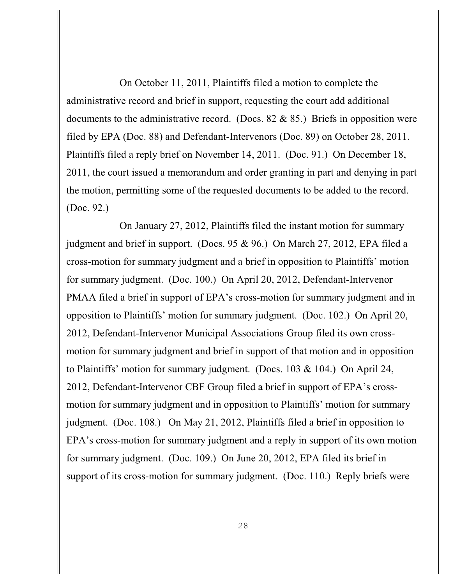On October 11, 2011, Plaintiffs filed a motion to complete the administrative record and brief in support, requesting the court add additional documents to the administrative record. (Docs.  $82 \& 85$ .) Briefs in opposition were filed by EPA (Doc. 88) and Defendant-Intervenors (Doc. 89) on October 28, 2011. Plaintiffs filed a reply brief on November 14, 2011. (Doc. 91.) On December 18, 2011, the court issued a memorandum and order granting in part and denying in part the motion, permitting some of the requested documents to be added to the record. (Doc. 92.)

On January 27, 2012, Plaintiffs filed the instant motion for summary judgment and brief in support. (Docs. 95 & 96.) On March 27, 2012, EPA filed a cross-motion for summary judgment and a brief in opposition to Plaintiffs' motion for summary judgment. (Doc. 100.) On April 20, 2012, Defendant-Intervenor PMAA filed a brief in support of EPA's cross-motion for summary judgment and in opposition to Plaintiffs' motion for summary judgment. (Doc. 102.) On April 20, 2012, Defendant-Intervenor Municipal Associations Group filed its own crossmotion for summary judgment and brief in support of that motion and in opposition to Plaintiffs' motion for summary judgment. (Docs. 103 & 104.) On April 24, 2012, Defendant-Intervenor CBF Group filed a brief in support of EPA's crossmotion for summary judgment and in opposition to Plaintiffs' motion for summary judgment. (Doc. 108.) On May 21, 2012, Plaintiffs filed a brief in opposition to EPA's cross-motion for summary judgment and a reply in support of its own motion for summary judgment. (Doc. 109.) On June 20, 2012, EPA filed its brief in support of its cross-motion for summary judgment. (Doc. 110.) Reply briefs were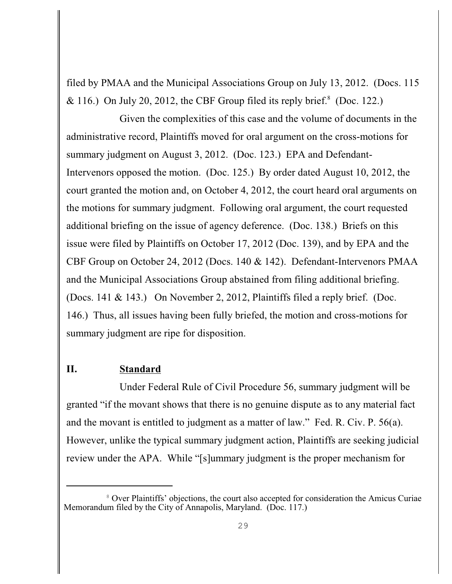filed by PMAA and the Municipal Associations Group on July 13, 2012. (Docs. 115 & 116.) On July 20, 2012, the CBF Group filed its reply brief.<sup>8</sup> (Doc. 122.)

Given the complexities of this case and the volume of documents in the administrative record, Plaintiffs moved for oral argument on the cross-motions for summary judgment on August 3, 2012. (Doc. 123.) EPA and Defendant-Intervenors opposed the motion. (Doc. 125.) By order dated August 10, 2012, the court granted the motion and, on October 4, 2012, the court heard oral arguments on the motions for summary judgment. Following oral argument, the court requested additional briefing on the issue of agency deference. (Doc. 138.) Briefs on this issue were filed by Plaintiffs on October 17, 2012 (Doc. 139), and by EPA and the CBF Group on October 24, 2012 (Docs. 140 & 142). Defendant-Intervenors PMAA and the Municipal Associations Group abstained from filing additional briefing. (Docs. 141 & 143.) On November 2, 2012, Plaintiffs filed a reply brief. (Doc. 146.) Thus, all issues having been fully briefed, the motion and cross-motions for summary judgment are ripe for disposition.

### **II. Standard**

Under Federal Rule of Civil Procedure 56, summary judgment will be granted "if the movant shows that there is no genuine dispute as to any material fact and the movant is entitled to judgment as a matter of law." Fed. R. Civ. P. 56(a). However, unlike the typical summary judgment action, Plaintiffs are seeking judicial review under the APA. While "[s]ummary judgment is the proper mechanism for

<sup>&</sup>lt;sup>8</sup> Over Plaintiffs' objections, the court also accepted for consideration the Amicus Curiae Memorandum filed by the City of Annapolis, Maryland. (Doc. 117.)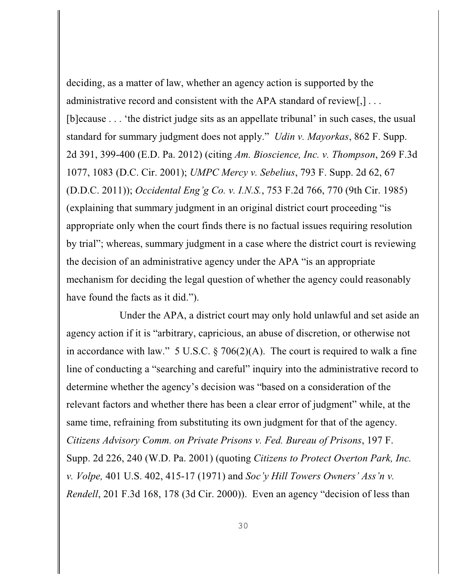deciding, as a matter of law, whether an agency action is supported by the administrative record and consistent with the APA standard of review[,] ... [b]ecause . . . 'the district judge sits as an appellate tribunal' in such cases, the usual standard for summary judgment does not apply." *Udin v. Mayorkas*, 862 F. Supp. 2d 391, 399-400 (E.D. Pa. 2012) (citing *Am. Bioscience, Inc. v. Thompson*, 269 F.3d 1077, 1083 (D.C. Cir. 2001); *UMPC Mercy v. Sebelius*, 793 F. Supp. 2d 62, 67 (D.D.C. 2011)); *Occidental Eng'g Co. v. I.N.S.*, 753 F.2d 766, 770 (9th Cir. 1985) (explaining that summary judgment in an original district court proceeding "is appropriate only when the court finds there is no factual issues requiring resolution by trial"; whereas, summary judgment in a case where the district court is reviewing the decision of an administrative agency under the APA "is an appropriate mechanism for deciding the legal question of whether the agency could reasonably have found the facts as it did.").

Under the APA, a district court may only hold unlawful and set aside an agency action if it is "arbitrary, capricious, an abuse of discretion, or otherwise not in accordance with law." 5 U.S.C.  $\S 706(2)(A)$ . The court is required to walk a fine line of conducting a "searching and careful" inquiry into the administrative record to determine whether the agency's decision was "based on a consideration of the relevant factors and whether there has been a clear error of judgment" while, at the same time, refraining from substituting its own judgment for that of the agency. *Citizens Advisory Comm. on Private Prisons v. Fed. Bureau of Prisons*, 197 F. Supp. 2d 226, 240 (W.D. Pa. 2001) (quoting *Citizens to Protect Overton Park, Inc. v. Volpe,* 401 U.S. 402, 415-17 (1971) and *Soc'y Hill Towers Owners' Ass'n v. Rendell*, 201 F.3d 168, 178 (3d Cir. 2000)). Even an agency "decision of less than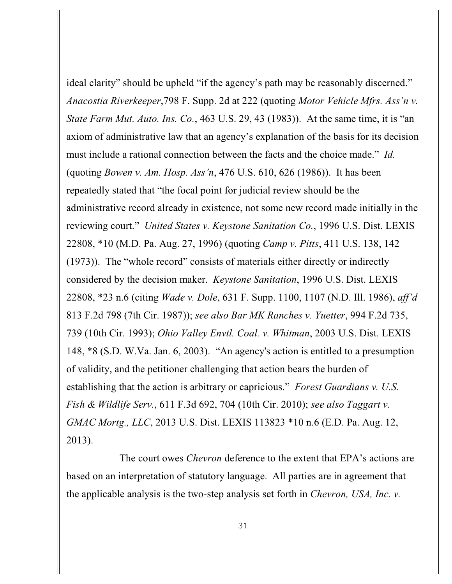ideal clarity" should be upheld "if the agency's path may be reasonably discerned." *Anacostia Riverkeeper*,798 F. Supp. 2d at 222 (quoting *Motor Vehicle Mfrs. Ass'n v. State Farm Mut. Auto. Ins. Co.*, 463 U.S. 29, 43 (1983)). At the same time, it is "an axiom of administrative law that an agency's explanation of the basis for its decision must include a rational connection between the facts and the choice made." *Id.* (quoting *Bowen v. Am. Hosp. Ass'n*, 476 U.S. 610, 626 (1986)). It has been repeatedly stated that "the focal point for judicial review should be the administrative record already in existence, not some new record made initially in the reviewing court." *United States v. Keystone Sanitation Co.*, 1996 U.S. Dist. LEXIS 22808, \*10 (M.D. Pa. Aug. 27, 1996) (quoting *Camp v. Pitts*, 411 U.S. 138, 142 (1973)). The "whole record" consists of materials either directly or indirectly considered by the decision maker. *Keystone Sanitation*, 1996 U.S. Dist. LEXIS 22808, \*23 n.6 (citing *Wade v. Dole*, 631 F. Supp. 1100, 1107 (N.D. Ill. 1986), *aff'd* 813 F.2d 798 (7th Cir. 1987)); *see also Bar MK Ranches v. Yuetter*, 994 F.2d 735, 739 (10th Cir. 1993); *Ohio Valley Envtl. Coal. v. Whitman*, 2003 U.S. Dist. LEXIS 148, \*8 (S.D. W.Va. Jan. 6, 2003). "An agency's action is entitled to a presumption of validity, and the petitioner challenging that action bears the burden of establishing that the action is arbitrary or capricious." *Forest Guardians v. U.S. Fish & Wildlife Serv.*, 611 F.3d 692, 704 (10th Cir. 2010); *see also Taggart v. GMAC Mortg., LLC*, 2013 U.S. Dist. LEXIS 113823 \*10 n.6 (E.D. Pa. Aug. 12, 2013).

The court owes *Chevron* deference to the extent that EPA's actions are based on an interpretation of statutory language. All parties are in agreement that the applicable analysis is the two-step analysis set forth in *Chevron, USA, Inc. v.*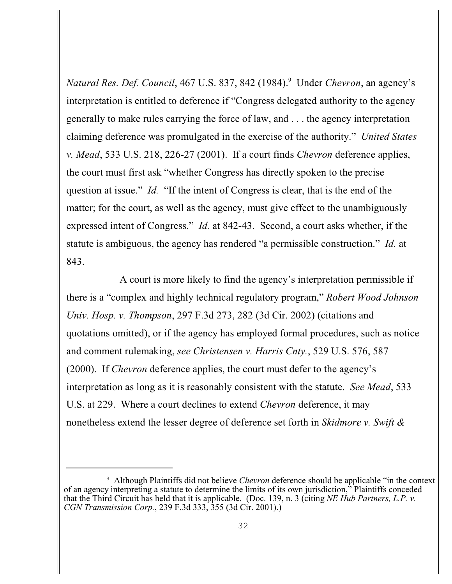*Natural Res. Def. Council,* 467 U.S. 837, 842 (1984). <sup>9</sup> Under *Chevron*, an agency's interpretation is entitled to deference if "Congress delegated authority to the agency generally to make rules carrying the force of law, and . . . the agency interpretation claiming deference was promulgated in the exercise of the authority." *United States v. Mead*, 533 U.S. 218, 226-27 (2001). If a court finds *Chevron* deference applies, the court must first ask "whether Congress has directly spoken to the precise question at issue." *Id.* "If the intent of Congress is clear, that is the end of the matter; for the court, as well as the agency, must give effect to the unambiguously expressed intent of Congress." *Id.* at 842-43. Second, a court asks whether, if the statute is ambiguous, the agency has rendered "a permissible construction." *Id.* at 843.

A court is more likely to find the agency's interpretation permissible if there is a "complex and highly technical regulatory program," *Robert Wood Johnson Univ. Hosp. v. Thompson*, 297 F.3d 273, 282 (3d Cir. 2002) (citations and quotations omitted), or if the agency has employed formal procedures, such as notice and comment rulemaking, *see Christensen v. Harris Cnty.*, 529 U.S. 576, 587 (2000). If *Chevron* deference applies, the court must defer to the agency's interpretation as long as it is reasonably consistent with the statute. *See Mead*, 533 U.S. at 229. Where a court declines to extend *Chevron* deference, it may nonetheless extend the lesser degree of deference set forth in *Skidmore v. Swift &*

Although Plaintiffs did not believe *Chevron* deference should be applicable "in the context <sup>9</sup> of an agency interpreting a statute to determine the limits of its own jurisdiction," Plaintiffs conceded that the Third Circuit has held that it is applicable. (Doc. 139, n. 3 (citing *NE Hub Partners, L.P. v. CGN Transmission Corp.*, 239 F.3d 333, 355 (3d Cir. 2001).)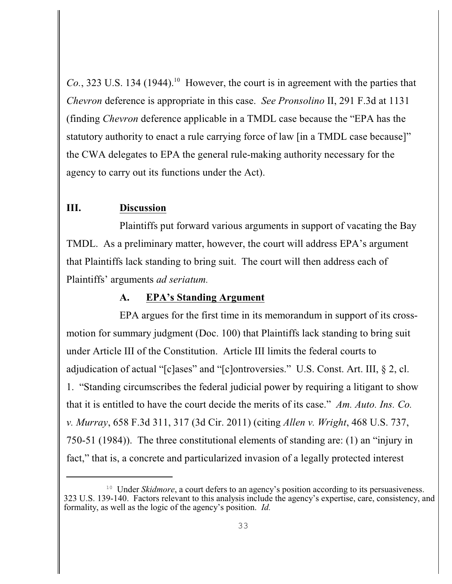*Co.*, 323 U.S. 134 (1944).<sup>10</sup> However, the court is in agreement with the parties that *Chevron* deference is appropriate in this case. *See Pronsolino* II, 291 F.3d at 1131 (finding *Chevron* deference applicable in a TMDL case because the "EPA has the statutory authority to enact a rule carrying force of law [in a TMDL case because]" the CWA delegates to EPA the general rule-making authority necessary for the agency to carry out its functions under the Act).

## **III. Discussion**

Plaintiffs put forward various arguments in support of vacating the Bay TMDL. As a preliminary matter, however, the court will address EPA's argument that Plaintiffs lack standing to bring suit. The court will then address each of Plaintiffs' arguments *ad seriatum.* 

## **A. EPA's Standing Argument**

EPA argues for the first time in its memorandum in support of its crossmotion for summary judgment (Doc. 100) that Plaintiffs lack standing to bring suit under Article III of the Constitution. Article III limits the federal courts to adjudication of actual "[c]ases" and "[c]ontroversies." U.S. Const. Art. III, § 2, cl. 1. "Standing circumscribes the federal judicial power by requiring a litigant to show that it is entitled to have the court decide the merits of its case." *Am. Auto. Ins. Co. v. Murray*, 658 F.3d 311, 317 (3d Cir. 2011) (citing *Allen v. Wright*, 468 U.S. 737, 750-51 (1984)). The three constitutional elements of standing are: (1) an "injury in fact," that is, a concrete and particularized invasion of a legally protected interest

<sup>&</sup>lt;sup>10</sup> Under *Skidmore*, a court defers to an agency's position according to its persuasiveness. 323 U.S. 139-140. Factors relevant to this analysis include the agency's expertise, care, consistency, and formality, as well as the logic of the agency's position. *Id.*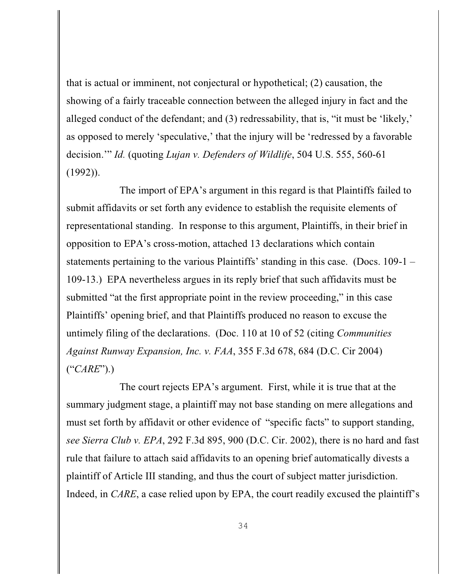that is actual or imminent, not conjectural or hypothetical; (2) causation, the showing of a fairly traceable connection between the alleged injury in fact and the alleged conduct of the defendant; and (3) redressability, that is, "it must be 'likely,' as opposed to merely 'speculative,' that the injury will be 'redressed by a favorable decision.'" *Id.* (quoting *Lujan v. Defenders of Wildlife*, 504 U.S. 555, 560-61 (1992)).

The import of EPA's argument in this regard is that Plaintiffs failed to submit affidavits or set forth any evidence to establish the requisite elements of representational standing. In response to this argument, Plaintiffs, in their brief in opposition to EPA's cross-motion, attached 13 declarations which contain statements pertaining to the various Plaintiffs' standing in this case. (Docs. 109-1 – 109-13.) EPA nevertheless argues in its reply brief that such affidavits must be submitted "at the first appropriate point in the review proceeding," in this case Plaintiffs' opening brief, and that Plaintiffs produced no reason to excuse the untimely filing of the declarations. (Doc. 110 at 10 of 52 (citing *Communities Against Runway Expansion, Inc. v. FAA*, 355 F.3d 678, 684 (D.C. Cir 2004) ("*CARE*").)

The court rejects EPA's argument. First, while it is true that at the summary judgment stage, a plaintiff may not base standing on mere allegations and must set forth by affidavit or other evidence of "specific facts" to support standing, *see Sierra Club v. EPA*, 292 F.3d 895, 900 (D.C. Cir. 2002), there is no hard and fast rule that failure to attach said affidavits to an opening brief automatically divests a plaintiff of Article III standing, and thus the court of subject matter jurisdiction. Indeed, in *CARE*, a case relied upon by EPA, the court readily excused the plaintiff's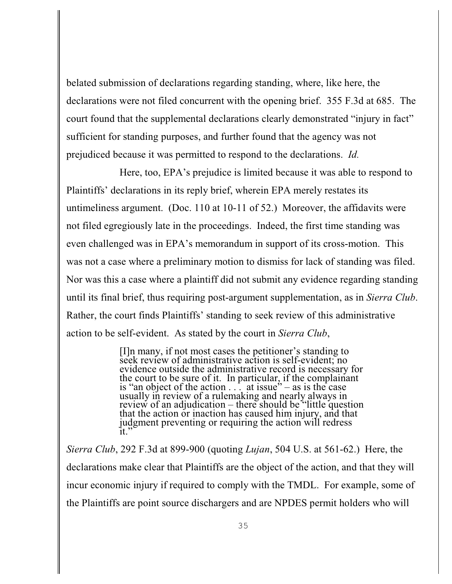belated submission of declarations regarding standing, where, like here, the declarations were not filed concurrent with the opening brief. 355 F.3d at 685. The court found that the supplemental declarations clearly demonstrated "injury in fact" sufficient for standing purposes, and further found that the agency was not prejudiced because it was permitted to respond to the declarations. *Id.*

Here, too, EPA's prejudice is limited because it was able to respond to Plaintiffs' declarations in its reply brief, wherein EPA merely restates its untimeliness argument. (Doc. 110 at 10-11 of 52.) Moreover, the affidavits were not filed egregiously late in the proceedings. Indeed, the first time standing was even challenged was in EPA's memorandum in support of its cross-motion. This was not a case where a preliminary motion to dismiss for lack of standing was filed. Nor was this a case where a plaintiff did not submit any evidence regarding standing until its final brief, thus requiring post-argument supplementation, as in *Sierra Club*. Rather, the court finds Plaintiffs' standing to seek review of this administrative action to be self-evident. As stated by the court in *Sierra Club*,

> [I]n many, if not most cases the petitioner's standing to seek review of administrative action is self-evident; no evidence outside the administrative record is necessary for the court to be sure of it. In particular, if the complainant is "an object of the action  $\ldots$  at issue" – as is the case usually in review of a rulemaking and nearly always in review of an adjudication – there should be "little question" that the action or inaction has caused him injury, and that judgment preventing or requiring the action will redress  $\mathrm{it}$ ."

*Sierra Club*, 292 F.3d at 899-900 (quoting *Lujan*, 504 U.S. at 561-62.) Here, the declarations make clear that Plaintiffs are the object of the action, and that they will incur economic injury if required to comply with the TMDL. For example, some of the Plaintiffs are point source dischargers and are NPDES permit holders who will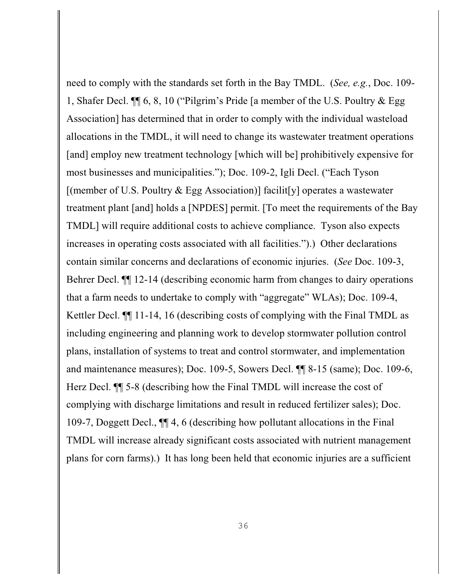need to comply with the standards set forth in the Bay TMDL. (*See, e.g.*, Doc. 109- 1, Shafer Decl. ¶¶ 6, 8, 10 ("Pilgrim's Pride [a member of the U.S. Poultry & Egg Association] has determined that in order to comply with the individual wasteload allocations in the TMDL, it will need to change its wastewater treatment operations [and] employ new treatment technology [which will be] prohibitively expensive for most businesses and municipalities."); Doc. 109-2, Igli Decl. ("Each Tyson [(member of U.S. Poultry & Egg Association)] facilit[y] operates a wastewater treatment plant [and] holds a [NPDES] permit. [To meet the requirements of the Bay TMDL] will require additional costs to achieve compliance. Tyson also expects increases in operating costs associated with all facilities.").) Other declarations contain similar concerns and declarations of economic injuries. (*See* Doc. 109-3, Behrer Decl. ¶¶ 12-14 (describing economic harm from changes to dairy operations that a farm needs to undertake to comply with "aggregate" WLAs); Doc. 109-4, Kettler Decl. ¶¶ 11-14, 16 (describing costs of complying with the Final TMDL as including engineering and planning work to develop stormwater pollution control plans, installation of systems to treat and control stormwater, and implementation and maintenance measures); Doc. 109-5, Sowers Decl. ¶¶ 8-15 (same); Doc. 109-6, Herz Decl. ¶¶ 5-8 (describing how the Final TMDL will increase the cost of complying with discharge limitations and result in reduced fertilizer sales); Doc. 109-7, Doggett Decl., ¶¶ 4, 6 (describing how pollutant allocations in the Final TMDL will increase already significant costs associated with nutrient management plans for corn farms).) It has long been held that economic injuries are a sufficient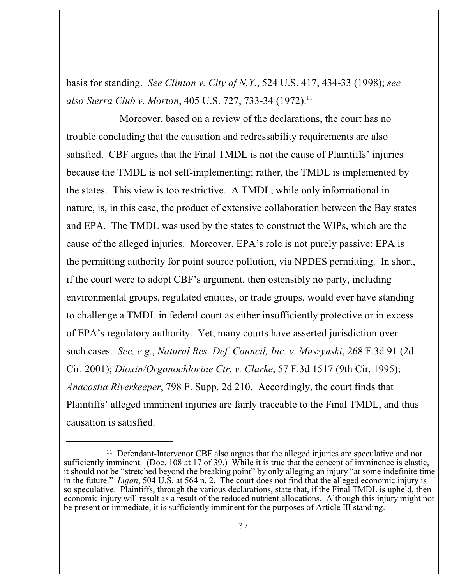basis for standing. *See Clinton v. City of N.Y.*, 524 U.S. 417, 434-33 (1998); *see also Sierra Club v. Morton*, 405 U.S. 727, 733-34 (1972).<sup>11</sup>

Moreover, based on a review of the declarations, the court has no trouble concluding that the causation and redressability requirements are also satisfied. CBF argues that the Final TMDL is not the cause of Plaintiffs' injuries because the TMDL is not self-implementing; rather, the TMDL is implemented by the states. This view is too restrictive. A TMDL, while only informational in nature, is, in this case, the product of extensive collaboration between the Bay states and EPA. The TMDL was used by the states to construct the WIPs, which are the cause of the alleged injuries. Moreover, EPA's role is not purely passive: EPA is the permitting authority for point source pollution, via NPDES permitting. In short, if the court were to adopt CBF's argument, then ostensibly no party, including environmental groups, regulated entities, or trade groups, would ever have standing to challenge a TMDL in federal court as either insufficiently protective or in excess of EPA's regulatory authority. Yet, many courts have asserted jurisdiction over such cases. *See, e.g.*, *Natural Res. Def. Council, Inc. v. Muszynski*, 268 F.3d 91 (2d Cir. 2001); *Dioxin/Organochlorine Ctr. v. Clarke*, 57 F.3d 1517 (9th Cir. 1995); *Anacostia Riverkeeper*, 798 F. Supp. 2d 210. Accordingly, the court finds that Plaintiffs' alleged imminent injuries are fairly traceable to the Final TMDL, and thus causation is satisfied.

 $11$  Defendant-Intervenor CBF also argues that the alleged injuries are speculative and not sufficiently imminent. (Doc. 108 at 17 of 39.) While it is true that the concept of imminence is elastic, it should not be "stretched beyond the breaking point" by only alleging an injury "at some indefinite time in the future." *Lujan*, 504 U.S. at 564 n. 2. The court does not find that the alleged economic injury is so speculative. Plaintiffs, through the various declarations, state that, if the Final TMDL is upheld, then economic injury will result as a result of the reduced nutrient allocations. Although this injury might not be present or immediate, it is sufficiently imminent for the purposes of Article III standing.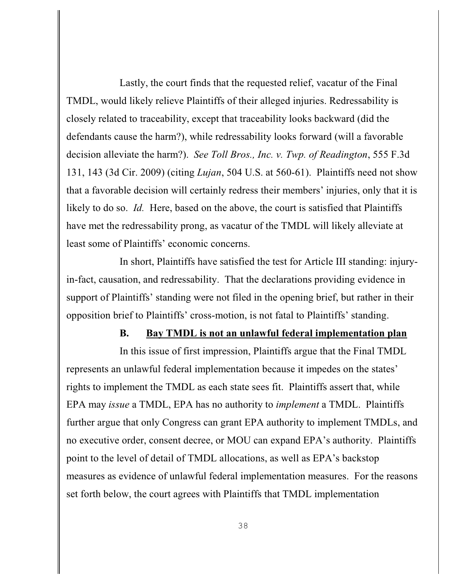Lastly, the court finds that the requested relief, vacatur of the Final TMDL, would likely relieve Plaintiffs of their alleged injuries. Redressability is closely related to traceability, except that traceability looks backward (did the defendants cause the harm?), while redressability looks forward (will a favorable decision alleviate the harm?). *See Toll Bros., Inc. v. Twp. of Readington*, 555 F.3d 131, 143 (3d Cir. 2009) (citing *Lujan*, 504 U.S. at 560-61). Plaintiffs need not show that a favorable decision will certainly redress their members' injuries, only that it is likely to do so. *Id.* Here, based on the above, the court is satisfied that Plaintiffs have met the redressability prong, as vacatur of the TMDL will likely alleviate at least some of Plaintiffs' economic concerns.

In short, Plaintiffs have satisfied the test for Article III standing: injuryin-fact, causation, and redressability. That the declarations providing evidence in support of Plaintiffs' standing were not filed in the opening brief, but rather in their opposition brief to Plaintiffs' cross-motion, is not fatal to Plaintiffs' standing.

## **B. Bay TMDL is not an unlawful federal implementation plan**

In this issue of first impression, Plaintiffs argue that the Final TMDL represents an unlawful federal implementation because it impedes on the states' rights to implement the TMDL as each state sees fit. Plaintiffs assert that, while EPA may *issue* a TMDL, EPA has no authority to *implement* a TMDL. Plaintiffs further argue that only Congress can grant EPA authority to implement TMDLs, and no executive order, consent decree, or MOU can expand EPA's authority. Plaintiffs point to the level of detail of TMDL allocations, as well as EPA's backstop measures as evidence of unlawful federal implementation measures. For the reasons set forth below, the court agrees with Plaintiffs that TMDL implementation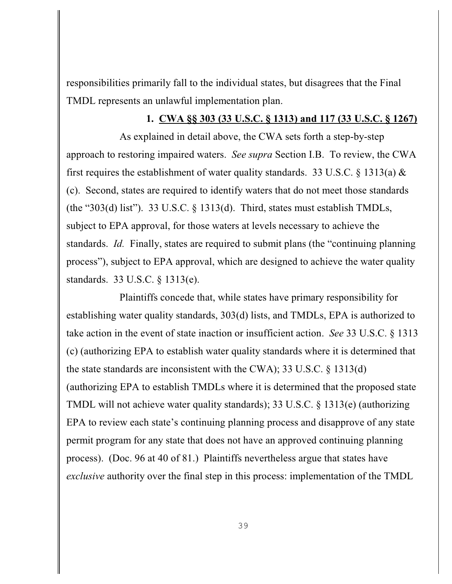responsibilities primarily fall to the individual states, but disagrees that the Final TMDL represents an unlawful implementation plan.

## **1. CWA §§ 303 (33 U.S.C. § 1313) and 117 (33 U.S.C. § 1267)**

As explained in detail above, the CWA sets forth a step-by-step approach to restoring impaired waters. *See supra* Section I.B. To review, the CWA first requires the establishment of water quality standards. 33 U.S.C.  $\S$  1313(a)  $\&$ (c). Second, states are required to identify waters that do not meet those standards (the "303(d) list"). 33 U.S.C.  $\S$  1313(d). Third, states must establish TMDLs, subject to EPA approval, for those waters at levels necessary to achieve the standards. *Id.* Finally, states are required to submit plans (the "continuing planning") process"), subject to EPA approval, which are designed to achieve the water quality standards. 33 U.S.C. § 1313(e).

Plaintiffs concede that, while states have primary responsibility for establishing water quality standards, 303(d) lists, and TMDLs, EPA is authorized to take action in the event of state inaction or insufficient action. *See* 33 U.S.C. § 1313 (c) (authorizing EPA to establish water quality standards where it is determined that the state standards are inconsistent with the CWA); 33 U.S.C. § 1313(d) (authorizing EPA to establish TMDLs where it is determined that the proposed state TMDL will not achieve water quality standards); 33 U.S.C. § 1313(e) (authorizing EPA to review each state's continuing planning process and disapprove of any state permit program for any state that does not have an approved continuing planning process). (Doc. 96 at 40 of 81.) Plaintiffs nevertheless argue that states have *exclusive* authority over the final step in this process: implementation of the TMDL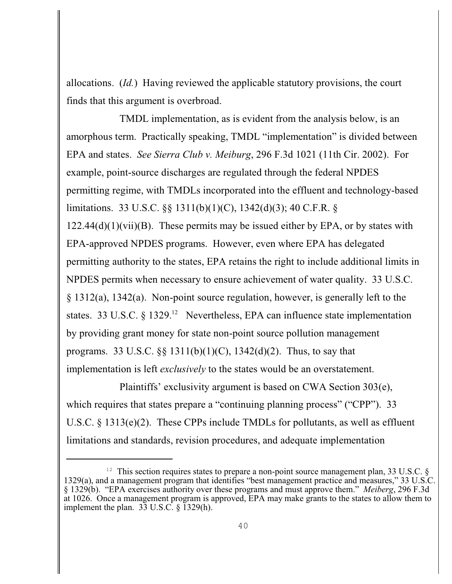allocations. (*Id.*) Having reviewed the applicable statutory provisions, the court finds that this argument is overbroad.

TMDL implementation, as is evident from the analysis below, is an amorphous term. Practically speaking, TMDL "implementation" is divided between EPA and states. *See Sierra Club v. Meiburg*, 296 F.3d 1021 (11th Cir. 2002). For example, point-source discharges are regulated through the federal NPDES permitting regime, with TMDLs incorporated into the effluent and technology-based limitations. 33 U.S.C. §§ 1311(b)(1)(C), 1342(d)(3); 40 C.F.R. §  $122.44(d)(1)(vii)(B)$ . These permits may be issued either by EPA, or by states with EPA-approved NPDES programs. However, even where EPA has delegated permitting authority to the states, EPA retains the right to include additional limits in NPDES permits when necessary to ensure achievement of water quality. 33 U.S.C. § 1312(a), 1342(a). Non-point source regulation, however, is generally left to the states. 33 U.S.C. § 1329.<sup>12</sup> Nevertheless, EPA can influence state implementation by providing grant money for state non-point source pollution management programs. 33 U.S.C.  $\S$  1311(b)(1)(C), 1342(d)(2). Thus, to say that implementation is left *exclusively* to the states would be an overstatement.

Plaintiffs' exclusivity argument is based on CWA Section 303(e), which requires that states prepare a "continuing planning process" ("CPP"). 33 U.S.C. § 1313(e)(2). These CPPs include TMDLs for pollutants, as well as effluent limitations and standards, revision procedures, and adequate implementation

<sup>&</sup>lt;sup>12</sup> This section requires states to prepare a non-point source management plan, 33 U.S.C. § 1329(a), and a management program that identifies "best management practice and measures," 33 U.S.C. § 1329(b). "EPA exercises authority over these programs and must approve them." *Meiberg*, 296 F.3d at 1026. Once a management program is approved, EPA may make grants to the states to allow them to implement the plan. 33 U.S.C. § 1329(h).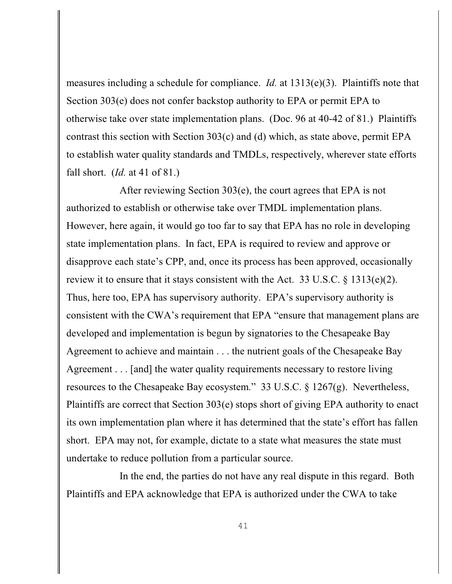measures including a schedule for compliance. *Id.* at 1313(e)(3). Plaintiffs note that Section 303(e) does not confer backstop authority to EPA or permit EPA to otherwise take over state implementation plans. (Doc. 96 at 40-42 of 81.) Plaintiffs contrast this section with Section 303(c) and (d) which, as state above, permit EPA to establish water quality standards and TMDLs, respectively, wherever state efforts fall short. (*Id.* at 41 of 81.)

After reviewing Section 303(e), the court agrees that EPA is not authorized to establish or otherwise take over TMDL implementation plans. However, here again, it would go too far to say that EPA has no role in developing state implementation plans. In fact, EPA is required to review and approve or disapprove each state's CPP, and, once its process has been approved, occasionally review it to ensure that it stays consistent with the Act. 33 U.S.C. § 1313(e)(2). Thus, here too, EPA has supervisory authority. EPA's supervisory authority is consistent with the CWA's requirement that EPA "ensure that management plans are developed and implementation is begun by signatories to the Chesapeake Bay Agreement to achieve and maintain . . . the nutrient goals of the Chesapeake Bay Agreement . . . [and] the water quality requirements necessary to restore living resources to the Chesapeake Bay ecosystem." 33 U.S.C. § 1267(g). Nevertheless, Plaintiffs are correct that Section 303(e) stops short of giving EPA authority to enact its own implementation plan where it has determined that the state's effort has fallen short. EPA may not, for example, dictate to a state what measures the state must undertake to reduce pollution from a particular source.

In the end, the parties do not have any real dispute in this regard. Both Plaintiffs and EPA acknowledge that EPA is authorized under the CWA to take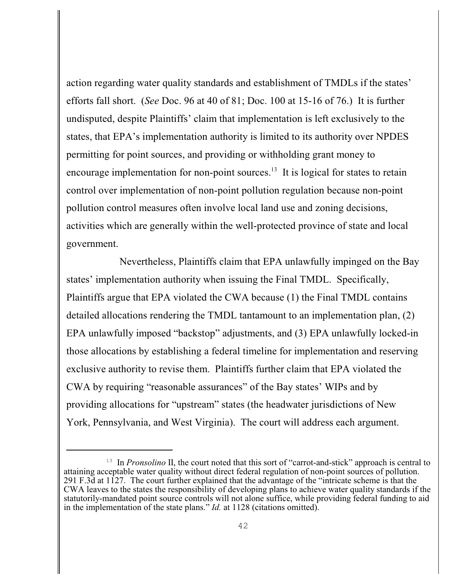action regarding water quality standards and establishment of TMDLs if the states' efforts fall short. (*See* Doc. 96 at 40 of 81; Doc. 100 at 15-16 of 76.) It is further undisputed, despite Plaintiffs' claim that implementation is left exclusively to the states, that EPA's implementation authority is limited to its authority over NPDES permitting for point sources, and providing or withholding grant money to encourage implementation for non-point sources.<sup>13</sup> It is logical for states to retain control over implementation of non-point pollution regulation because non-point pollution control measures often involve local land use and zoning decisions, activities which are generally within the well-protected province of state and local government.

Nevertheless, Plaintiffs claim that EPA unlawfully impinged on the Bay states' implementation authority when issuing the Final TMDL. Specifically, Plaintiffs argue that EPA violated the CWA because (1) the Final TMDL contains detailed allocations rendering the TMDL tantamount to an implementation plan, (2) EPA unlawfully imposed "backstop" adjustments, and (3) EPA unlawfully locked-in those allocations by establishing a federal timeline for implementation and reserving exclusive authority to revise them. Plaintiffs further claim that EPA violated the CWA by requiring "reasonable assurances" of the Bay states' WIPs and by providing allocations for "upstream" states (the headwater jurisdictions of New York, Pennsylvania, and West Virginia). The court will address each argument.

<sup>&</sup>lt;sup>13</sup> In *Pronsolino* II, the court noted that this sort of "carrot-and-stick" approach is central to attaining acceptable water quality without direct federal regulation of non-point sources of pollution. 291 F.3d at 1127. The court further explained that the advantage of the "intricate scheme is that the CWA leaves to the states the responsibility of developing plans to achieve water quality standards if the statutorily-mandated point source controls will not alone suffice, while providing federal funding to aid in the implementation of the state plans." *Id.* at 1128 (citations omitted).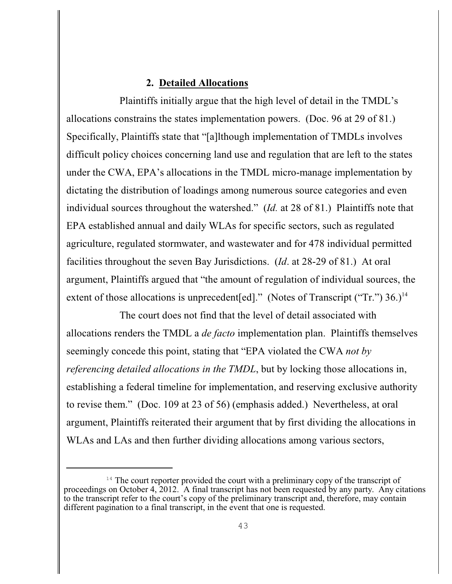# **2. Detailed Allocations**

Plaintiffs initially argue that the high level of detail in the TMDL's allocations constrains the states implementation powers. (Doc. 96 at 29 of 81.) Specifically, Plaintiffs state that "[a]lthough implementation of TMDLs involves difficult policy choices concerning land use and regulation that are left to the states under the CWA, EPA's allocations in the TMDL micro-manage implementation by dictating the distribution of loadings among numerous source categories and even individual sources throughout the watershed." (*Id.* at 28 of 81.) Plaintiffs note that EPA established annual and daily WLAs for specific sectors, such as regulated agriculture, regulated stormwater, and wastewater and for 478 individual permitted facilities throughout the seven Bay Jurisdictions. (*Id*. at 28-29 of 81.) At oral argument, Plaintiffs argued that "the amount of regulation of individual sources, the extent of those allocations is unprecedent [ed]." (Notes of Transcript ("Tr.")  $36.$ )<sup>14</sup>

The court does not find that the level of detail associated with allocations renders the TMDL a *de facto* implementation plan. Plaintiffs themselves seemingly concede this point, stating that "EPA violated the CWA *not by referencing detailed allocations in the TMDL*, but by locking those allocations in, establishing a federal timeline for implementation, and reserving exclusive authority to revise them." (Doc. 109 at 23 of 56) (emphasis added.) Nevertheless, at oral argument, Plaintiffs reiterated their argument that by first dividing the allocations in WLAs and LAs and then further dividing allocations among various sectors,

 $14$  The court reporter provided the court with a preliminary copy of the transcript of proceedings on October 4, 2012. A final transcript has not been requested by any party. Any citations to the transcript refer to the court's copy of the preliminary transcript and, therefore, may contain different pagination to a final transcript, in the event that one is requested.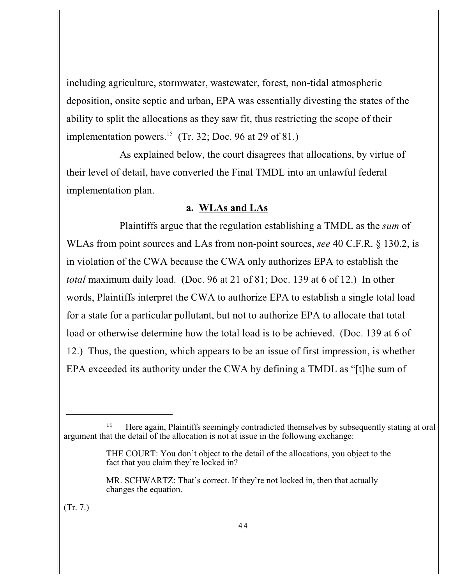including agriculture, stormwater, wastewater, forest, non-tidal atmospheric deposition, onsite septic and urban, EPA was essentially divesting the states of the ability to split the allocations as they saw fit, thus restricting the scope of their implementation powers.<sup>15</sup> (Tr. 32; Doc. 96 at 29 of 81.)

As explained below, the court disagrees that allocations, by virtue of their level of detail, have converted the Final TMDL into an unlawful federal implementation plan.

## **a. WLAs and LAs**

Plaintiffs argue that the regulation establishing a TMDL as the *sum* of WLAs from point sources and LAs from non-point sources, *see* 40 C.F.R. § 130.2, is in violation of the CWA because the CWA only authorizes EPA to establish the *total* maximum daily load. (Doc. 96 at 21 of 81; Doc. 139 at 6 of 12.) In other words, Plaintiffs interpret the CWA to authorize EPA to establish a single total load for a state for a particular pollutant, but not to authorize EPA to allocate that total load or otherwise determine how the total load is to be achieved. (Doc. 139 at 6 of 12.) Thus, the question, which appears to be an issue of first impression, is whether EPA exceeded its authority under the CWA by defining a TMDL as "[t]he sum of

(Tr. 7.)

 $^{15}$  Here again, Plaintiffs seemingly contradicted themselves by subsequently stating at oral argument that the detail of the allocation is not at issue in the following exchange:

THE COURT: You don't object to the detail of the allocations, you object to the fact that you claim they're locked in?

MR. SCHWARTZ: That's correct. If they're not locked in, then that actually changes the equation.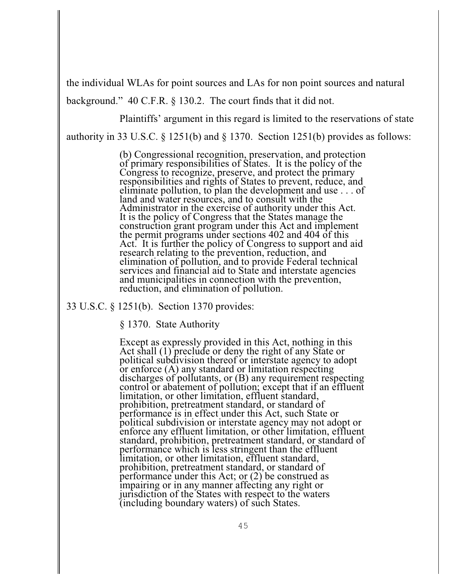the individual WLAs for point sources and LAs for non point sources and natural background." 40 C.F.R. § 130.2. The court finds that it did not.

Plaintiffs' argument in this regard is limited to the reservations of state

authority in 33 U.S.C. § 1251(b) and § 1370. Section 1251(b) provides as follows:

(b) Congressional recognition, preservation, and protection of primary responsibilities of States. It is the policy of the Congress to recognize, preserve, and protect the primary responsibilities and rights of States to prevent, reduce, and eliminate pollution, to plan the development and use . . . of land and water resources, and to consult with the Administrator in the exercise of authority under this Act. It is the policy of Congress that the States manage the construction grant program under this Act and implement the permit programs under sections 402 and 404 of this Act. It is further the policy of Congress to support and aid research relating to the prevention, reduction, and elimination of pollution, and to provide Federal technical services and financial aid to State and interstate agencies and municipalities in connection with the prevention, reduction, and elimination of pollution.

33 U.S.C. § 1251(b). Section 1370 provides:

§ 1370. State Authority

Except as expressly provided in this Act, nothing in this Act shall (1) preclude or deny the right of any State or political subdivision thereof or interstate agency to adopt or enforce (A) any standard or limitation respecting discharges of pollutants, or (B) any requirement respecting control or abatement of pollution; except that if an effluent limitation, or other limitation, effluent standard, prohibition, pretreatment standard, or standard of performance is in effect under this Act, such State or political subdivision or interstate agency may not adopt or enforce any effluent limitation, or other limitation, effluent standard, prohibition, pretreatment standard, or standard of performance which is less stringent than the effluent limitation, or other limitation, effluent standard, prohibition, pretreatment standard, or standard of performance under this Act; or (2) be construed as impairing or in any manner affecting any right or jurisdiction of the States with respect to the waters (including boundary waters) of such States.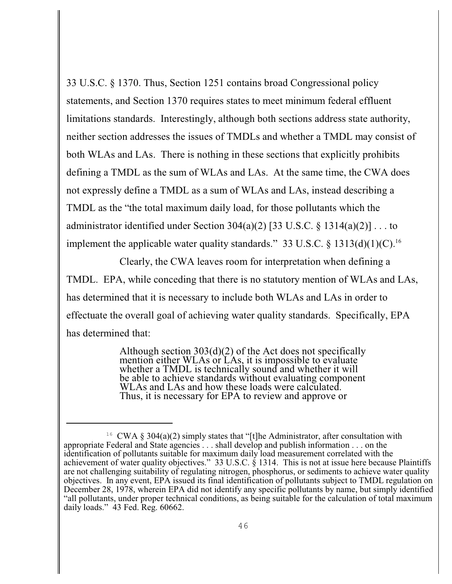33 U.S.C. § 1370. Thus, Section 1251 contains broad Congressional policy statements, and Section 1370 requires states to meet minimum federal effluent limitations standards. Interestingly, although both sections address state authority, neither section addresses the issues of TMDLs and whether a TMDL may consist of both WLAs and LAs. There is nothing in these sections that explicitly prohibits defining a TMDL as the sum of WLAs and LAs. At the same time, the CWA does not expressly define a TMDL as a sum of WLAs and LAs, instead describing a TMDL as the "the total maximum daily load, for those pollutants which the administrator identified under Section 304(a)(2) [33 U.S.C. § 1314(a)(2)]  $\dots$  to implement the applicable water quality standards." 33 U.S.C. § 1313(d)(1)(C).<sup>16</sup>

Clearly, the CWA leaves room for interpretation when defining a TMDL. EPA, while conceding that there is no statutory mention of WLAs and LAs, has determined that it is necessary to include both WLAs and LAs in order to effectuate the overall goal of achieving water quality standards. Specifically, EPA has determined that:

> Although section 303(d)(2) of the Act does not specifically mention either WLAs or LAs, it is impossible to evaluate whether a TMDL is technically sound and whether it will be able to achieve standards without evaluating component WLAs and LAs and how these loads were calculated. Thus, it is necessary for EPA to review and approve or

<sup>&</sup>lt;sup>16</sup> CWA § 304(a)(2) simply states that "[t]he Administrator, after consultation with appropriate Federal and State agencies . . . shall develop and publish information . . . on the identification of pollutants suitable for maximum daily load measurement correlated with the achievement of water quality objectives." 33 U.S.C. § 1314. This is not at issue here because Plaintiffs are not challenging suitability of regulating nitrogen, phosphorus, or sediments to achieve water quality objectives. In any event, EPA issued its final identification of pollutants subject to TMDL regulation on December 28, 1978, wherein EPA did not identify any specific pollutants by name, but simply identified "all pollutants, under proper technical conditions, as being suitable for the calculation of total maximum daily loads." 43 Fed. Reg. 60662.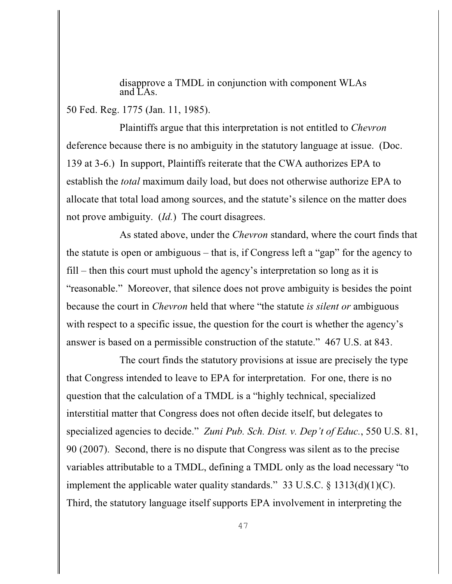disapprove a TMDL in conjunction with component WLAs and LAs.

50 Fed. Reg. 1775 (Jan. 11, 1985).

Plaintiffs argue that this interpretation is not entitled to *Chevron* deference because there is no ambiguity in the statutory language at issue. (Doc. 139 at 3-6.) In support, Plaintiffs reiterate that the CWA authorizes EPA to establish the *total* maximum daily load, but does not otherwise authorize EPA to allocate that total load among sources, and the statute's silence on the matter does not prove ambiguity. (*Id.*) The court disagrees.

As stated above, under the *Chevron* standard, where the court finds that the statute is open or ambiguous – that is, if Congress left a "gap" for the agency to fill – then this court must uphold the agency's interpretation so long as it is "reasonable." Moreover, that silence does not prove ambiguity is besides the point because the court in *Chevron* held that where "the statute *is silent or* ambiguous with respect to a specific issue, the question for the court is whether the agency's answer is based on a permissible construction of the statute." 467 U.S. at 843.

The court finds the statutory provisions at issue are precisely the type that Congress intended to leave to EPA for interpretation. For one, there is no question that the calculation of a TMDL is a "highly technical, specialized interstitial matter that Congress does not often decide itself, but delegates to specialized agencies to decide." *Zuni Pub. Sch. Dist. v. Dep't of Educ.*, 550 U.S. 81, 90 (2007). Second, there is no dispute that Congress was silent as to the precise variables attributable to a TMDL, defining a TMDL only as the load necessary "to implement the applicable water quality standards." 33 U.S.C.  $\S$  1313(d)(1)(C). Third, the statutory language itself supports EPA involvement in interpreting the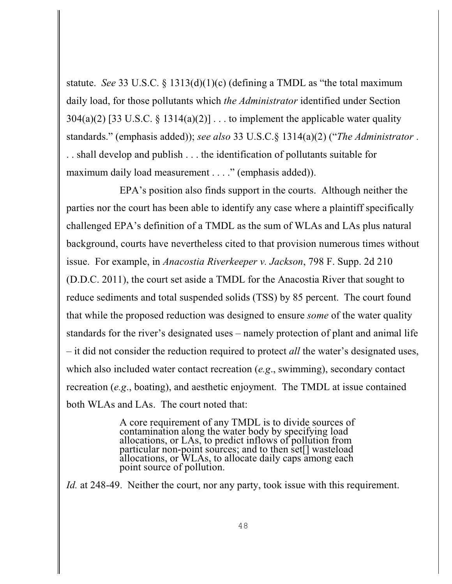statute. *See* 33 U.S.C. § 1313(d)(1)(c) (defining a TMDL as "the total maximum daily load, for those pollutants which *the Administrator* identified under Section  $304(a)(2)$  [33 U.S.C. § 1314(a)(2)]... to implement the applicable water quality standards." (emphasis added)); *see also* 33 U.S.C.§ 1314(a)(2) ("*The Administrator* . . . shall develop and publish . . . the identification of pollutants suitable for maximum daily load measurement . . . ." (emphasis added)).

EPA's position also finds support in the courts. Although neither the parties nor the court has been able to identify any case where a plaintiff specifically challenged EPA's definition of a TMDL as the sum of WLAs and LAs plus natural background, courts have nevertheless cited to that provision numerous times without issue. For example, in *Anacostia Riverkeeper v. Jackson*, 798 F. Supp. 2d 210 (D.D.C. 2011), the court set aside a TMDL for the Anacostia River that sought to reduce sediments and total suspended solids (TSS) by 85 percent. The court found that while the proposed reduction was designed to ensure *some* of the water quality standards for the river's designated uses – namely protection of plant and animal life – it did not consider the reduction required to protect *all* the water's designated uses, which also included water contact recreation (*e.g*., swimming), secondary contact recreation (*e.g*., boating), and aesthetic enjoyment. The TMDL at issue contained both WLAs and LAs. The court noted that:

> A core requirement of any TMDL is to divide sources of contamination along the water body by specifying load allocations, or LAs, to predict inflows of pollution from particular non-point sources; and to then set[] wasteload allocations, or WLAs, to allocate daily caps among each point source of pollution.

*Id.* at 248-49. Neither the court, nor any party, took issue with this requirement.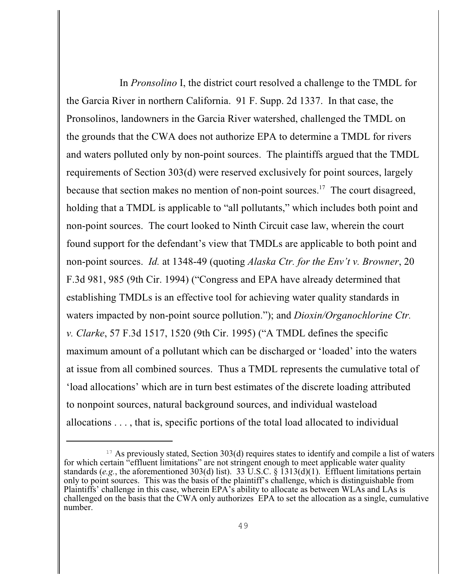In *Pronsolino* I, the district court resolved a challenge to the TMDL for the Garcia River in northern California. 91 F. Supp. 2d 1337. In that case, the Pronsolinos, landowners in the Garcia River watershed, challenged the TMDL on the grounds that the CWA does not authorize EPA to determine a TMDL for rivers and waters polluted only by non-point sources. The plaintiffs argued that the TMDL requirements of Section 303(d) were reserved exclusively for point sources, largely because that section makes no mention of non-point sources.<sup>17</sup> The court disagreed, holding that a TMDL is applicable to "all pollutants," which includes both point and non-point sources. The court looked to Ninth Circuit case law, wherein the court found support for the defendant's view that TMDLs are applicable to both point and non-point sources. *Id.* at 1348-49 (quoting *Alaska Ctr. for the Env't v. Browner*, 20 F.3d 981, 985 (9th Cir. 1994) ("Congress and EPA have already determined that establishing TMDLs is an effective tool for achieving water quality standards in waters impacted by non-point source pollution."); and *Dioxin/Organochlorine Ctr. v. Clarke*, 57 F.3d 1517, 1520 (9th Cir. 1995) ("A TMDL defines the specific maximum amount of a pollutant which can be discharged or 'loaded' into the waters at issue from all combined sources. Thus a TMDL represents the cumulative total of 'load allocations' which are in turn best estimates of the discrete loading attributed to nonpoint sources, natural background sources, and individual wasteload allocations . . . , that is, specific portions of the total load allocated to individual

 $17$  As previously stated, Section 303(d) requires states to identify and compile a list of waters for which certain "effluent limitations" are not stringent enough to meet applicable water quality standards (*e.g.*, the aforementioned 303(d) list). 33 U.S.C. § 1313(d)(1). Effluent limitations pertain only to point sources. This was the basis of the plaintiff's challenge, which is distinguishable from Plaintiffs' challenge in this case, wherein EPA's ability to allocate as between WLAs and LAs is challenged on the basis that the CWA only authorizes EPA to set the allocation as a single, cumulative number.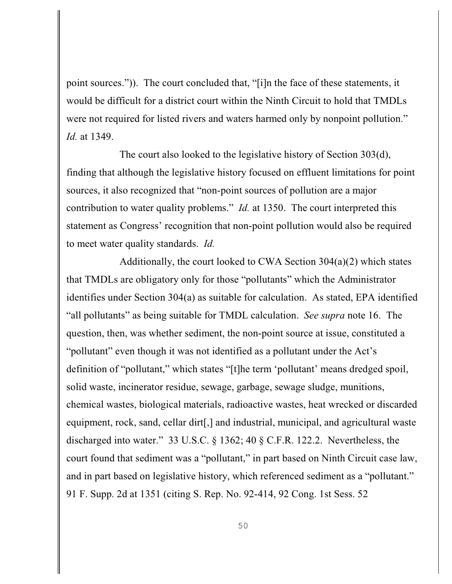point sources.")). The court concluded that, "[i]n the face of these statements, it would be difficult for a district court within the Ninth Circuit to hold that TMDLs were not required for listed rivers and waters harmed only by nonpoint pollution." *Id.* at 1349.

The court also looked to the legislative history of Section 303(d), finding that although the legislative history focused on effluent limitations for point sources, it also recognized that "non-point sources of pollution are a major contribution to water quality problems." *Id.* at 1350. The court interpreted this statement as Congress' recognition that non-point pollution would also be required to meet water quality standards. *Id.* 

Additionally, the court looked to CWA Section 304(a)(2) which states that TMDLs are obligatory only for those "pollutants" which the Administrator identifies under Section 304(a) as suitable for calculation. As stated, EPA identified "all pollutants" as being suitable for TMDL calculation. *See supra* note 16. The question, then, was whether sediment, the non-point source at issue, constituted a "pollutant" even though it was not identified as a pollutant under the Act's definition of "pollutant," which states "[t]he term 'pollutant' means dredged spoil, solid waste, incinerator residue, sewage, garbage, sewage sludge, munitions, chemical wastes, biological materials, radioactive wastes, heat wrecked or discarded equipment, rock, sand, cellar dirt[,] and industrial, municipal, and agricultural waste discharged into water." 33 U.S.C. § 1362; 40 § C.F.R. 122.2. Nevertheless, the court found that sediment was a "pollutant," in part based on Ninth Circuit case law, and in part based on legislative history, which referenced sediment as a "pollutant." 91 F. Supp. 2d at 1351 (citing S. Rep. No. 92-414, 92 Cong. 1st Sess. 52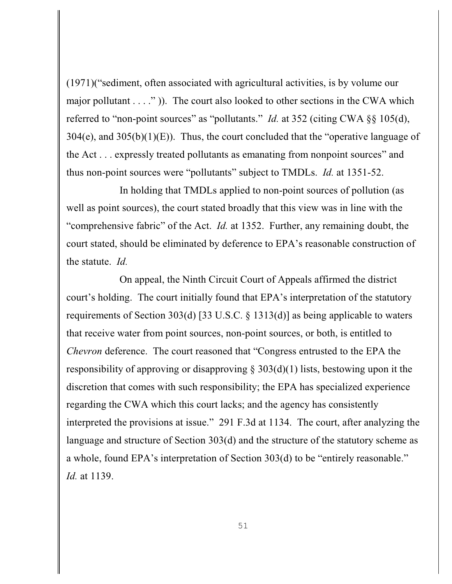(1971)("sediment, often associated with agricultural activities, is by volume our major pollutant  $\dots$ ." )). The court also looked to other sections in the CWA which referred to "non-point sources" as "pollutants." *Id.* at 352 (citing CWA §§ 105(d),  $304(e)$ , and  $305(b)(1)(E)$ . Thus, the court concluded that the "operative language of the Act . . . expressly treated pollutants as emanating from nonpoint sources" and thus non-point sources were "pollutants" subject to TMDLs. *Id.* at 1351-52.

In holding that TMDLs applied to non-point sources of pollution (as well as point sources), the court stated broadly that this view was in line with the "comprehensive fabric" of the Act. *Id.* at 1352. Further, any remaining doubt, the court stated, should be eliminated by deference to EPA's reasonable construction of the statute. *Id.*

On appeal, the Ninth Circuit Court of Appeals affirmed the district court's holding. The court initially found that EPA's interpretation of the statutory requirements of Section 303(d) [33 U.S.C. § 1313(d)] as being applicable to waters that receive water from point sources, non-point sources, or both, is entitled to *Chevron* deference. The court reasoned that "Congress entrusted to the EPA the responsibility of approving or disapproving  $\S 303(d)(1)$  lists, bestowing upon it the discretion that comes with such responsibility; the EPA has specialized experience regarding the CWA which this court lacks; and the agency has consistently interpreted the provisions at issue." 291 F.3d at 1134. The court, after analyzing the language and structure of Section 303(d) and the structure of the statutory scheme as a whole, found EPA's interpretation of Section 303(d) to be "entirely reasonable." *Id.* at 1139.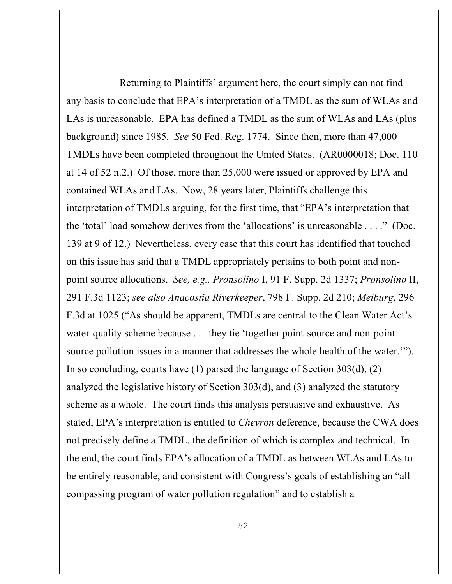Returning to Plaintiffs' argument here, the court simply can not find any basis to conclude that EPA's interpretation of a TMDL as the sum of WLAs and LAs is unreasonable. EPA has defined a TMDL as the sum of WLAs and LAs (plus background) since 1985. *See* 50 Fed. Reg. 1774. Since then, more than 47,000 TMDLs have been completed throughout the United States. (AR0000018; Doc. 110 at 14 of 52 n.2.) Of those, more than 25,000 were issued or approved by EPA and contained WLAs and LAs. Now, 28 years later, Plaintiffs challenge this interpretation of TMDLs arguing, for the first time, that "EPA's interpretation that the 'total' load somehow derives from the 'allocations' is unreasonable . . . ." (Doc. 139 at 9 of 12.) Nevertheless, every case that this court has identified that touched on this issue has said that a TMDL appropriately pertains to both point and nonpoint source allocations. *See, e.g., Pronsolino* I, 91 F. Supp. 2d 1337; *Pronsolino* II, 291 F.3d 1123; *see also Anacostia Riverkeeper*, 798 F. Supp. 2d 210; *Meiburg*, 296 F.3d at 1025 ("As should be apparent, TMDLs are central to the Clean Water Act's water-quality scheme because . . . they tie 'together point-source and non-point source pollution issues in a manner that addresses the whole health of the water.'"). In so concluding, courts have (1) parsed the language of Section 303(d), (2) analyzed the legislative history of Section 303(d), and (3) analyzed the statutory scheme as a whole. The court finds this analysis persuasive and exhaustive. As stated, EPA's interpretation is entitled to *Chevron* deference, because the CWA does not precisely define a TMDL, the definition of which is complex and technical. In the end, the court finds EPA's allocation of a TMDL as between WLAs and LAs to be entirely reasonable, and consistent with Congress's goals of establishing an "allcompassing program of water pollution regulation" and to establish a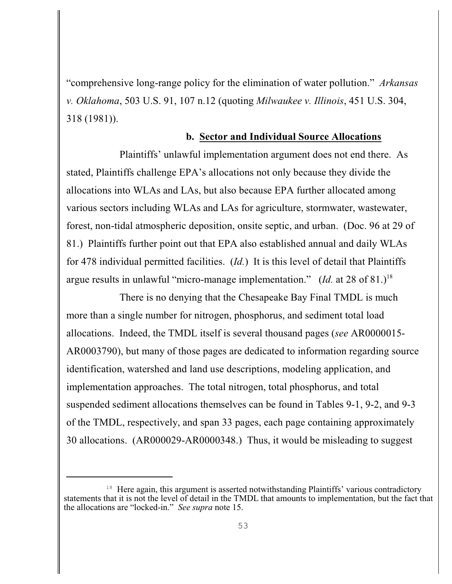"comprehensive long-range policy for the elimination of water pollution." *Arkansas v. Oklahoma*, 503 U.S. 91, 107 n.12 (quoting *Milwaukee v. Illinois*, 451 U.S. 304, 318 (1981)).

## **b. Sector and Individual Source Allocations**

Plaintiffs' unlawful implementation argument does not end there. As stated, Plaintiffs challenge EPA's allocations not only because they divide the allocations into WLAs and LAs, but also because EPA further allocated among various sectors including WLAs and LAs for agriculture, stormwater, wastewater, forest, non-tidal atmospheric deposition, onsite septic, and urban. (Doc. 96 at 29 of 81.) Plaintiffs further point out that EPA also established annual and daily WLAs for 478 individual permitted facilities. (*Id.*) It is this level of detail that Plaintiffs argue results in unlawful "micro-manage implementation." (*Id.* at 28 of 81.)<sup>18</sup>

There is no denying that the Chesapeake Bay Final TMDL is much more than a single number for nitrogen, phosphorus, and sediment total load allocations. Indeed, the TMDL itself is several thousand pages (*see* AR0000015- AR0003790), but many of those pages are dedicated to information regarding source identification, watershed and land use descriptions, modeling application, and implementation approaches. The total nitrogen, total phosphorus, and total suspended sediment allocations themselves can be found in Tables 9-1, 9-2, and 9-3 of the TMDL, respectively, and span 33 pages, each page containing approximately 30 allocations. (AR000029-AR0000348.) Thus, it would be misleading to suggest

 $18$  Here again, this argument is asserted notwithstanding Plaintiffs' various contradictory statements that it is not the level of detail in the TMDL that amounts to implementation, but the fact that the allocations are "locked-in." *See supra* note 15.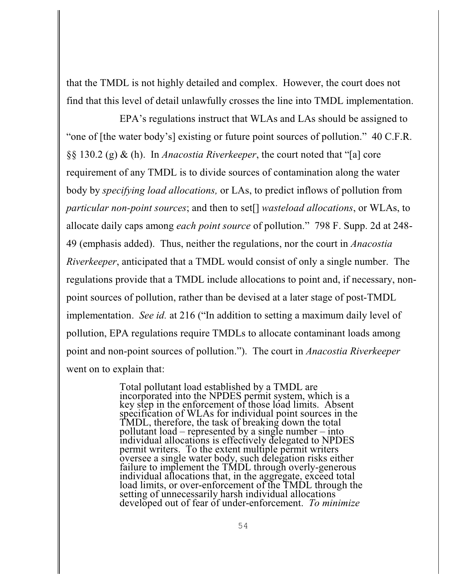that the TMDL is not highly detailed and complex. However, the court does not find that this level of detail unlawfully crosses the line into TMDL implementation.

EPA's regulations instruct that WLAs and LAs should be assigned to "one of [the water body's] existing or future point sources of pollution." 40 C.F.R. §§ 130.2 (g) & (h). In *Anacostia Riverkeeper*, the court noted that "[a] core requirement of any TMDL is to divide sources of contamination along the water body by *specifying load allocations,* or LAs, to predict inflows of pollution from *particular non-point sources*; and then to set[] *wasteload allocations*, or WLAs, to allocate daily caps among *each point source* of pollution." 798 F. Supp. 2d at 248- 49 (emphasis added). Thus, neither the regulations, nor the court in *Anacostia Riverkeeper*, anticipated that a TMDL would consist of only a single number. The regulations provide that a TMDL include allocations to point and, if necessary, nonpoint sources of pollution, rather than be devised at a later stage of post-TMDL implementation. *See id.* at 216 ("In addition to setting a maximum daily level of pollution, EPA regulations require TMDLs to allocate contaminant loads among point and non-point sources of pollution."). The court in *Anacostia Riverkeeper* went on to explain that:

> Total pollutant load established by a TMDL are incorporated into the NPDES permit system, which is a key step in the enforcement of those load limits. Absent specification of WLAs for individual point sources in the TMDL, therefore, the task of breaking down the total pollutant load – represented by a single number – into individual allocations is effectively delegated to NPDES permit writers. To the extent multiple permit writers oversee a single water body, such delegation risks either failure to implement the TMDL through overly-generous individual allocations that, in the aggregate, exceed total load limits, or over-enforcement of the TMDL through the setting of unnecessarily harsh individual allocations developed out of fear of under-enforcement. *To minimize*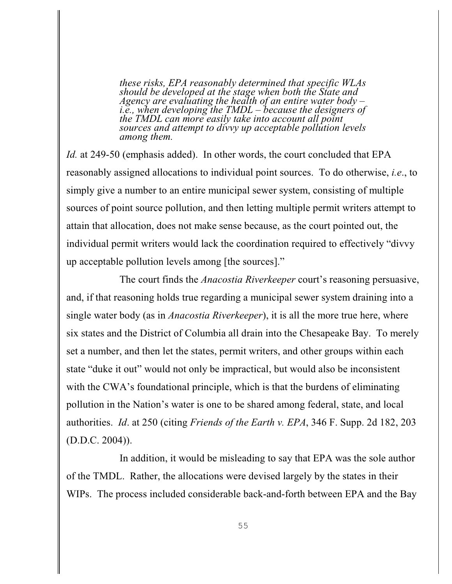*these risks, EPA reasonably determined that specific WLAs should be developed at the stage when both the State and Agency are evaluating the health of an entire water body – i.e., when developing the TMDL – because the designers of the TMDL can more easily take into account all point sources and attempt to divvy up acceptable pollution levels among them.*

*Id.* at 249-50 (emphasis added). In other words, the court concluded that EPA reasonably assigned allocations to individual point sources. To do otherwise, *i.e*., to simply give a number to an entire municipal sewer system, consisting of multiple sources of point source pollution, and then letting multiple permit writers attempt to attain that allocation, does not make sense because, as the court pointed out, the individual permit writers would lack the coordination required to effectively "divvy up acceptable pollution levels among [the sources]."

The court finds the *Anacostia Riverkeeper* court's reasoning persuasive, and, if that reasoning holds true regarding a municipal sewer system draining into a single water body (as in *Anacostia Riverkeeper*), it is all the more true here, where six states and the District of Columbia all drain into the Chesapeake Bay. To merely set a number, and then let the states, permit writers, and other groups within each state "duke it out" would not only be impractical, but would also be inconsistent with the CWA's foundational principle, which is that the burdens of eliminating pollution in the Nation's water is one to be shared among federal, state, and local authorities. *Id*. at 250 (citing *Friends of the Earth v. EPA*, 346 F. Supp. 2d 182, 203 (D.D.C. 2004)).

In addition, it would be misleading to say that EPA was the sole author of the TMDL. Rather, the allocations were devised largely by the states in their WIPs. The process included considerable back-and-forth between EPA and the Bay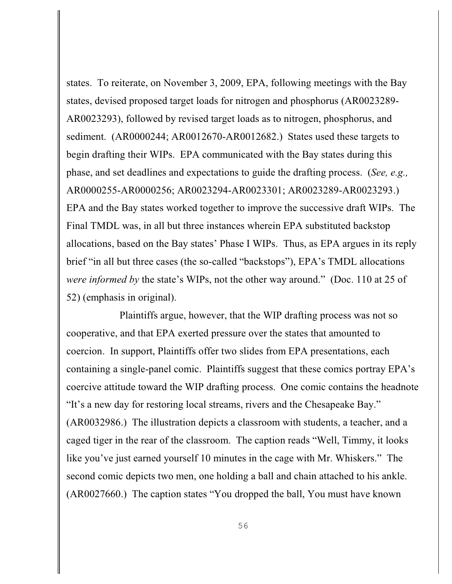states. To reiterate, on November 3, 2009, EPA, following meetings with the Bay states, devised proposed target loads for nitrogen and phosphorus (AR0023289- AR0023293), followed by revised target loads as to nitrogen, phosphorus, and sediment. (AR0000244; AR0012670-AR0012682.) States used these targets to begin drafting their WIPs. EPA communicated with the Bay states during this phase, and set deadlines and expectations to guide the drafting process. (*See, e.g.,* AR0000255-AR0000256; AR0023294-AR0023301; AR0023289-AR0023293.) EPA and the Bay states worked together to improve the successive draft WIPs. The Final TMDL was, in all but three instances wherein EPA substituted backstop allocations, based on the Bay states' Phase I WIPs. Thus, as EPA argues in its reply brief "in all but three cases (the so-called "backstops"), EPA's TMDL allocations *were informed by* the state's WIPs, not the other way around." (Doc. 110 at 25 of 52) (emphasis in original).

Plaintiffs argue, however, that the WIP drafting process was not so cooperative, and that EPA exerted pressure over the states that amounted to coercion. In support, Plaintiffs offer two slides from EPA presentations, each containing a single-panel comic. Plaintiffs suggest that these comics portray EPA's coercive attitude toward the WIP drafting process. One comic contains the headnote "It's a new day for restoring local streams, rivers and the Chesapeake Bay." (AR0032986.) The illustration depicts a classroom with students, a teacher, and a caged tiger in the rear of the classroom. The caption reads "Well, Timmy, it looks like you've just earned yourself 10 minutes in the cage with Mr. Whiskers." The second comic depicts two men, one holding a ball and chain attached to his ankle. (AR0027660.) The caption states "You dropped the ball, You must have known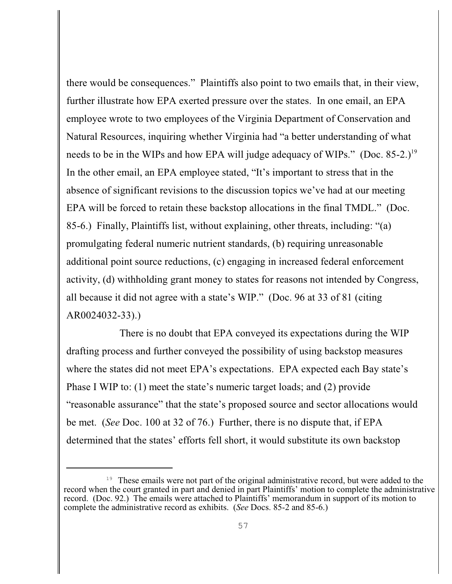there would be consequences." Plaintiffs also point to two emails that, in their view, further illustrate how EPA exerted pressure over the states. In one email, an EPA employee wrote to two employees of the Virginia Department of Conservation and Natural Resources, inquiring whether Virginia had "a better understanding of what needs to be in the WIPs and how EPA will judge adequacy of WIPs." (Doc. 85-2.)<sup>19</sup> In the other email, an EPA employee stated, "It's important to stress that in the absence of significant revisions to the discussion topics we've had at our meeting EPA will be forced to retain these backstop allocations in the final TMDL." (Doc. 85-6.) Finally, Plaintiffs list, without explaining, other threats, including: "(a) promulgating federal numeric nutrient standards, (b) requiring unreasonable additional point source reductions, (c) engaging in increased federal enforcement activity, (d) withholding grant money to states for reasons not intended by Congress, all because it did not agree with a state's WIP." (Doc. 96 at 33 of 81 (citing AR0024032-33).)

There is no doubt that EPA conveyed its expectations during the WIP drafting process and further conveyed the possibility of using backstop measures where the states did not meet EPA's expectations. EPA expected each Bay state's Phase I WIP to: (1) meet the state's numeric target loads; and (2) provide "reasonable assurance" that the state's proposed source and sector allocations would be met. (*See* Doc. 100 at 32 of 76.) Further, there is no dispute that, if EPA determined that the states' efforts fell short, it would substitute its own backstop

<sup>&</sup>lt;sup>19</sup> These emails were not part of the original administrative record, but were added to the record when the court granted in part and denied in part Plaintiffs' motion to complete the administrative record. (Doc. 92.) The emails were attached to Plaintiffs' memorandum in support of its motion to complete the administrative record as exhibits. (*See* Docs. 85-2 and 85-6.)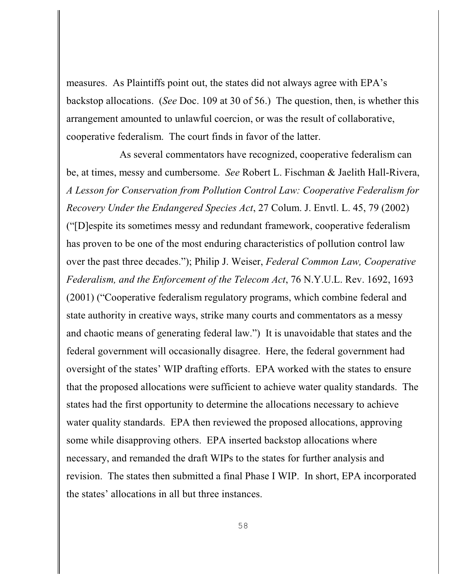measures. As Plaintiffs point out, the states did not always agree with EPA's backstop allocations. (*See* Doc. 109 at 30 of 56.) The question, then, is whether this arrangement amounted to unlawful coercion, or was the result of collaborative, cooperative federalism. The court finds in favor of the latter.

As several commentators have recognized, cooperative federalism can be, at times, messy and cumbersome. *See* Robert L. Fischman & Jaelith Hall-Rivera, *A Lesson for Conservation from Pollution Control Law: Cooperative Federalism for Recovery Under the Endangered Species Act*, 27 Colum. J. Envtl. L. 45, 79 (2002) ("[D]espite its sometimes messy and redundant framework, cooperative federalism has proven to be one of the most enduring characteristics of pollution control law over the past three decades."); Philip J. Weiser, *Federal Common Law, Cooperative Federalism, and the Enforcement of the Telecom Act*, 76 N.Y.U.L. Rev. 1692, 1693 (2001) ("Cooperative federalism regulatory programs, which combine federal and state authority in creative ways, strike many courts and commentators as a messy and chaotic means of generating federal law.") It is unavoidable that states and the federal government will occasionally disagree. Here, the federal government had oversight of the states' WIP drafting efforts. EPA worked with the states to ensure that the proposed allocations were sufficient to achieve water quality standards. The states had the first opportunity to determine the allocations necessary to achieve water quality standards. EPA then reviewed the proposed allocations, approving some while disapproving others. EPA inserted backstop allocations where necessary, and remanded the draft WIPs to the states for further analysis and revision. The states then submitted a final Phase I WIP. In short, EPA incorporated the states' allocations in all but three instances.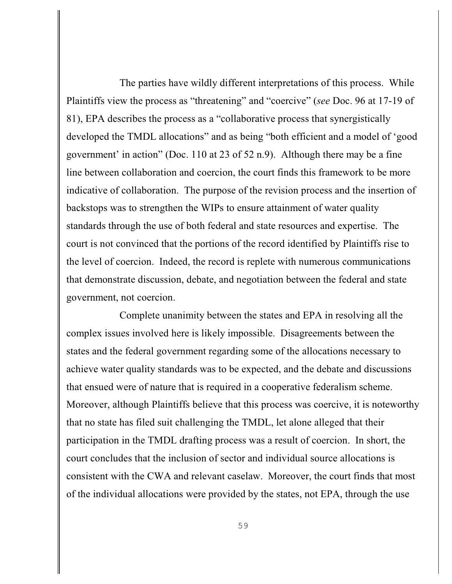The parties have wildly different interpretations of this process. While Plaintiffs view the process as "threatening" and "coercive" (*see* Doc. 96 at 17-19 of 81), EPA describes the process as a "collaborative process that synergistically developed the TMDL allocations" and as being "both efficient and a model of 'good government' in action" (Doc. 110 at 23 of 52 n.9). Although there may be a fine line between collaboration and coercion, the court finds this framework to be more indicative of collaboration. The purpose of the revision process and the insertion of backstops was to strengthen the WIPs to ensure attainment of water quality standards through the use of both federal and state resources and expertise. The court is not convinced that the portions of the record identified by Plaintiffs rise to the level of coercion. Indeed, the record is replete with numerous communications that demonstrate discussion, debate, and negotiation between the federal and state government, not coercion.

Complete unanimity between the states and EPA in resolving all the complex issues involved here is likely impossible. Disagreements between the states and the federal government regarding some of the allocations necessary to achieve water quality standards was to be expected, and the debate and discussions that ensued were of nature that is required in a cooperative federalism scheme. Moreover, although Plaintiffs believe that this process was coercive, it is noteworthy that no state has filed suit challenging the TMDL, let alone alleged that their participation in the TMDL drafting process was a result of coercion. In short, the court concludes that the inclusion of sector and individual source allocations is consistent with the CWA and relevant caselaw. Moreover, the court finds that most of the individual allocations were provided by the states, not EPA, through the use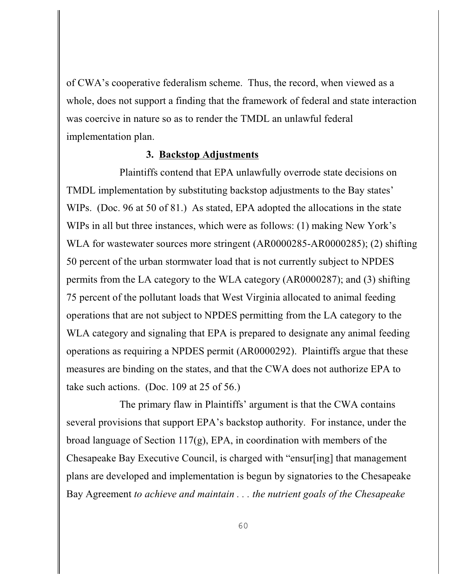of CWA's cooperative federalism scheme. Thus, the record, when viewed as a whole, does not support a finding that the framework of federal and state interaction was coercive in nature so as to render the TMDL an unlawful federal implementation plan.

#### **3. Backstop Adjustments**

Plaintiffs contend that EPA unlawfully overrode state decisions on TMDL implementation by substituting backstop adjustments to the Bay states' WIPs. (Doc. 96 at 50 of 81.) As stated, EPA adopted the allocations in the state WIPs in all but three instances, which were as follows: (1) making New York's WLA for wastewater sources more stringent (AR0000285-AR0000285); (2) shifting 50 percent of the urban stormwater load that is not currently subject to NPDES permits from the LA category to the WLA category (AR0000287); and (3) shifting 75 percent of the pollutant loads that West Virginia allocated to animal feeding operations that are not subject to NPDES permitting from the LA category to the WLA category and signaling that EPA is prepared to designate any animal feeding operations as requiring a NPDES permit (AR0000292). Plaintiffs argue that these measures are binding on the states, and that the CWA does not authorize EPA to take such actions. (Doc. 109 at 25 of 56.)

The primary flaw in Plaintiffs' argument is that the CWA contains several provisions that support EPA's backstop authority. For instance, under the broad language of Section 117(g), EPA, in coordination with members of the Chesapeake Bay Executive Council, is charged with "ensur[ing] that management plans are developed and implementation is begun by signatories to the Chesapeake Bay Agreement *to achieve and maintain . . . the nutrient goals of the Chesapeake*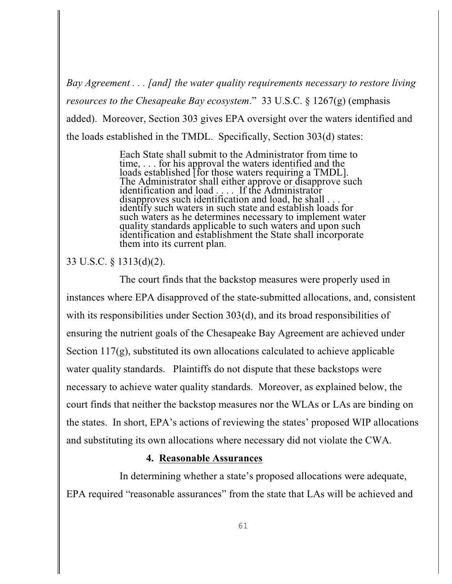*Bay Agreement . . . [and] the water quality requirements necessary to restore living resources to the Chesapeake Bay ecosystem*." 33 U.S.C. § 1267(g) (emphasis added). Moreover, Section 303 gives EPA oversight over the waters identified and the loads established in the TMDL. Specifically, Section 303(d) states:

> Each State shall submit to the Administrator from time to time, . . . for his approval the waters identified and the loads established [for those waters requiring a TMDL]. The Administrator shall either approve or disapprove such identification and load . . . . If the Administrator disapproves such identification and load, he shall . . . identify such waters in such state and establish loads for such waters as he determines necessary to implement water quality standards applicable to such waters and upon such identification and establishment the State shall incorporate them into its current plan.

## 33 U.S.C. § 1313(d)(2).

The court finds that the backstop measures were properly used in instances where EPA disapproved of the state-submitted allocations, and, consistent with its responsibilities under Section 303(d), and its broad responsibilities of ensuring the nutrient goals of the Chesapeake Bay Agreement are achieved under Section 117(g), substituted its own allocations calculated to achieve applicable water quality standards. Plaintiffs do not dispute that these backstops were necessary to achieve water quality standards. Moreover, as explained below, the court finds that neither the backstop measures nor the WLAs or LAs are binding on the states. In short, EPA's actions of reviewing the states' proposed WIP allocations and substituting its own allocations where necessary did not violate the CWA.

## **4. Reasonable Assurances**

In determining whether a state's proposed allocations were adequate, EPA required "reasonable assurances" from the state that LAs will be achieved and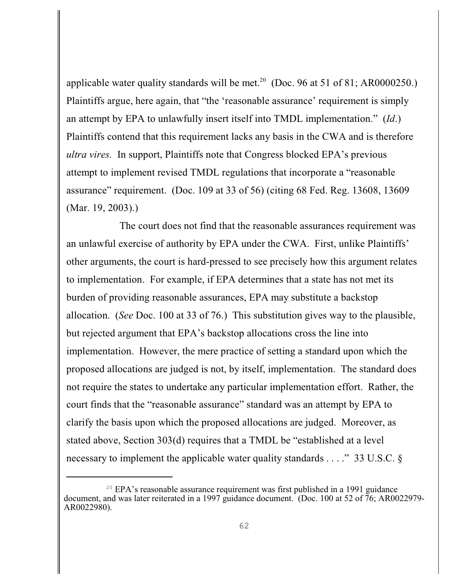applicable water quality standards will be met.<sup>20</sup> (Doc. 96 at 51 of 81; AR0000250.) Plaintiffs argue, here again, that "the 'reasonable assurance' requirement is simply an attempt by EPA to unlawfully insert itself into TMDL implementation." (*Id*.) Plaintiffs contend that this requirement lacks any basis in the CWA and is therefore *ultra vires.* In support, Plaintiffs note that Congress blocked EPA's previous attempt to implement revised TMDL regulations that incorporate a "reasonable assurance" requirement. (Doc. 109 at 33 of 56) (citing 68 Fed. Reg. 13608, 13609 (Mar. 19, 2003).)

The court does not find that the reasonable assurances requirement was an unlawful exercise of authority by EPA under the CWA. First, unlike Plaintiffs' other arguments, the court is hard-pressed to see precisely how this argument relates to implementation. For example, if EPA determines that a state has not met its burden of providing reasonable assurances, EPA may substitute a backstop allocation. (*See* Doc. 100 at 33 of 76.) This substitution gives way to the plausible, but rejected argument that EPA's backstop allocations cross the line into implementation. However, the mere practice of setting a standard upon which the proposed allocations are judged is not, by itself, implementation. The standard does not require the states to undertake any particular implementation effort. Rather, the court finds that the "reasonable assurance" standard was an attempt by EPA to clarify the basis upon which the proposed allocations are judged. Moreover, as stated above, Section 303(d) requires that a TMDL be "established at a level necessary to implement the applicable water quality standards . . . ." 33 U.S.C. §

 $20$  EPA's reasonable assurance requirement was first published in a 1991 guidance document, and was later reiterated in a 1997 guidance document. (Doc. 100 at 52 of 76; AR0022979- AR0022980).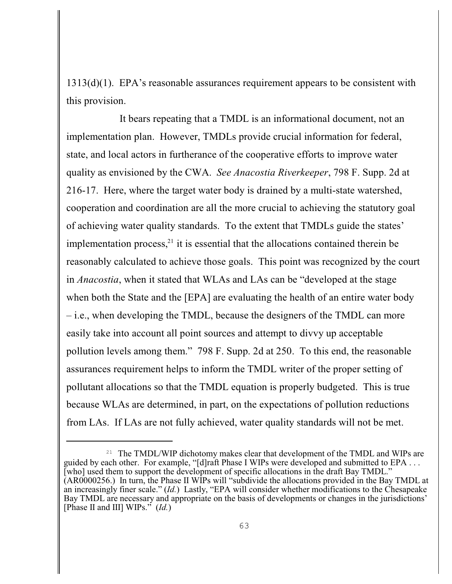1313(d)(1). EPA's reasonable assurances requirement appears to be consistent with this provision.

It bears repeating that a TMDL is an informational document, not an implementation plan. However, TMDLs provide crucial information for federal, state, and local actors in furtherance of the cooperative efforts to improve water quality as envisioned by the CWA. *See Anacostia Riverkeeper*, 798 F. Supp. 2d at 216-17. Here, where the target water body is drained by a multi-state watershed, cooperation and coordination are all the more crucial to achieving the statutory goal of achieving water quality standards. To the extent that TMDLs guide the states' implementation process, $^{21}$  it is essential that the allocations contained therein be reasonably calculated to achieve those goals. This point was recognized by the court in *Anacostia*, when it stated that WLAs and LAs can be "developed at the stage when both the State and the [EPA] are evaluating the health of an entire water body – i.e., when developing the TMDL, because the designers of the TMDL can more easily take into account all point sources and attempt to divvy up acceptable pollution levels among them." 798 F. Supp. 2d at 250. To this end, the reasonable assurances requirement helps to inform the TMDL writer of the proper setting of pollutant allocations so that the TMDL equation is properly budgeted. This is true because WLAs are determined, in part, on the expectations of pollution reductions from LAs. If LAs are not fully achieved, water quality standards will not be met.

<sup>&</sup>lt;sup>21</sup> The TMDL/WIP dichotomy makes clear that development of the TMDL and WIPs are guided by each other. For example, "[d]raft Phase I WIPs were developed and submitted to EPA . . . [who] used them to support the development of specific allocations in the draft Bay TMDL." (AR0000256.) In turn, the Phase II WIPs will "subdivide the allocations provided in the Bay TMDL at an increasingly finer scale." (*Id.*) Lastly, "EPA will consider whether modifications to the Chesapeake Bay TMDL are necessary and appropriate on the basis of developments or changes in the jurisdictions' [Phase II and III] WIPs." (*Id.*)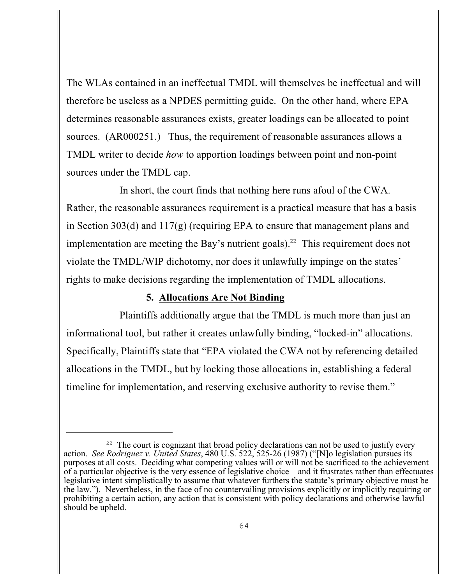The WLAs contained in an ineffectual TMDL will themselves be ineffectual and will therefore be useless as a NPDES permitting guide. On the other hand, where EPA determines reasonable assurances exists, greater loadings can be allocated to point sources. (AR000251.) Thus, the requirement of reasonable assurances allows a TMDL writer to decide *how* to apportion loadings between point and non-point sources under the TMDL cap.

In short, the court finds that nothing here runs afoul of the CWA. Rather, the reasonable assurances requirement is a practical measure that has a basis in Section 303(d) and 117(g) (requiring EPA to ensure that management plans and implementation are meeting the Bay's nutrient goals).<sup>22</sup> This requirement does not violate the TMDL/WIP dichotomy, nor does it unlawfully impinge on the states' rights to make decisions regarding the implementation of TMDL allocations.

## **5. Allocations Are Not Binding**

Plaintiffs additionally argue that the TMDL is much more than just an informational tool, but rather it creates unlawfully binding, "locked-in" allocations. Specifically, Plaintiffs state that "EPA violated the CWA not by referencing detailed allocations in the TMDL, but by locking those allocations in, establishing a federal timeline for implementation, and reserving exclusive authority to revise them."

 $22$  The court is cognizant that broad policy declarations can not be used to justify every action. *See Rodriguez v. United States*, 480 U.S. 522, 525-26 (1987) ("[N]o legislation pursues its purposes at all costs. Deciding what competing values will or will not be sacrificed to the achievement of a particular objective is the very essence of legislative choice – and it frustrates rather than effectuates legislative intent simplistically to assume that whatever furthers the statute's primary objective must be the law."). Nevertheless, in the face of no countervailing provisions explicitly or implicitly requiring or prohibiting a certain action, any action that is consistent with policy declarations and otherwise lawful should be upheld.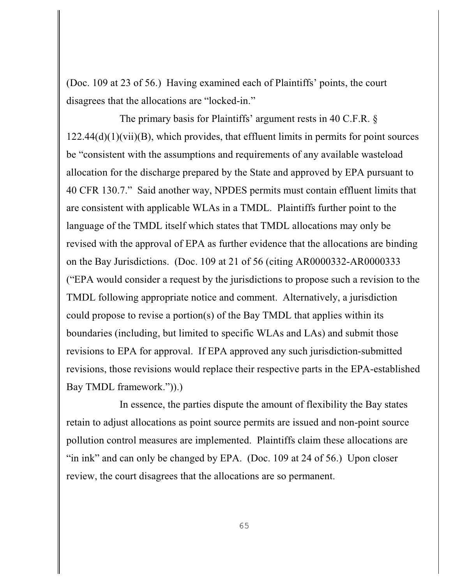(Doc. 109 at 23 of 56.) Having examined each of Plaintiffs' points, the court disagrees that the allocations are "locked-in."

The primary basis for Plaintiffs' argument rests in 40 C.F.R. §  $122.44(d)(1)(vii)(B)$ , which provides, that effluent limits in permits for point sources be "consistent with the assumptions and requirements of any available wasteload allocation for the discharge prepared by the State and approved by EPA pursuant to 40 CFR 130.7." Said another way, NPDES permits must contain effluent limits that are consistent with applicable WLAs in a TMDL. Plaintiffs further point to the language of the TMDL itself which states that TMDL allocations may only be revised with the approval of EPA as further evidence that the allocations are binding on the Bay Jurisdictions. (Doc. 109 at 21 of 56 (citing AR0000332-AR0000333 ("EPA would consider a request by the jurisdictions to propose such a revision to the TMDL following appropriate notice and comment. Alternatively, a jurisdiction could propose to revise a portion(s) of the Bay TMDL that applies within its boundaries (including, but limited to specific WLAs and LAs) and submit those revisions to EPA for approval. If EPA approved any such jurisdiction-submitted revisions, those revisions would replace their respective parts in the EPA-established Bay TMDL framework.")).)

In essence, the parties dispute the amount of flexibility the Bay states retain to adjust allocations as point source permits are issued and non-point source pollution control measures are implemented. Plaintiffs claim these allocations are "in ink" and can only be changed by EPA. (Doc. 109 at 24 of 56.) Upon closer review, the court disagrees that the allocations are so permanent.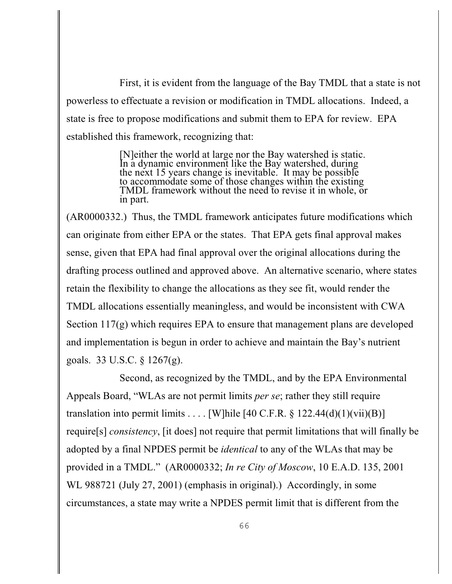First, it is evident from the language of the Bay TMDL that a state is not powerless to effectuate a revision or modification in TMDL allocations. Indeed, a state is free to propose modifications and submit them to EPA for review. EPA established this framework, recognizing that:

> [N]either the world at large nor the Bay watershed is static. In a dynamic environment like the Bay watershed, during the next 15 years change is inevitable. It may be possible to accommodate some of those changes within the existing TMDL framework without the need to revise it in whole, or in part.

(AR0000332.) Thus, the TMDL framework anticipates future modifications which can originate from either EPA or the states. That EPA gets final approval makes sense, given that EPA had final approval over the original allocations during the drafting process outlined and approved above. An alternative scenario, where states retain the flexibility to change the allocations as they see fit, would render the TMDL allocations essentially meaningless, and would be inconsistent with CWA Section 117(g) which requires EPA to ensure that management plans are developed and implementation is begun in order to achieve and maintain the Bay's nutrient goals. 33 U.S.C. § 1267(g).

Second, as recognized by the TMDL, and by the EPA Environmental Appeals Board, "WLAs are not permit limits *per se*; rather they still require translation into permit limits  $\dots$  [W]hile [40 C.F.R.  $\S$  122.44(d)(1)(vii)(B)] require[s] *consistency*, [it does] not require that permit limitations that will finally be adopted by a final NPDES permit be *identical* to any of the WLAs that may be provided in a TMDL." (AR0000332; *In re City of Moscow*, 10 E.A.D. 135, 2001 WL 988721 (July 27, 2001) (emphasis in original).) Accordingly, in some circumstances, a state may write a NPDES permit limit that is different from the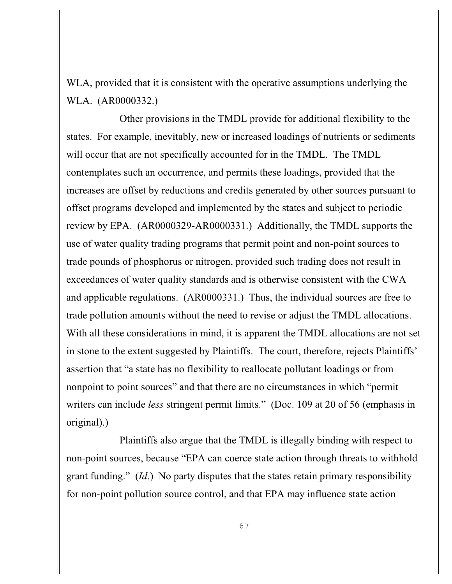WLA, provided that it is consistent with the operative assumptions underlying the WLA. (AR0000332.)

Other provisions in the TMDL provide for additional flexibility to the states. For example, inevitably, new or increased loadings of nutrients or sediments will occur that are not specifically accounted for in the TMDL. The TMDL contemplates such an occurrence, and permits these loadings, provided that the increases are offset by reductions and credits generated by other sources pursuant to offset programs developed and implemented by the states and subject to periodic review by EPA. (AR0000329-AR0000331.) Additionally, the TMDL supports the use of water quality trading programs that permit point and non-point sources to trade pounds of phosphorus or nitrogen, provided such trading does not result in exceedances of water quality standards and is otherwise consistent with the CWA and applicable regulations. (AR0000331.) Thus, the individual sources are free to trade pollution amounts without the need to revise or adjust the TMDL allocations. With all these considerations in mind, it is apparent the TMDL allocations are not set in stone to the extent suggested by Plaintiffs. The court, therefore, rejects Plaintiffs' assertion that "a state has no flexibility to reallocate pollutant loadings or from nonpoint to point sources" and that there are no circumstances in which "permit writers can include *less* stringent permit limits." (Doc. 109 at 20 of 56 (emphasis in original).)

Plaintiffs also argue that the TMDL is illegally binding with respect to non-point sources, because "EPA can coerce state action through threats to withhold grant funding." (*Id*.) No party disputes that the states retain primary responsibility for non-point pollution source control, and that EPA may influence state action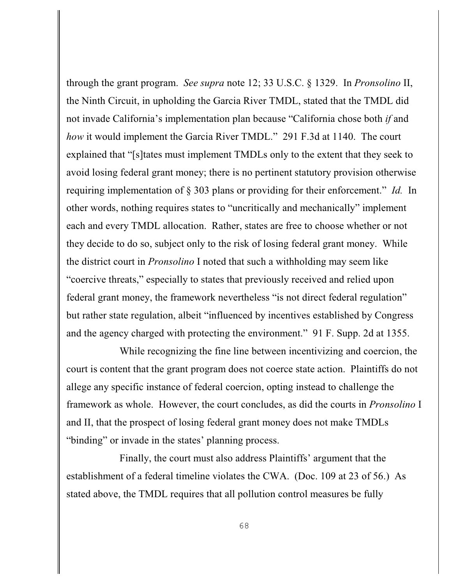through the grant program. *See supra* note 12; 33 U.S.C. § 1329. In *Pronsolino* II, the Ninth Circuit, in upholding the Garcia River TMDL, stated that the TMDL did not invade California's implementation plan because "California chose both *if* and *how* it would implement the Garcia River TMDL." 291 F.3d at 1140. The court explained that "[s]tates must implement TMDLs only to the extent that they seek to avoid losing federal grant money; there is no pertinent statutory provision otherwise requiring implementation of § 303 plans or providing for their enforcement." *Id.* In other words, nothing requires states to "uncritically and mechanically" implement each and every TMDL allocation. Rather, states are free to choose whether or not they decide to do so, subject only to the risk of losing federal grant money. While the district court in *Pronsolino* I noted that such a withholding may seem like "coercive threats," especially to states that previously received and relied upon federal grant money, the framework nevertheless "is not direct federal regulation" but rather state regulation, albeit "influenced by incentives established by Congress and the agency charged with protecting the environment." 91 F. Supp. 2d at 1355.

While recognizing the fine line between incentivizing and coercion, the court is content that the grant program does not coerce state action. Plaintiffs do not allege any specific instance of federal coercion, opting instead to challenge the framework as whole. However, the court concludes, as did the courts in *Pronsolino* I and II, that the prospect of losing federal grant money does not make TMDLs "binding" or invade in the states' planning process.

Finally, the court must also address Plaintiffs' argument that the establishment of a federal timeline violates the CWA. (Doc. 109 at 23 of 56.) As stated above, the TMDL requires that all pollution control measures be fully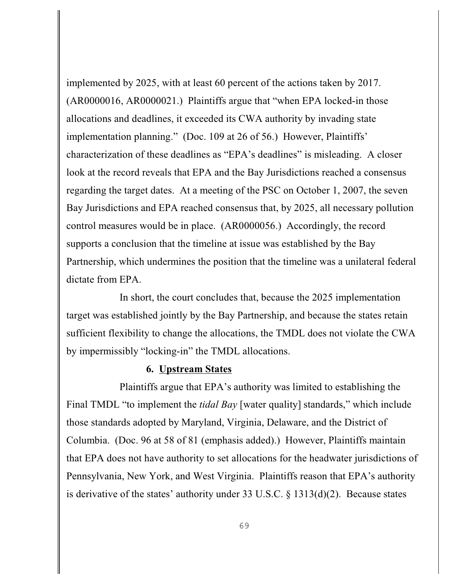implemented by 2025, with at least 60 percent of the actions taken by 2017. (AR0000016, AR0000021.) Plaintiffs argue that "when EPA locked-in those allocations and deadlines, it exceeded its CWA authority by invading state implementation planning." (Doc. 109 at 26 of 56.) However, Plaintiffs' characterization of these deadlines as "EPA's deadlines" is misleading. A closer look at the record reveals that EPA and the Bay Jurisdictions reached a consensus regarding the target dates. At a meeting of the PSC on October 1, 2007, the seven Bay Jurisdictions and EPA reached consensus that, by 2025, all necessary pollution control measures would be in place. (AR0000056.) Accordingly, the record supports a conclusion that the timeline at issue was established by the Bay Partnership, which undermines the position that the timeline was a unilateral federal dictate from EPA.

In short, the court concludes that, because the 2025 implementation target was established jointly by the Bay Partnership, and because the states retain sufficient flexibility to change the allocations, the TMDL does not violate the CWA by impermissibly "locking-in" the TMDL allocations.

## **6. Upstream States**

Plaintiffs argue that EPA's authority was limited to establishing the Final TMDL "to implement the *tidal Bay* [water quality] standards," which include those standards adopted by Maryland, Virginia, Delaware, and the District of Columbia. (Doc. 96 at 58 of 81 (emphasis added).) However, Plaintiffs maintain that EPA does not have authority to set allocations for the headwater jurisdictions of Pennsylvania, New York, and West Virginia. Plaintiffs reason that EPA's authority is derivative of the states' authority under 33 U.S.C. § 1313(d)(2). Because states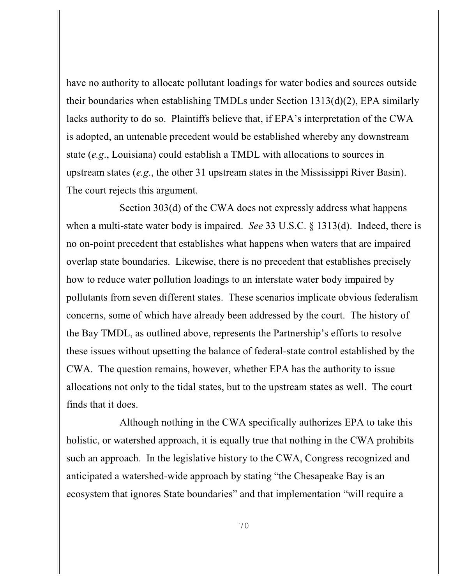have no authority to allocate pollutant loadings for water bodies and sources outside their boundaries when establishing TMDLs under Section 1313(d)(2), EPA similarly lacks authority to do so. Plaintiffs believe that, if EPA's interpretation of the CWA is adopted, an untenable precedent would be established whereby any downstream state (*e.g*., Louisiana) could establish a TMDL with allocations to sources in upstream states (*e.g.*, the other 31 upstream states in the Mississippi River Basin). The court rejects this argument.

Section 303(d) of the CWA does not expressly address what happens when a multi-state water body is impaired. *See* 33 U.S.C. § 1313(d). Indeed, there is no on-point precedent that establishes what happens when waters that are impaired overlap state boundaries. Likewise, there is no precedent that establishes precisely how to reduce water pollution loadings to an interstate water body impaired by pollutants from seven different states. These scenarios implicate obvious federalism concerns, some of which have already been addressed by the court. The history of the Bay TMDL, as outlined above, represents the Partnership's efforts to resolve these issues without upsetting the balance of federal-state control established by the CWA. The question remains, however, whether EPA has the authority to issue allocations not only to the tidal states, but to the upstream states as well. The court finds that it does.

Although nothing in the CWA specifically authorizes EPA to take this holistic, or watershed approach, it is equally true that nothing in the CWA prohibits such an approach. In the legislative history to the CWA, Congress recognized and anticipated a watershed-wide approach by stating "the Chesapeake Bay is an ecosystem that ignores State boundaries" and that implementation "will require a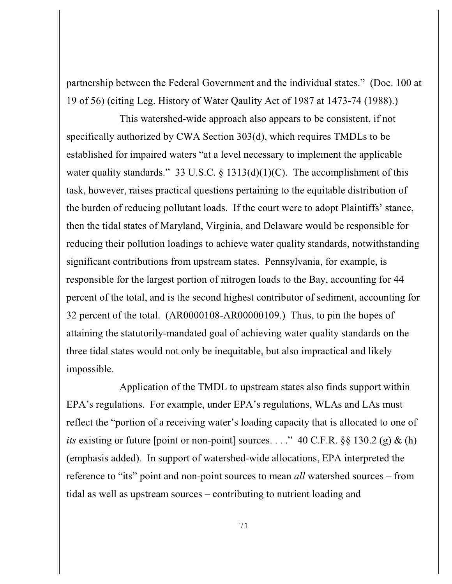partnership between the Federal Government and the individual states." (Doc. 100 at 19 of 56) (citing Leg. History of Water Qaulity Act of 1987 at 1473-74 (1988).)

This watershed-wide approach also appears to be consistent, if not specifically authorized by CWA Section 303(d), which requires TMDLs to be established for impaired waters "at a level necessary to implement the applicable water quality standards." 33 U.S.C. § 1313(d)(1)(C). The accomplishment of this task, however, raises practical questions pertaining to the equitable distribution of the burden of reducing pollutant loads. If the court were to adopt Plaintiffs' stance, then the tidal states of Maryland, Virginia, and Delaware would be responsible for reducing their pollution loadings to achieve water quality standards, notwithstanding significant contributions from upstream states. Pennsylvania, for example, is responsible for the largest portion of nitrogen loads to the Bay, accounting for 44 percent of the total, and is the second highest contributor of sediment, accounting for 32 percent of the total. (AR0000108-AR00000109.) Thus, to pin the hopes of attaining the statutorily-mandated goal of achieving water quality standards on the three tidal states would not only be inequitable, but also impractical and likely impossible.

Application of the TMDL to upstream states also finds support within EPA's regulations. For example, under EPA's regulations, WLAs and LAs must reflect the "portion of a receiving water's loading capacity that is allocated to one of *its* existing or future [point or non-point] sources. . . ." 40 C.F.R.  $\S$ § 130.2 (g) & (h) (emphasis added). In support of watershed-wide allocations, EPA interpreted the reference to "its" point and non-point sources to mean *all* watershed sources – from tidal as well as upstream sources – contributing to nutrient loading and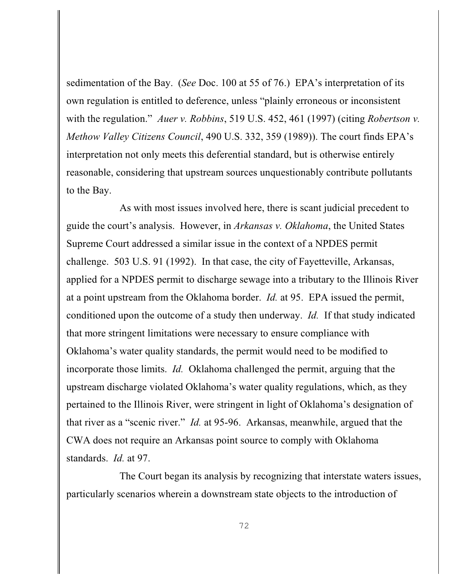sedimentation of the Bay. (*See* Doc. 100 at 55 of 76.) EPA's interpretation of its own regulation is entitled to deference, unless "plainly erroneous or inconsistent with the regulation." *Auer v. Robbins*, 519 U.S. 452, 461 (1997) (citing *Robertson v. Methow Valley Citizens Council*, 490 U.S. 332, 359 (1989)). The court finds EPA's interpretation not only meets this deferential standard, but is otherwise entirely reasonable, considering that upstream sources unquestionably contribute pollutants to the Bay.

As with most issues involved here, there is scant judicial precedent to guide the court's analysis. However, in *Arkansas v. Oklahoma*, the United States Supreme Court addressed a similar issue in the context of a NPDES permit challenge. 503 U.S. 91 (1992). In that case, the city of Fayetteville, Arkansas, applied for a NPDES permit to discharge sewage into a tributary to the Illinois River at a point upstream from the Oklahoma border. *Id.* at 95. EPA issued the permit, conditioned upon the outcome of a study then underway. *Id.* If that study indicated that more stringent limitations were necessary to ensure compliance with Oklahoma's water quality standards, the permit would need to be modified to incorporate those limits. *Id.* Oklahoma challenged the permit, arguing that the upstream discharge violated Oklahoma's water quality regulations, which, as they pertained to the Illinois River, were stringent in light of Oklahoma's designation of that river as a "scenic river." *Id.* at 95-96. Arkansas, meanwhile, argued that the CWA does not require an Arkansas point source to comply with Oklahoma standards. *Id.* at 97.

The Court began its analysis by recognizing that interstate waters issues, particularly scenarios wherein a downstream state objects to the introduction of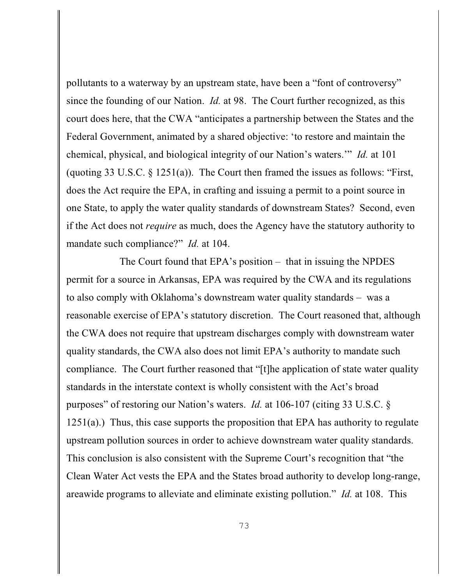pollutants to a waterway by an upstream state, have been a "font of controversy" since the founding of our Nation. *Id.* at 98. The Court further recognized, as this court does here, that the CWA "anticipates a partnership between the States and the Federal Government, animated by a shared objective: 'to restore and maintain the chemical, physical, and biological integrity of our Nation's waters.'" *Id.* at 101 (quoting 33 U.S.C. § 1251(a)). The Court then framed the issues as follows: "First, does the Act require the EPA, in crafting and issuing a permit to a point source in one State, to apply the water quality standards of downstream States? Second, even if the Act does not *require* as much, does the Agency have the statutory authority to mandate such compliance?" *Id.* at 104.

The Court found that EPA's position – that in issuing the NPDES permit for a source in Arkansas, EPA was required by the CWA and its regulations to also comply with Oklahoma's downstream water quality standards – was a reasonable exercise of EPA's statutory discretion. The Court reasoned that, although the CWA does not require that upstream discharges comply with downstream water quality standards, the CWA also does not limit EPA's authority to mandate such compliance. The Court further reasoned that "[t]he application of state water quality standards in the interstate context is wholly consistent with the Act's broad purposes" of restoring our Nation's waters. *Id.* at 106-107 (citing 33 U.S.C. §  $1251(a)$ .) Thus, this case supports the proposition that EPA has authority to regulate upstream pollution sources in order to achieve downstream water quality standards. This conclusion is also consistent with the Supreme Court's recognition that "the Clean Water Act vests the EPA and the States broad authority to develop long-range, areawide programs to alleviate and eliminate existing pollution." *Id.* at 108. This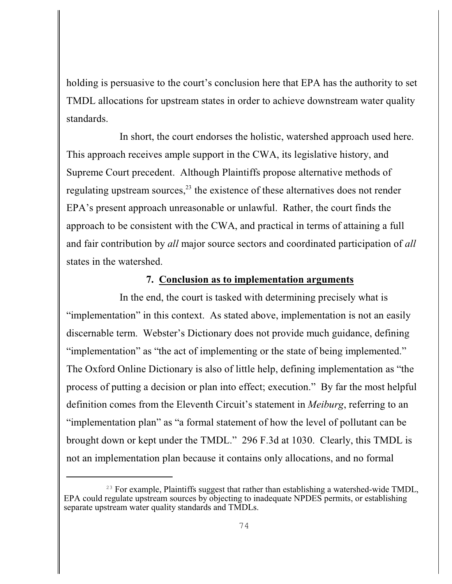holding is persuasive to the court's conclusion here that EPA has the authority to set TMDL allocations for upstream states in order to achieve downstream water quality standards.

In short, the court endorses the holistic, watershed approach used here. This approach receives ample support in the CWA, its legislative history, and Supreme Court precedent. Although Plaintiffs propose alternative methods of regulating upstream sources, $23$  the existence of these alternatives does not render EPA's present approach unreasonable or unlawful. Rather, the court finds the approach to be consistent with the CWA, and practical in terms of attaining a full and fair contribution by *all* major source sectors and coordinated participation of *all* states in the watershed.

### **7. Conclusion as to implementation arguments**

In the end, the court is tasked with determining precisely what is "implementation" in this context. As stated above, implementation is not an easily discernable term. Webster's Dictionary does not provide much guidance, defining "implementation" as "the act of implementing or the state of being implemented." The Oxford Online Dictionary is also of little help, defining implementation as "the process of putting a decision or plan into effect; execution." By far the most helpful definition comes from the Eleventh Circuit's statement in *Meiburg*, referring to an "implementation plan" as "a formal statement of how the level of pollutant can be brought down or kept under the TMDL." 296 F.3d at 1030. Clearly, this TMDL is not an implementation plan because it contains only allocations, and no formal

 $^{23}$  For example, Plaintiffs suggest that rather than establishing a watershed-wide TMDL, EPA could regulate upstream sources by objecting to inadequate NPDES permits, or establishing separate upstream water quality standards and TMDLs.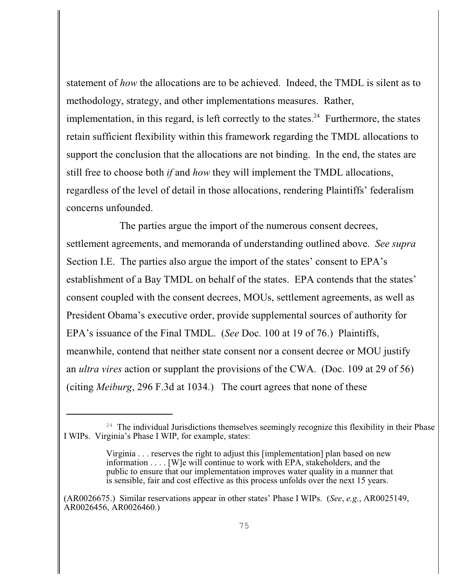statement of *how* the allocations are to be achieved. Indeed, the TMDL is silent as to methodology, strategy, and other implementations measures. Rather, implementation, in this regard, is left correctly to the states.<sup>24</sup> Furthermore, the states retain sufficient flexibility within this framework regarding the TMDL allocations to support the conclusion that the allocations are not binding. In the end, the states are still free to choose both *if* and *how* they will implement the TMDL allocations, regardless of the level of detail in those allocations, rendering Plaintiffs' federalism concerns unfounded.

The parties argue the import of the numerous consent decrees, settlement agreements, and memoranda of understanding outlined above. *See supra* Section I.E. The parties also argue the import of the states' consent to EPA's establishment of a Bay TMDL on behalf of the states. EPA contends that the states' consent coupled with the consent decrees, MOUs, settlement agreements, as well as President Obama's executive order, provide supplemental sources of authority for EPA's issuance of the Final TMDL. (*See* Doc. 100 at 19 of 76.) Plaintiffs, meanwhile, contend that neither state consent nor a consent decree or MOU justify an *ultra vires* action or supplant the provisions of the CWA. (Doc. 109 at 29 of 56) (citing *Meiburg*, 296 F.3d at 1034.) The court agrees that none of these

 $24$  The individual Jurisdictions themselves seemingly recognize this flexibility in their Phase I WIPs. Virginia's Phase I WIP, for example, states:

Virginia . . . reserves the right to adjust this [implementation] plan based on new information . . . . [W]e will continue to work with EPA, stakeholders, and the public to ensure that our implementation improves water quality in a manner that is sensible, fair and cost effective as this process unfolds over the next 15 years.

<sup>(</sup>AR0026675.) Similar reservations appear in other states' Phase I WIPs. (*See*, *e.g.*, AR0025149, AR0026456, AR0026460.)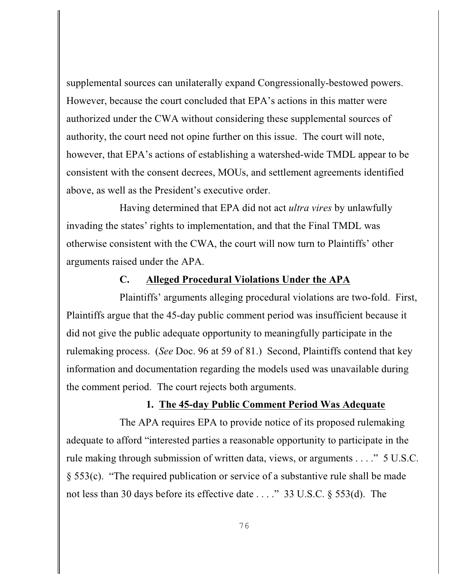supplemental sources can unilaterally expand Congressionally-bestowed powers. However, because the court concluded that EPA's actions in this matter were authorized under the CWA without considering these supplemental sources of authority, the court need not opine further on this issue. The court will note, however, that EPA's actions of establishing a watershed-wide TMDL appear to be consistent with the consent decrees, MOUs, and settlement agreements identified above, as well as the President's executive order.

Having determined that EPA did not act *ultra vires* by unlawfully invading the states' rights to implementation, and that the Final TMDL was otherwise consistent with the CWA, the court will now turn to Plaintiffs' other arguments raised under the APA.

# **C. Alleged Procedural Violations Under the APA**

Plaintiffs' arguments alleging procedural violations are two-fold. First, Plaintiffs argue that the 45-day public comment period was insufficient because it did not give the public adequate opportunity to meaningfully participate in the rulemaking process. (*See* Doc. 96 at 59 of 81.) Second, Plaintiffs contend that key information and documentation regarding the models used was unavailable during the comment period. The court rejects both arguments.

### **1. The 45-day Public Comment Period Was Adequate**

The APA requires EPA to provide notice of its proposed rulemaking adequate to afford "interested parties a reasonable opportunity to participate in the rule making through submission of written data, views, or arguments . . . ." 5 U.S.C. § 553(c). "The required publication or service of a substantive rule shall be made not less than 30 days before its effective date . . . ." 33 U.S.C. § 553(d). The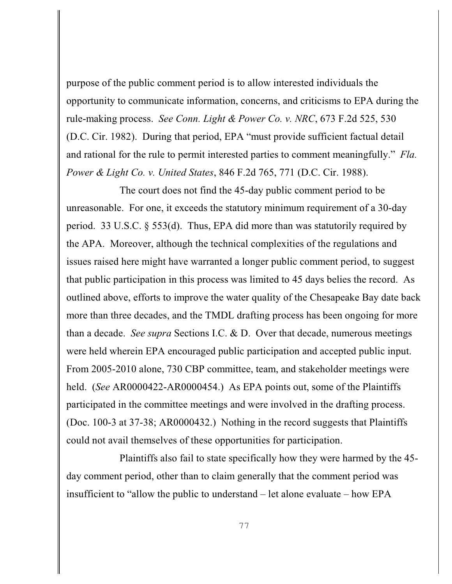purpose of the public comment period is to allow interested individuals the opportunity to communicate information, concerns, and criticisms to EPA during the rule-making process. *See Conn. Light & Power Co. v. NRC*, 673 F.2d 525, 530 (D.C. Cir. 1982). During that period, EPA "must provide sufficient factual detail and rational for the rule to permit interested parties to comment meaningfully." *Fla. Power & Light Co. v. United States*, 846 F.2d 765, 771 (D.C. Cir. 1988).

The court does not find the 45-day public comment period to be unreasonable. For one, it exceeds the statutory minimum requirement of a 30-day period. 33 U.S.C. § 553(d). Thus, EPA did more than was statutorily required by the APA. Moreover, although the technical complexities of the regulations and issues raised here might have warranted a longer public comment period, to suggest that public participation in this process was limited to 45 days belies the record. As outlined above, efforts to improve the water quality of the Chesapeake Bay date back more than three decades, and the TMDL drafting process has been ongoing for more than a decade. *See supra* Sections I.C. & D. Over that decade, numerous meetings were held wherein EPA encouraged public participation and accepted public input. From 2005-2010 alone, 730 CBP committee, team, and stakeholder meetings were held. (*See* AR0000422-AR0000454.) As EPA points out, some of the Plaintiffs participated in the committee meetings and were involved in the drafting process. (Doc. 100-3 at 37-38; AR0000432.) Nothing in the record suggests that Plaintiffs could not avail themselves of these opportunities for participation.

Plaintiffs also fail to state specifically how they were harmed by the 45 day comment period, other than to claim generally that the comment period was insufficient to "allow the public to understand – let alone evaluate – how EPA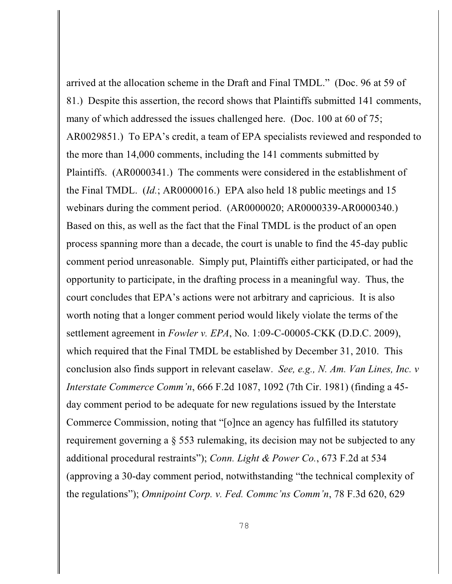arrived at the allocation scheme in the Draft and Final TMDL." (Doc. 96 at 59 of 81.) Despite this assertion, the record shows that Plaintiffs submitted 141 comments, many of which addressed the issues challenged here. (Doc. 100 at 60 of 75; AR0029851.) To EPA's credit, a team of EPA specialists reviewed and responded to the more than 14,000 comments, including the 141 comments submitted by Plaintiffs. (AR0000341.) The comments were considered in the establishment of the Final TMDL. (*Id.*; AR0000016.) EPA also held 18 public meetings and 15 webinars during the comment period. (AR0000020; AR0000339-AR0000340.) Based on this, as well as the fact that the Final TMDL is the product of an open process spanning more than a decade, the court is unable to find the 45-day public comment period unreasonable. Simply put, Plaintiffs either participated, or had the opportunity to participate, in the drafting process in a meaningful way. Thus, the court concludes that EPA's actions were not arbitrary and capricious. It is also worth noting that a longer comment period would likely violate the terms of the settlement agreement in *Fowler v. EPA*, No. 1:09-C-00005-CKK (D.D.C. 2009), which required that the Final TMDL be established by December 31, 2010. This conclusion also finds support in relevant caselaw. *See, e.g., N. Am. Van Lines, Inc. v Interstate Commerce Comm'n*, 666 F.2d 1087, 1092 (7th Cir. 1981) (finding a 45 day comment period to be adequate for new regulations issued by the Interstate Commerce Commission, noting that "[o]nce an agency has fulfilled its statutory requirement governing a § 553 rulemaking, its decision may not be subjected to any additional procedural restraints"); *Conn. Light & Power Co.*, 673 F.2d at 534 (approving a 30-day comment period, notwithstanding "the technical complexity of the regulations"); *Omnipoint Corp. v. Fed. Commc'ns Comm'n*, 78 F.3d 620, 629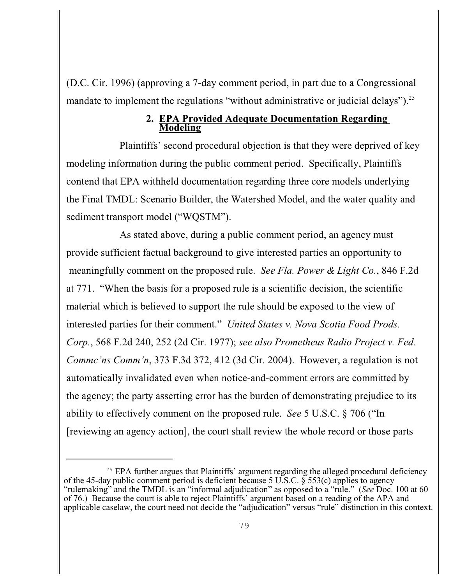(D.C. Cir. 1996) (approving a 7-day comment period, in part due to a Congressional mandate to implement the regulations "without administrative or judicial delays").<sup>25</sup>

### **2. EPA Provided Adequate Documentation Regarding Modeling**

Plaintiffs' second procedural objection is that they were deprived of key modeling information during the public comment period. Specifically, Plaintiffs contend that EPA withheld documentation regarding three core models underlying the Final TMDL: Scenario Builder, the Watershed Model, and the water quality and sediment transport model ("WQSTM").

As stated above, during a public comment period, an agency must provide sufficient factual background to give interested parties an opportunity to meaningfully comment on the proposed rule. *See Fla. Power & Light Co.*, 846 F.2d at 771. "When the basis for a proposed rule is a scientific decision, the scientific material which is believed to support the rule should be exposed to the view of interested parties for their comment." *United States v. Nova Scotia Food Prods. Corp.*, 568 F.2d 240, 252 (2d Cir. 1977); *see also Prometheus Radio Project v. Fed. Commc'ns Comm'n*, 373 F.3d 372, 412 (3d Cir. 2004). However, a regulation is not automatically invalidated even when notice-and-comment errors are committed by the agency; the party asserting error has the burden of demonstrating prejudice to its ability to effectively comment on the proposed rule. *See* 5 U.S.C. § 706 ("In [reviewing an agency action], the court shall review the whole record or those parts

 $25$  EPA further argues that Plaintiffs' argument regarding the alleged procedural deficiency of the 45-day public comment period is deficient because 5 U.S.C.  $\tilde{\S}$  553(c) applies to agency "rulemaking" and the TMDL is an "informal adjudication" as opposed to a "rule." (*See* Doc. 100 at 60 of 76.) Because the court is able to reject Plaintiffs' argument based on a reading of the APA and applicable caselaw, the court need not decide the "adjudication" versus "rule" distinction in this context.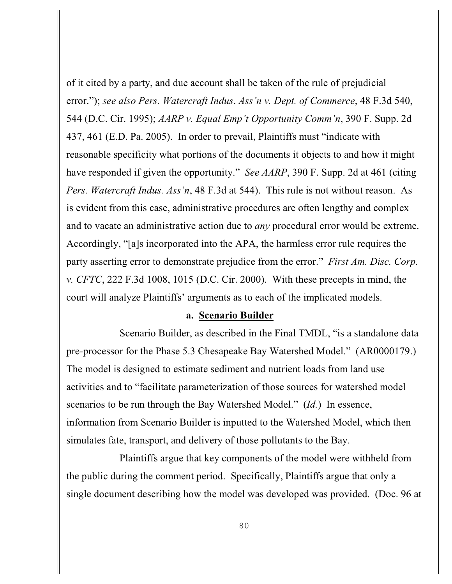of it cited by a party, and due account shall be taken of the rule of prejudicial error."); *see also Pers. Watercraft Indus*. *Ass'n v. Dept. of Commerce*, 48 F.3d 540, 544 (D.C. Cir. 1995); *AARP v. Equal Emp't Opportunity Comm'n*, 390 F. Supp. 2d 437, 461 (E.D. Pa. 2005). In order to prevail, Plaintiffs must "indicate with reasonable specificity what portions of the documents it objects to and how it might have responded if given the opportunity." *See AARP*, 390 F. Supp. 2d at 461 (citing *Pers. Watercraft Indus. Ass'n*, 48 F.3d at 544). This rule is not without reason. As is evident from this case, administrative procedures are often lengthy and complex and to vacate an administrative action due to *any* procedural error would be extreme. Accordingly, "[a]s incorporated into the APA, the harmless error rule requires the party asserting error to demonstrate prejudice from the error." *First Am. Disc. Corp. v. CFTC*, 222 F.3d 1008, 1015 (D.C. Cir. 2000). With these precepts in mind, the court will analyze Plaintiffs' arguments as to each of the implicated models.

#### **a. Scenario Builder**

Scenario Builder, as described in the Final TMDL, "is a standalone data pre-processor for the Phase 5.3 Chesapeake Bay Watershed Model." (AR0000179.) The model is designed to estimate sediment and nutrient loads from land use activities and to "facilitate parameterization of those sources for watershed model scenarios to be run through the Bay Watershed Model." (*Id.*) In essence, information from Scenario Builder is inputted to the Watershed Model, which then simulates fate, transport, and delivery of those pollutants to the Bay.

Plaintiffs argue that key components of the model were withheld from the public during the comment period. Specifically, Plaintiffs argue that only a single document describing how the model was developed was provided. (Doc. 96 at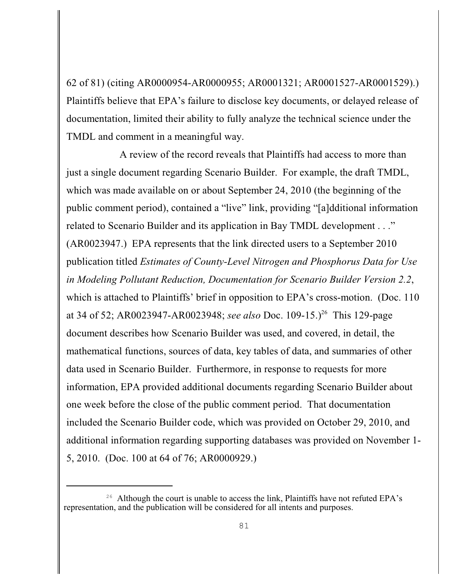62 of 81) (citing AR0000954-AR0000955; AR0001321; AR0001527-AR0001529).) Plaintiffs believe that EPA's failure to disclose key documents, or delayed release of documentation, limited their ability to fully analyze the technical science under the TMDL and comment in a meaningful way.

A review of the record reveals that Plaintiffs had access to more than just a single document regarding Scenario Builder. For example, the draft TMDL, which was made available on or about September 24, 2010 (the beginning of the public comment period), contained a "live" link, providing "[a]dditional information related to Scenario Builder and its application in Bay TMDL development . . ." (AR0023947.) EPA represents that the link directed users to a September 2010 publication titled *Estimates of County-Level Nitrogen and Phosphorus Data for Use in Modeling Pollutant Reduction, Documentation for Scenario Builder Version 2.2*, which is attached to Plaintiffs' brief in opposition to EPA's cross-motion. (Doc. 110 at 34 of 52; AR0023947-AR0023948; *see also* Doc. 109-15.)<sup>26</sup> This 129-page document describes how Scenario Builder was used, and covered, in detail, the mathematical functions, sources of data, key tables of data, and summaries of other data used in Scenario Builder. Furthermore, in response to requests for more information, EPA provided additional documents regarding Scenario Builder about one week before the close of the public comment period.That documentation included the Scenario Builder code, which was provided on October 29, 2010, and additional information regarding supporting databases was provided on November 1- 5, 2010. (Doc. 100 at 64 of 76; AR0000929.)

<sup>&</sup>lt;sup>26</sup> Although the court is unable to access the link, Plaintiffs have not refuted EPA's representation, and the publication will be considered for all intents and purposes.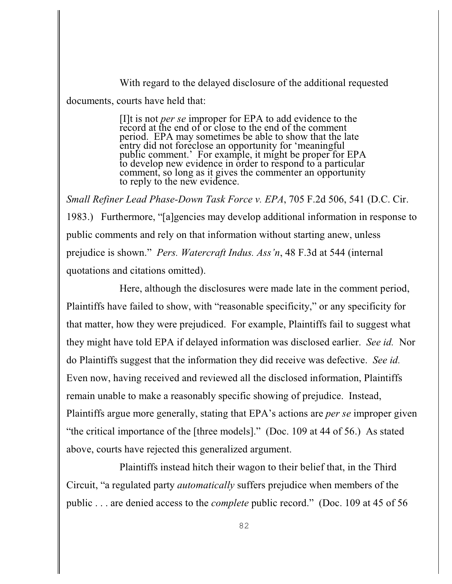With regard to the delayed disclosure of the additional requested documents, courts have held that:

> [I]t is not *per se* improper for EPA to add evidence to the record at the end of or close to the end of the comment period. EPA may sometimes be able to show that the late entry did not foreclose an opportunity for 'meaningful public comment.' For example, it might be proper for EPA to develop new evidence in order to respond to a particular comment, so long as it gives the commenter an opportunity to reply to the new evidence.

*Small Refiner Lead Phase-Down Task Force v. EPA*, 705 F.2d 506, 541 (D.C. Cir. 1983.) Furthermore, "[a]gencies may develop additional information in response to public comments and rely on that information without starting anew, unless prejudice is shown." *Pers. Watercraft Indus. Ass'n*, 48 F.3d at 544 (internal quotations and citations omitted).

Here, although the disclosures were made late in the comment period, Plaintiffs have failed to show, with "reasonable specificity," or any specificity for that matter, how they were prejudiced. For example, Plaintiffs fail to suggest what they might have told EPA if delayed information was disclosed earlier. *See id.* Nor do Plaintiffs suggest that the information they did receive was defective. *See id.*  Even now, having received and reviewed all the disclosed information, Plaintiffs remain unable to make a reasonably specific showing of prejudice. Instead, Plaintiffs argue more generally, stating that EPA's actions are *per se* improper given "the critical importance of the [three models]." (Doc. 109 at 44 of 56.) As stated above, courts have rejected this generalized argument.

Plaintiffs instead hitch their wagon to their belief that, in the Third Circuit, "a regulated party *automatically* suffers prejudice when members of the public . . . are denied access to the *complete* public record." (Doc. 109 at 45 of 56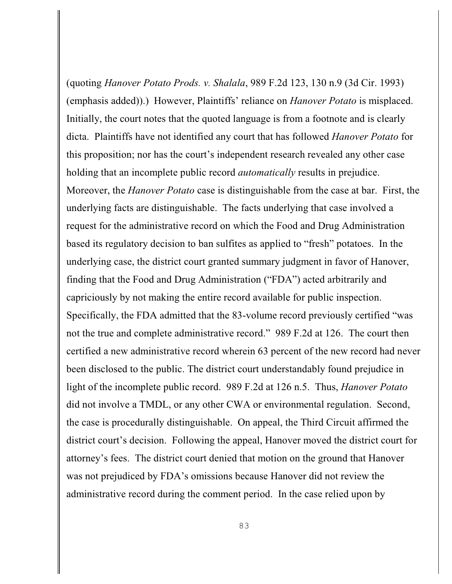(quoting *Hanover Potato Prods. v. Shalala*, 989 F.2d 123, 130 n.9 (3d Cir. 1993) (emphasis added)).) However, Plaintiffs' reliance on *Hanover Potato* is misplaced. Initially, the court notes that the quoted language is from a footnote and is clearly dicta. Plaintiffs have not identified any court that has followed *Hanover Potato* for this proposition; nor has the court's independent research revealed any other case holding that an incomplete public record *automatically* results in prejudice. Moreover, the *Hanover Potato* case is distinguishable from the case at bar. First, the underlying facts are distinguishable. The facts underlying that case involved a request for the administrative record on which the Food and Drug Administration based its regulatory decision to ban sulfites as applied to "fresh" potatoes. In the underlying case, the district court granted summary judgment in favor of Hanover, finding that the Food and Drug Administration ("FDA") acted arbitrarily and capriciously by not making the entire record available for public inspection. Specifically, the FDA admitted that the 83-volume record previously certified "was not the true and complete administrative record." 989 F.2d at 126. The court then certified a new administrative record wherein 63 percent of the new record had never been disclosed to the public. The district court understandably found prejudice in light of the incomplete public record. 989 F.2d at 126 n.5. Thus, *Hanover Potato* did not involve a TMDL, or any other CWA or environmental regulation. Second, the case is procedurally distinguishable. On appeal, the Third Circuit affirmed the district court's decision. Following the appeal, Hanover moved the district court for attorney's fees. The district court denied that motion on the ground that Hanover was not prejudiced by FDA's omissions because Hanover did not review the administrative record during the comment period. In the case relied upon by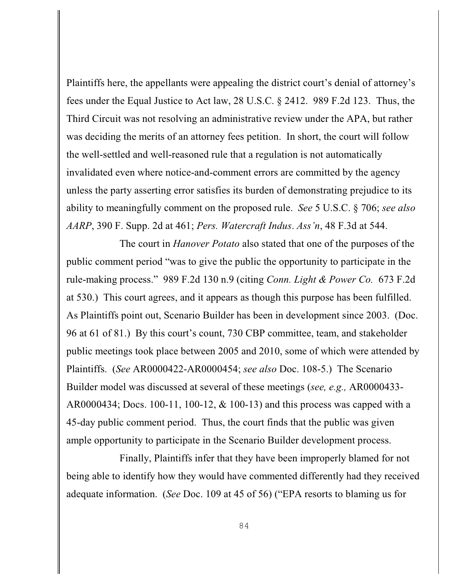Plaintiffs here, the appellants were appealing the district court's denial of attorney's fees under the Equal Justice to Act law, 28 U.S.C. § 2412. 989 F.2d 123. Thus, the Third Circuit was not resolving an administrative review under the APA, but rather was deciding the merits of an attorney fees petition. In short, the court will follow the well-settled and well-reasoned rule that a regulation is not automatically invalidated even where notice-and-comment errors are committed by the agency unless the party asserting error satisfies its burden of demonstrating prejudice to its ability to meaningfully comment on the proposed rule. *See* 5 U.S.C. § 706; *see also AARP*, 390 F. Supp. 2d at 461; *Pers. Watercraft Indus*. *Ass'n*, 48 F.3d at 544.

The court in *Hanover Potato* also stated that one of the purposes of the public comment period "was to give the public the opportunity to participate in the rule-making process." 989 F.2d 130 n.9 (citing *Conn. Light & Power Co.* 673 F.2d at 530.) This court agrees, and it appears as though this purpose has been fulfilled. As Plaintiffs point out, Scenario Builder has been in development since 2003. (Doc. 96 at 61 of 81.) By this court's count, 730 CBP committee, team, and stakeholder public meetings took place between 2005 and 2010, some of which were attended by Plaintiffs. (*See* AR0000422-AR0000454; *see also* Doc. 108-5.) The Scenario Builder model was discussed at several of these meetings (*see, e.g.,* AR0000433- AR0000434; Docs. 100-11, 100-12, & 100-13) and this process was capped with a 45-day public comment period. Thus, the court finds that the public was given ample opportunity to participate in the Scenario Builder development process.

Finally, Plaintiffs infer that they have been improperly blamed for not being able to identify how they would have commented differently had they received adequate information. (*See* Doc. 109 at 45 of 56) ("EPA resorts to blaming us for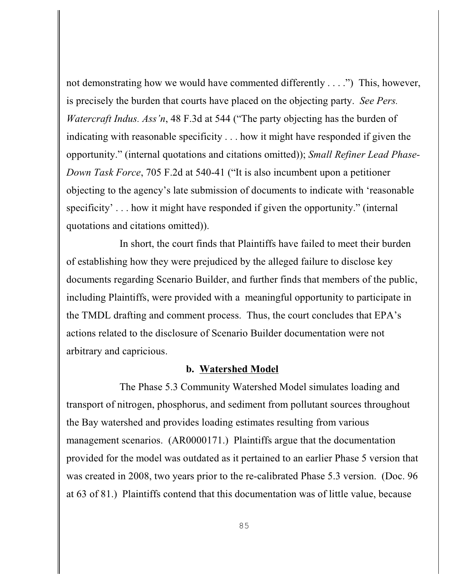not demonstrating how we would have commented differently . . . .") This, however, is precisely the burden that courts have placed on the objecting party. *See Pers. Watercraft Indus. Ass'n*, 48 F.3d at 544 ("The party objecting has the burden of indicating with reasonable specificity . . . how it might have responded if given the opportunity." (internal quotations and citations omitted)); *Small Refiner Lead Phase-Down Task Force*, 705 F.2d at 540-41 ("It is also incumbent upon a petitioner objecting to the agency's late submission of documents to indicate with 'reasonable specificity' . . . how it might have responded if given the opportunity." (internal quotations and citations omitted)).

In short, the court finds that Plaintiffs have failed to meet their burden of establishing how they were prejudiced by the alleged failure to disclose key documents regarding Scenario Builder, and further finds that members of the public, including Plaintiffs, were provided with a meaningful opportunity to participate in the TMDL drafting and comment process. Thus, the court concludes that EPA's actions related to the disclosure of Scenario Builder documentation were not arbitrary and capricious.

#### **b. Watershed Model**

The Phase 5.3 Community Watershed Model simulates loading and transport of nitrogen, phosphorus, and sediment from pollutant sources throughout the Bay watershed and provides loading estimates resulting from various management scenarios. (AR0000171.) Plaintiffs argue that the documentation provided for the model was outdated as it pertained to an earlier Phase 5 version that was created in 2008, two years prior to the re-calibrated Phase 5.3 version. (Doc. 96 at 63 of 81.) Plaintiffs contend that this documentation was of little value, because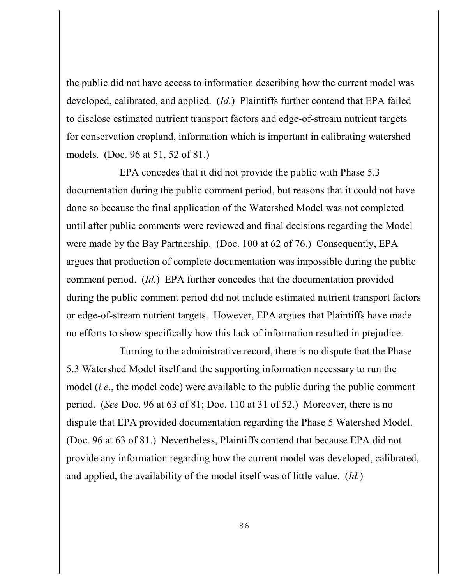the public did not have access to information describing how the current model was developed, calibrated, and applied. (*Id.*) Plaintiffs further contend that EPA failed to disclose estimated nutrient transport factors and edge-of-stream nutrient targets for conservation cropland, information which is important in calibrating watershed models. (Doc. 96 at 51, 52 of 81.)

EPA concedes that it did not provide the public with Phase 5.3 documentation during the public comment period, but reasons that it could not have done so because the final application of the Watershed Model was not completed until after public comments were reviewed and final decisions regarding the Model were made by the Bay Partnership. (Doc. 100 at 62 of 76.) Consequently, EPA argues that production of complete documentation was impossible during the public comment period. (*Id.*) EPA further concedes that the documentation provided during the public comment period did not include estimated nutrient transport factors or edge-of-stream nutrient targets. However, EPA argues that Plaintiffs have made no efforts to show specifically how this lack of information resulted in prejudice.

Turning to the administrative record, there is no dispute that the Phase 5.3 Watershed Model itself and the supporting information necessary to run the model (*i.e*., the model code) were available to the public during the public comment period. (*See* Doc. 96 at 63 of 81; Doc. 110 at 31 of 52.) Moreover, there is no dispute that EPA provided documentation regarding the Phase 5 Watershed Model. (Doc. 96 at 63 of 81.) Nevertheless, Plaintiffs contend that because EPA did not provide any information regarding how the current model was developed, calibrated, and applied, the availability of the model itself was of little value. (*Id.*)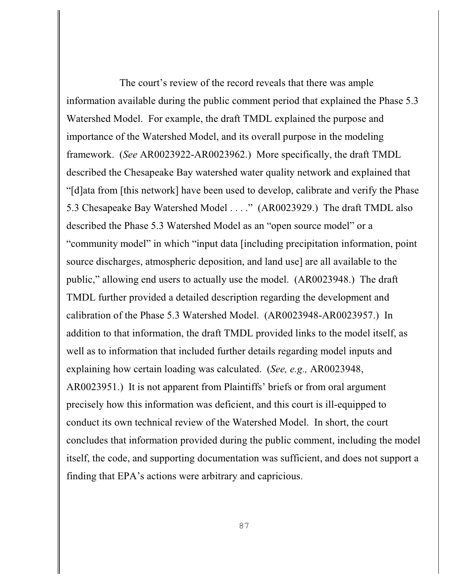The court's review of the record reveals that there was ample information available during the public comment period that explained the Phase 5.3 Watershed Model. For example, the draft TMDL explained the purpose and importance of the Watershed Model, and its overall purpose in the modeling framework. (*See* AR0023922-AR0023962.) More specifically, the draft TMDL described the Chesapeake Bay watershed water quality network and explained that "[d]ata from [this network] have been used to develop, calibrate and verify the Phase 5.3 Chesapeake Bay Watershed Model . . . ." (AR0023929.) The draft TMDL also described the Phase 5.3 Watershed Model as an "open source model" or a "community model" in which "input data [including precipitation information, point source discharges, atmospheric deposition, and land use] are all available to the public," allowing end users to actually use the model. (AR0023948.) The draft TMDL further provided a detailed description regarding the development and calibration of the Phase 5.3 Watershed Model. (AR0023948-AR0023957.) In addition to that information, the draft TMDL provided links to the model itself, as well as to information that included further details regarding model inputs and explaining how certain loading was calculated. (*See, e.g.,* AR0023948, AR0023951.) It is not apparent from Plaintiffs' briefs or from oral argument precisely how this information was deficient, and this court is ill-equipped to conduct its own technical review of the Watershed Model. In short, the court concludes that information provided during the public comment, including the model itself, the code, and supporting documentation was sufficient, and does not support a finding that EPA's actions were arbitrary and capricious.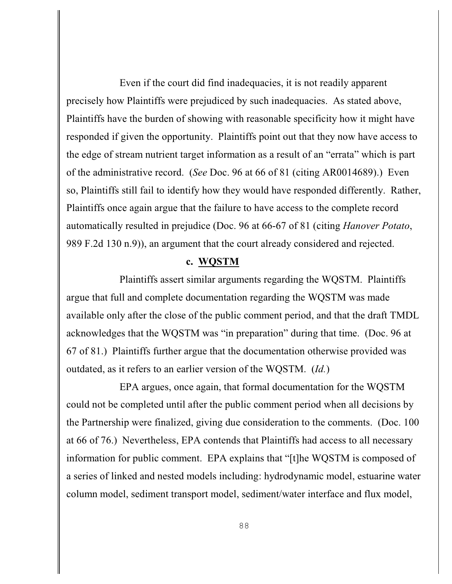Even if the court did find inadequacies, it is not readily apparent precisely how Plaintiffs were prejudiced by such inadequacies. As stated above, Plaintiffs have the burden of showing with reasonable specificity how it might have responded if given the opportunity. Plaintiffs point out that they now have access to the edge of stream nutrient target information as a result of an "errata" which is part of the administrative record. (*See* Doc. 96 at 66 of 81 (citing AR0014689).) Even so, Plaintiffs still fail to identify how they would have responded differently. Rather, Plaintiffs once again argue that the failure to have access to the complete record automatically resulted in prejudice (Doc. 96 at 66-67 of 81 (citing *Hanover Potato*, 989 F.2d 130 n.9)), an argument that the court already considered and rejected.

#### **c. WQSTM**

Plaintiffs assert similar arguments regarding the WQSTM. Plaintiffs argue that full and complete documentation regarding the WQSTM was made available only after the close of the public comment period, and that the draft TMDL acknowledges that the WQSTM was "in preparation" during that time. (Doc. 96 at 67 of 81.) Plaintiffs further argue that the documentation otherwise provided was outdated, as it refers to an earlier version of the WQSTM. (*Id.*)

EPA argues, once again, that formal documentation for the WQSTM could not be completed until after the public comment period when all decisions by the Partnership were finalized, giving due consideration to the comments. (Doc. 100 at 66 of 76.) Nevertheless, EPA contends that Plaintiffs had access to all necessary information for public comment. EPA explains that "[t]he WQSTM is composed of a series of linked and nested models including: hydrodynamic model, estuarine water column model, sediment transport model, sediment/water interface and flux model,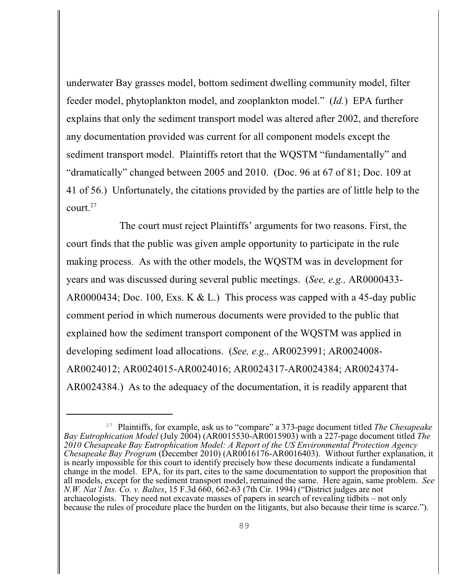underwater Bay grasses model, bottom sediment dwelling community model, filter feeder model, phytoplankton model, and zooplankton model." (*Id.*) EPA further explains that only the sediment transport model was altered after 2002, and therefore any documentation provided was current for all component models except the sediment transport model. Plaintiffs retort that the WQSTM "fundamentally" and "dramatically" changed between 2005 and 2010. (Doc. 96 at 67 of 81; Doc. 109 at 41 of 56.) Unfortunately, the citations provided by the parties are of little help to the court. $27$ 

The court must reject Plaintiffs' arguments for two reasons. First, the court finds that the public was given ample opportunity to participate in the rule making process. As with the other models, the WQSTM was in development for years and was discussed during several public meetings. (*See, e.g.,* AR0000433- AR0000434; Doc. 100, Exs. K & L.) This process was capped with a 45-day public comment period in which numerous documents were provided to the public that explained how the sediment transport component of the WQSTM was applied in developing sediment load allocations. (*See, e.g.,* AR0023991; AR0024008- AR0024012; AR0024015-AR0024016; AR0024317-AR0024384; AR0024374- AR0024384.) As to the adequacy of the documentation, it is readily apparent that

<sup>&</sup>lt;sup>27</sup> Plaintiffs, for example, ask us to "compare" a 373-page document titled *The Chesapeake Bay Eutrophication Model* (July 2004) (AR0015530-AR0015903) with a 227-page document titled *The 2010 Chesapeake Bay Eutrophication Model: A Report of the US Environmental Protection Agency Chesapeake Bay Program* (December 2010) (AR0016176-AR0016403). Without further explanation, it is nearly impossible for this court to identify precisely how these documents indicate a fundamental change in the model. EPA, for its part, cites to the same documentation to support the proposition that all models, except for the sediment transport model, remained the same. Here again, same problem. *See N.W. Nat'l Ins. Co. v. Baltes*, 15 F.3d 660, 662-63 (7th Cir. 1994) ("District judges are not archaeologists. They need not excavate masses of papers in search of revealing tidbits – not only because the rules of procedure place the burden on the litigants, but also because their time is scarce.").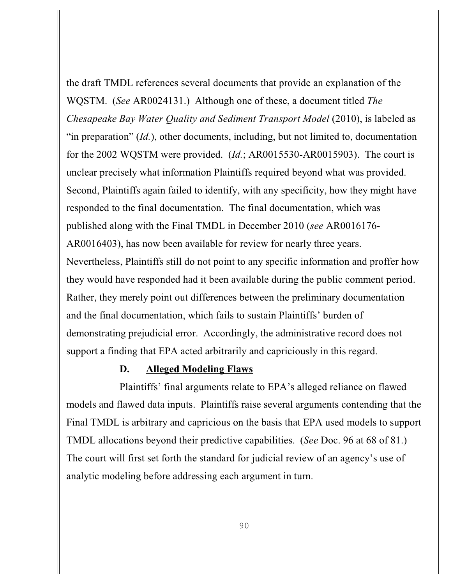the draft TMDL references several documents that provide an explanation of the WQSTM. (*See* AR0024131.) Although one of these, a document titled *The Chesapeake Bay Water Quality and Sediment Transport Model (2010), is labeled as* "in preparation" (*Id.*), other documents, including, but not limited to, documentation for the 2002 WQSTM were provided. (*Id.*; AR0015530-AR0015903). The court is unclear precisely what information Plaintiffs required beyond what was provided. Second, Plaintiffs again failed to identify, with any specificity, how they might have responded to the final documentation. The final documentation, which was published along with the Final TMDL in December 2010 (*see* AR0016176- AR0016403), has now been available for review for nearly three years. Nevertheless, Plaintiffs still do not point to any specific information and proffer how they would have responded had it been available during the public comment period. Rather, they merely point out differences between the preliminary documentation and the final documentation, which fails to sustain Plaintiffs' burden of demonstrating prejudicial error. Accordingly, the administrative record does not support a finding that EPA acted arbitrarily and capriciously in this regard.

### **D. Alleged Modeling Flaws**

Plaintiffs' final arguments relate to EPA's alleged reliance on flawed models and flawed data inputs. Plaintiffs raise several arguments contending that the Final TMDL is arbitrary and capricious on the basis that EPA used models to support TMDL allocations beyond their predictive capabilities. (*See* Doc. 96 at 68 of 81.) The court will first set forth the standard for judicial review of an agency's use of analytic modeling before addressing each argument in turn.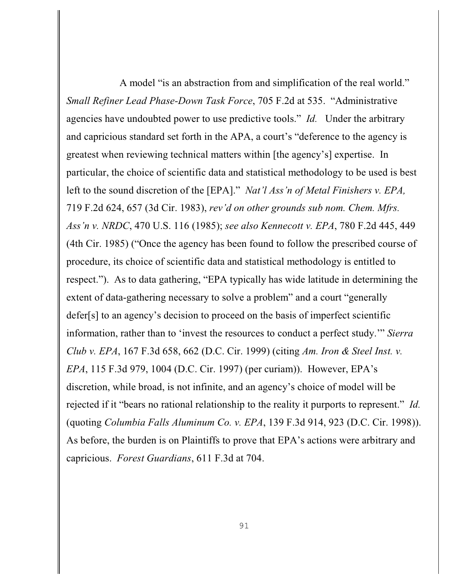A model "is an abstraction from and simplification of the real world." *Small Refiner Lead Phase-Down Task Force*, 705 F.2d at 535. "Administrative agencies have undoubted power to use predictive tools." *Id.* Under the arbitrary and capricious standard set forth in the APA, a court's "deference to the agency is greatest when reviewing technical matters within [the agency's] expertise. In particular, the choice of scientific data and statistical methodology to be used is best left to the sound discretion of the [EPA]." *Nat'l Ass'n of Metal Finishers v. EPA,* 719 F.2d 624, 657 (3d Cir. 1983), *rev'd on other grounds sub nom. Chem. Mfrs. Ass'n v. NRDC*, 470 U.S. 116 (1985); *see also Kennecott v. EPA*, 780 F.2d 445, 449 (4th Cir. 1985) ("Once the agency has been found to follow the prescribed course of procedure, its choice of scientific data and statistical methodology is entitled to respect."). As to data gathering, "EPA typically has wide latitude in determining the extent of data-gathering necessary to solve a problem" and a court "generally defer[s] to an agency's decision to proceed on the basis of imperfect scientific information, rather than to 'invest the resources to conduct a perfect study.'" *Sierra Club v. EPA*, 167 F.3d 658, 662 (D.C. Cir. 1999) (citing *Am. Iron & Steel Inst. v. EPA*, 115 F.3d 979, 1004 (D.C. Cir. 1997) (per curiam)). However, EPA's discretion, while broad, is not infinite, and an agency's choice of model will be rejected if it "bears no rational relationship to the reality it purports to represent." *Id.* (quoting *Columbia Falls Aluminum Co. v. EPA*, 139 F.3d 914, 923 (D.C. Cir. 1998)). As before, the burden is on Plaintiffs to prove that EPA's actions were arbitrary and capricious. *Forest Guardians*, 611 F.3d at 704.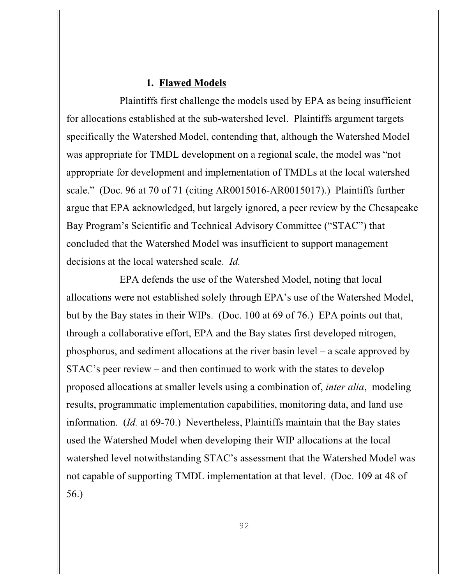#### **1. Flawed Models**

Plaintiffs first challenge the models used by EPA as being insufficient for allocations established at the sub-watershed level. Plaintiffs argument targets specifically the Watershed Model, contending that, although the Watershed Model was appropriate for TMDL development on a regional scale, the model was "not appropriate for development and implementation of TMDLs at the local watershed scale." (Doc. 96 at 70 of 71 (citing AR0015016-AR0015017).) Plaintiffs further argue that EPA acknowledged, but largely ignored, a peer review by the Chesapeake Bay Program's Scientific and Technical Advisory Committee ("STAC") that concluded that the Watershed Model was insufficient to support management decisions at the local watershed scale. *Id.*

EPA defends the use of the Watershed Model, noting that local allocations were not established solely through EPA's use of the Watershed Model, but by the Bay states in their WIPs. (Doc. 100 at 69 of 76.) EPA points out that, through a collaborative effort, EPA and the Bay states first developed nitrogen, phosphorus, and sediment allocations at the river basin level – a scale approved by STAC's peer review – and then continued to work with the states to develop proposed allocations at smaller levels using a combination of, *inter alia*, modeling results, programmatic implementation capabilities, monitoring data, and land use information. (*Id.* at 69-70.) Nevertheless, Plaintiffs maintain that the Bay states used the Watershed Model when developing their WIP allocations at the local watershed level notwithstanding STAC's assessment that the Watershed Model was not capable of supporting TMDL implementation at that level. (Doc. 109 at 48 of 56.)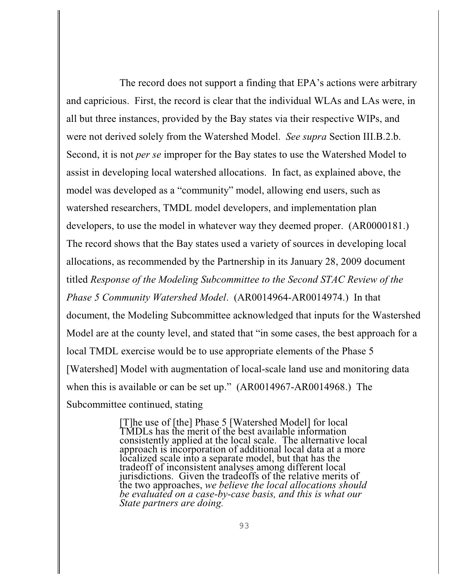The record does not support a finding that EPA's actions were arbitrary and capricious. First, the record is clear that the individual WLAs and LAs were, in all but three instances, provided by the Bay states via their respective WIPs, and were not derived solely from the Watershed Model. *See supra* Section III.B.2.b. Second, it is not *per se* improper for the Bay states to use the Watershed Model to assist in developing local watershed allocations. In fact, as explained above, the model was developed as a "community" model, allowing end users, such as watershed researchers, TMDL model developers, and implementation plan developers, to use the model in whatever way they deemed proper. (AR0000181.) The record shows that the Bay states used a variety of sources in developing local allocations, as recommended by the Partnership in its January 28, 2009 document titled *Response of the Modeling Subcommittee to the Second STAC Review of the Phase 5 Community Watershed Model*. (AR0014964-AR0014974.) In that document, the Modeling Subcommittee acknowledged that inputs for the Wastershed Model are at the county level, and stated that "in some cases, the best approach for a local TMDL exercise would be to use appropriate elements of the Phase 5 [Watershed] Model with augmentation of local-scale land use and monitoring data when this is available or can be set up." (AR0014967-AR0014968.) The Subcommittee continued, stating

> [T]he use of [the] Phase 5 [Watershed Model] for local TMDLs has the merit of the best available information consistently applied at the local scale. The alternative local approach is incorporation of additional local data at a more localized scale into a separate model, but that has the tradeoff of inconsistent analyses among different local jurisdictions. Given the tradeoffs of the relative merits of the two approaches, *we believe the local allocations should be evaluated on a case-by-case basis, and this is what our State partners are doing.*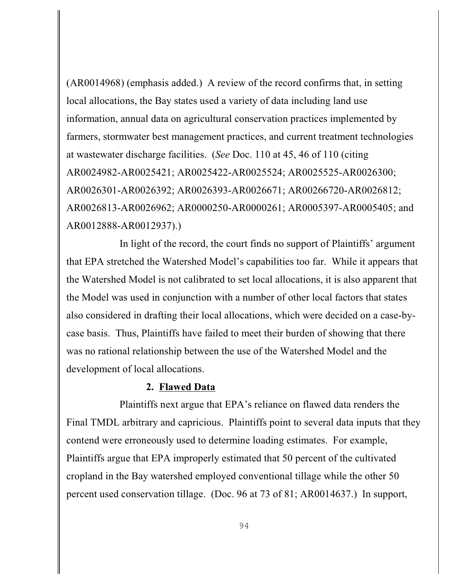(AR0014968) (emphasis added.) A review of the record confirms that, in setting local allocations, the Bay states used a variety of data including land use information, annual data on agricultural conservation practices implemented by farmers, stormwater best management practices, and current treatment technologies at wastewater discharge facilities. (*See* Doc. 110 at 45, 46 of 110 (citing AR0024982-AR0025421; AR0025422-AR0025524; AR0025525-AR0026300; AR0026301-AR0026392; AR0026393-AR0026671; AR00266720-AR0026812; AR0026813-AR0026962; AR0000250-AR0000261; AR0005397-AR0005405; and AR0012888-AR0012937).)

In light of the record, the court finds no support of Plaintiffs' argument that EPA stretched the Watershed Model's capabilities too far. While it appears that the Watershed Model is not calibrated to set local allocations, it is also apparent that the Model was used in conjunction with a number of other local factors that states also considered in drafting their local allocations, which were decided on a case-bycase basis. Thus, Plaintiffs have failed to meet their burden of showing that there was no rational relationship between the use of the Watershed Model and the development of local allocations.

#### **2. Flawed Data**

Plaintiffs next argue that EPA's reliance on flawed data renders the Final TMDL arbitrary and capricious. Plaintiffs point to several data inputs that they contend were erroneously used to determine loading estimates. For example, Plaintiffs argue that EPA improperly estimated that 50 percent of the cultivated cropland in the Bay watershed employed conventional tillage while the other 50 percent used conservation tillage. (Doc. 96 at 73 of 81; AR0014637.) In support,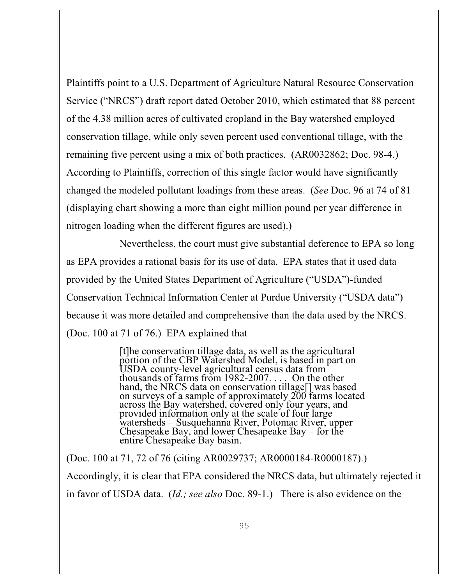Plaintiffs point to a U.S. Department of Agriculture Natural Resource Conservation Service ("NRCS") draft report dated October 2010, which estimated that 88 percent of the 4.38 million acres of cultivated cropland in the Bay watershed employed conservation tillage, while only seven percent used conventional tillage, with the remaining five percent using a mix of both practices. (AR0032862; Doc. 98-4.) According to Plaintiffs, correction of this single factor would have significantly changed the modeled pollutant loadings from these areas. (*See* Doc. 96 at 74 of 81 (displaying chart showing a more than eight million pound per year difference in nitrogen loading when the different figures are used).)

Nevertheless, the court must give substantial deference to EPA so long as EPA provides a rational basis for its use of data. EPA states that it used data provided by the United States Department of Agriculture ("USDA")-funded Conservation Technical Information Center at Purdue University ("USDA data") because it was more detailed and comprehensive than the data used by the NRCS. (Doc. 100 at 71 of 76.) EPA explained that

> [t]he conservation tillage data, as well as the agricultural portion of the CBP Watershed Model, is based in part on USDA county-level agricultural census data from thousands of farms from 1982-2007. . . . On the other hand, the NRCS data on conservation tillage<sup>[]</sup> was based on surveys of a sample of approximately 200 farms located across the Bay watershed, covered only four years, and provided information only at the scale of four large watersheds – Susquehanna River, Potomac River, upper Chesapeake Bay, and lower Chesapeake Bay – for the entire Chesapeake Bay basin.

(Doc. 100 at 71, 72 of 76 (citing AR0029737; AR0000184-R0000187).) Accordingly, it is clear that EPA considered the NRCS data, but ultimately rejected it in favor of USDA data. (*Id.; see also* Doc. 89-1.) There is also evidence on the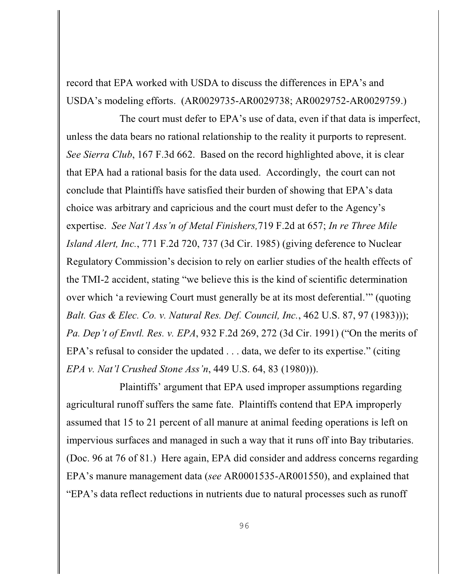record that EPA worked with USDA to discuss the differences in EPA's and USDA's modeling efforts. (AR0029735-AR0029738; AR0029752-AR0029759.)

The court must defer to EPA's use of data, even if that data is imperfect, unless the data bears no rational relationship to the reality it purports to represent. *See Sierra Club*, 167 F.3d 662. Based on the record highlighted above, it is clear that EPA had a rational basis for the data used. Accordingly, the court can not conclude that Plaintiffs have satisfied their burden of showing that EPA's data choice was arbitrary and capricious and the court must defer to the Agency's expertise. *See Nat'l Ass'n of Metal Finishers,*719 F.2d at 657; *In re Three Mile Island Alert, Inc.*, 771 F.2d 720, 737 (3d Cir. 1985) (giving deference to Nuclear Regulatory Commission's decision to rely on earlier studies of the health effects of the TMI-2 accident, stating "we believe this is the kind of scientific determination over which 'a reviewing Court must generally be at its most deferential.'" (quoting *Balt. Gas & Elec. Co. v. Natural Res. Def. Council, Inc.*, 462 U.S. 87, 97 (1983))); *Pa. Dep't of Envtl. Res. v. EPA*, 932 F.2d 269, 272 (3d Cir. 1991) ("On the merits of EPA's refusal to consider the updated . . . data, we defer to its expertise." (citing *EPA v. Nat'l Crushed Stone Ass'n*, 449 U.S. 64, 83 (1980))).

Plaintiffs' argument that EPA used improper assumptions regarding agricultural runoff suffers the same fate. Plaintiffs contend that EPA improperly assumed that 15 to 21 percent of all manure at animal feeding operations is left on impervious surfaces and managed in such a way that it runs off into Bay tributaries. (Doc. 96 at 76 of 81.) Here again, EPA did consider and address concerns regarding EPA's manure management data (*see* AR0001535-AR001550), and explained that "EPA's data reflect reductions in nutrients due to natural processes such as runoff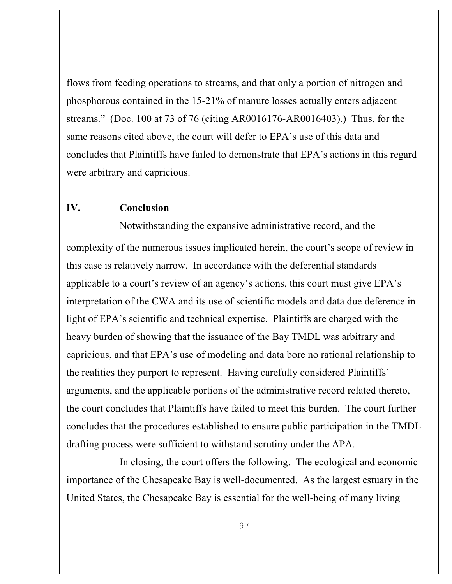flows from feeding operations to streams, and that only a portion of nitrogen and phosphorous contained in the 15-21% of manure losses actually enters adjacent streams." (Doc. 100 at 73 of 76 (citing AR0016176-AR0016403).) Thus, for the same reasons cited above, the court will defer to EPA's use of this data and concludes that Plaintiffs have failed to demonstrate that EPA's actions in this regard were arbitrary and capricious.

## **IV. Conclusion**

Notwithstanding the expansive administrative record, and the complexity of the numerous issues implicated herein, the court's scope of review in this case is relatively narrow. In accordance with the deferential standards applicable to a court's review of an agency's actions, this court must give EPA's interpretation of the CWA and its use of scientific models and data due deference in light of EPA's scientific and technical expertise. Plaintiffs are charged with the heavy burden of showing that the issuance of the Bay TMDL was arbitrary and capricious, and that EPA's use of modeling and data bore no rational relationship to the realities they purport to represent. Having carefully considered Plaintiffs' arguments, and the applicable portions of the administrative record related thereto, the court concludes that Plaintiffs have failed to meet this burden. The court further concludes that the procedures established to ensure public participation in the TMDL drafting process were sufficient to withstand scrutiny under the APA.

In closing, the court offers the following. The ecological and economic importance of the Chesapeake Bay is well-documented. As the largest estuary in the United States, the Chesapeake Bay is essential for the well-being of many living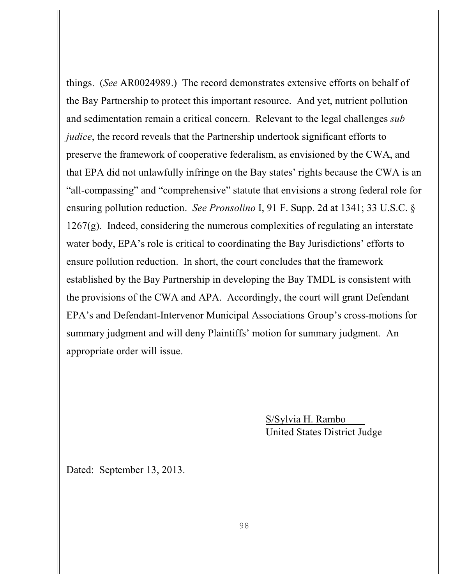things. (*See* AR0024989.) The record demonstrates extensive efforts on behalf of the Bay Partnership to protect this important resource. And yet, nutrient pollution and sedimentation remain a critical concern. Relevant to the legal challenges *sub judice*, the record reveals that the Partnership undertook significant efforts to preserve the framework of cooperative federalism, as envisioned by the CWA, and that EPA did not unlawfully infringe on the Bay states' rights because the CWA is an "all-compassing" and "comprehensive" statute that envisions a strong federal role for ensuring pollution reduction. *See Pronsolino* I, 91 F. Supp. 2d at 1341; 33 U.S.C. § 1267(g). Indeed, considering the numerous complexities of regulating an interstate water body, EPA's role is critical to coordinating the Bay Jurisdictions' efforts to ensure pollution reduction. In short, the court concludes that the framework established by the Bay Partnership in developing the Bay TMDL is consistent with the provisions of the CWA and APA. Accordingly, the court will grant Defendant EPA's and Defendant-Intervenor Municipal Associations Group's cross-motions for summary judgment and will deny Plaintiffs' motion for summary judgment. An appropriate order will issue.

> S/Sylvia H. Rambo United States District Judge

Dated: September 13, 2013.